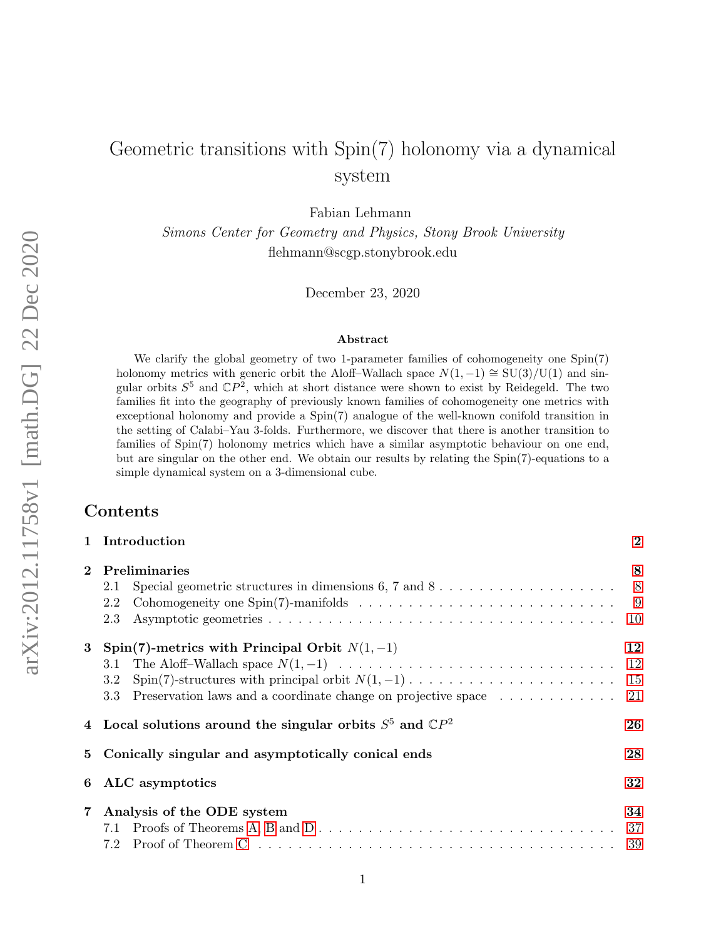# Geometric transitions with Spin(7) holonomy via a dynamical system

Fabian Lehmann

Simons Center for Geometry and Physics, Stony Brook University flehmann@scgp.stonybrook.edu

December 23, 2020

#### Abstract

We clarify the global geometry of two 1-parameter families of cohomogeneity one Spin(7) holonomy metrics with generic orbit the Aloff–Wallach space  $N(1, -1) \cong SU(3)/U(1)$  and singular orbits  $S^5$  and  $\mathbb{C}P^2$ , which at short distance were shown to exist by Reidegeld. The two families fit into the geography of previously known families of cohomogeneity one metrics with exceptional holonomy and provide a Spin(7) analogue of the well-known conifold transition in the setting of Calabi–Yau 3-folds. Furthermore, we discover that there is another transition to families of Spin(7) holonomy metrics which have a similar asymptotic behaviour on one end, but are singular on the other end. We obtain our results by relating the Spin(7)-equations to a simple dynamical system on a 3-dimensional cube.

# Contents

|                | 1 Introduction                                                                                                                                  |    |  |  |  |  |
|----------------|-------------------------------------------------------------------------------------------------------------------------------------------------|----|--|--|--|--|
| $\overline{2}$ | Preliminaries<br>Special geometric structures in dimensions $6, 7$ and $8, \ldots, \ldots, \ldots, \ldots, \ldots,$<br>2.1<br>2.2<br>2.3        | 8  |  |  |  |  |
| $\bf{3}$       | Spin(7)-metrics with Principal Orbit $N(1, -1)$<br>3.1<br>3.2<br>3.3                                                                            | 12 |  |  |  |  |
|                | 4 Local solutions around the singular orbits $S^5$ and $\mathbb{C}P^2$                                                                          | 26 |  |  |  |  |
|                | 5 Conically singular and asymptotically conical ends                                                                                            | 28 |  |  |  |  |
|                | 6 ALC asymptotics                                                                                                                               | 32 |  |  |  |  |
|                | 7 Analysis of the ODE system<br>Proof of Theorem C $\ldots \ldots \ldots \ldots \ldots \ldots \ldots \ldots \ldots \ldots \ldots \ldots$<br>7.2 | 34 |  |  |  |  |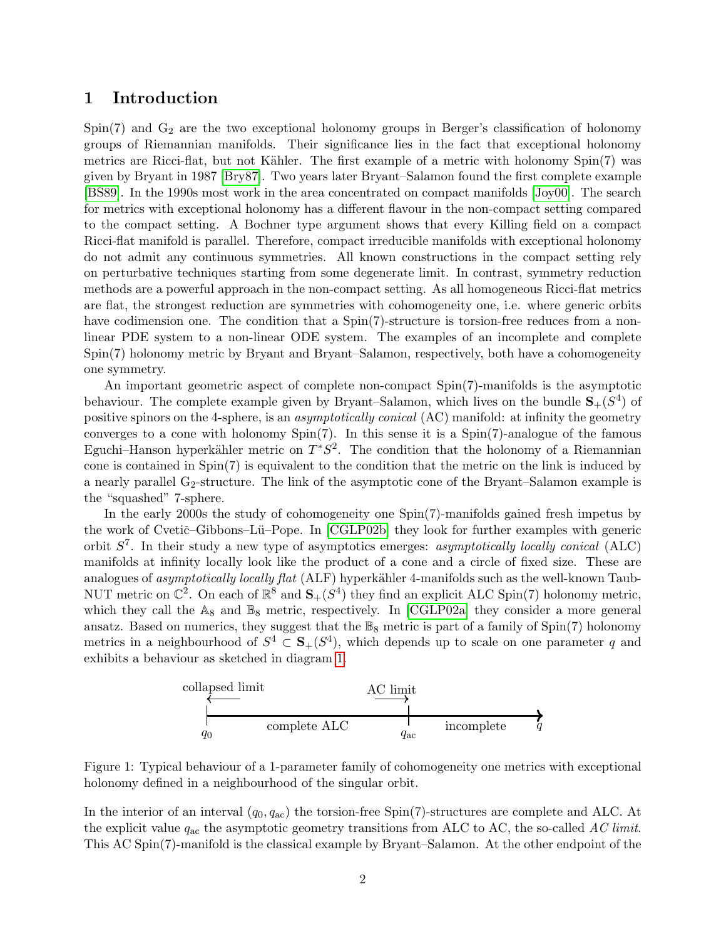## <span id="page-1-0"></span>1 Introduction

 $Spin(7)$  and  $G_2$  are the two exceptional holonomy groups in Berger's classification of holonomy groups of Riemannian manifolds. Their significance lies in the fact that exceptional holonomy metrics are Ricci-flat, but not Kähler. The first example of a metric with holonomy Spin(7) was given by Bryant in 1987 [\[Bry87\]](#page-42-0). Two years later Bryant–Salamon found the first complete example [\[BS89\]](#page-42-1). In the 1990s most work in the area concentrated on compact manifolds [\[Joy00\]](#page-42-2). The search for metrics with exceptional holonomy has a different flavour in the non-compact setting compared to the compact setting. A Bochner type argument shows that every Killing field on a compact Ricci-flat manifold is parallel. Therefore, compact irreducible manifolds with exceptional holonomy do not admit any continuous symmetries. All known constructions in the compact setting rely on perturbative techniques starting from some degenerate limit. In contrast, symmetry reduction methods are a powerful approach in the non-compact setting. As all homogeneous Ricci-flat metrics are flat, the strongest reduction are symmetries with cohomogeneity one, i.e. where generic orbits have codimension one. The condition that a  $Spin(7)$ -structure is torsion-free reduces from a nonlinear PDE system to a non-linear ODE system. The examples of an incomplete and complete Spin(7) holonomy metric by Bryant and Bryant–Salamon, respectively, both have a cohomogeneity one symmetry.

An important geometric aspect of complete non-compact Spin(7)-manifolds is the asymptotic behaviour. The complete example given by Bryant–Salamon, which lives on the bundle  $S_{+}(S^{4})$  of positive spinors on the 4-sphere, is an asymptotically conical (AC) manifold: at infinity the geometry converges to a cone with holonomy Spin(7). In this sense it is a Spin(7)-analogue of the famous Eguchi–Hanson hyperkähler metric on  $T^*S^2$ . The condition that the holonomy of a Riemannian cone is contained in Spin(7) is equivalent to the condition that the metric on the link is induced by a nearly parallel  $G_2$ -structure. The link of the asymptotic cone of the Bryant–Salamon example is the "squashed" 7-sphere.

In the early 2000s the study of cohomogeneity one Spin(7)-manifolds gained fresh impetus by the work of Cvetič–Gibbons–Lü–Pope. In [\[CGLP02b\]](#page-42-3) they look for further examples with generic orbit  $S^7$ . In their study a new type of asymptotics emerges: asymptotically locally conical (ALC) manifolds at infinity locally look like the product of a cone and a circle of fixed size. These are analogues of asymptotically locally flat (ALF) hyperkähler 4-manifolds such as the well-known Taub-NUT metric on  $\mathbb{C}^2$ . On each of  $\mathbb{R}^8$  and  $\mathbf{S}_+(S^4)$  they find an explicit ALC Spin(7) holonomy metric, which they call the  $A_8$  and  $B_8$  metric, respectively. In [\[CGLP02a\]](#page-42-4) they consider a more general ansatz. Based on numerics, they suggest that the  $\mathbb{B}_8$  metric is part of a family of Spin(7) holonomy metrics in a neighbourhood of  $S^4 \subset \mathbf{S}_+(S^4)$ , which depends up to scale on one parameter q and exhibits a behaviour as sketched in diagram [1.](#page-1-1)



<span id="page-1-1"></span>Figure 1: Typical behaviour of a 1-parameter family of cohomogeneity one metrics with exceptional holonomy defined in a neighbourhood of the singular orbit.

In the interior of an interval  $(q_0, q_{ac})$  the torsion-free Spin(7)-structures are complete and ALC. At the explicit value  $q_{ac}$  the asymptotic geometry transitions from ALC to AC, the so-called AC limit. This AC Spin(7)-manifold is the classical example by Bryant–Salamon. At the other endpoint of the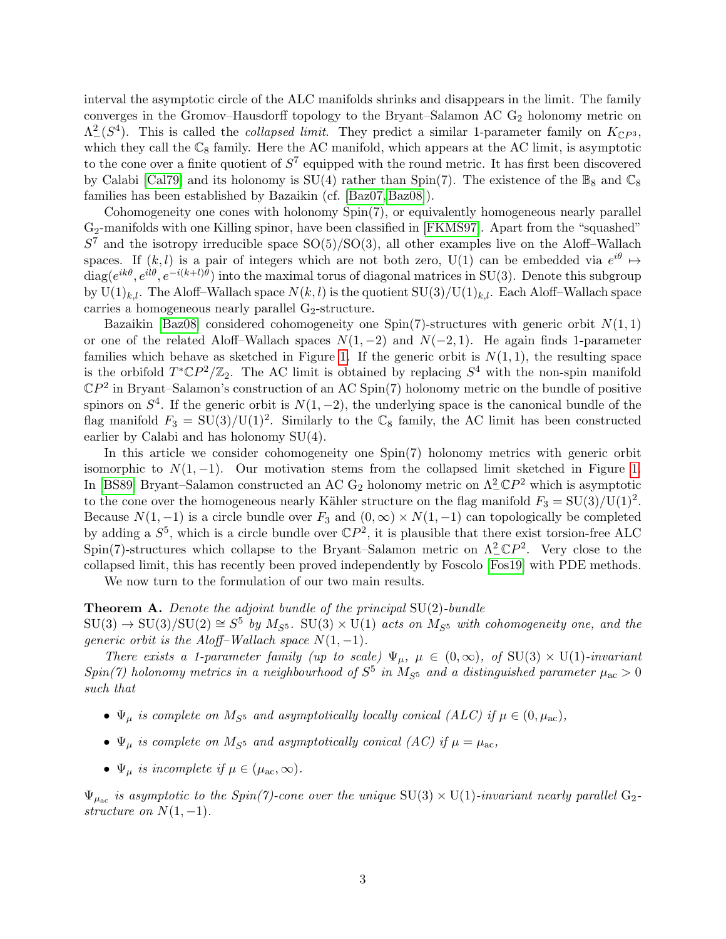interval the asymptotic circle of the ALC manifolds shrinks and disappears in the limit. The family converges in the Gromov–Hausdorff topology to the Bryant–Salamon AC  $G_2$  holonomy metric on  $\Lambda^2(\mathcal{S}^4)$ . This is called the *collapsed limit*. They predict a similar 1-parameter family on  $K_{\mathbb{C}P^3}$ , which they call the  $\mathbb{C}_8$  family. Here the AC manifold, which appears at the AC limit, is asymptotic to the cone over a finite quotient of  $S^7$  equipped with the round metric. It has first been discovered by Calabi [\[Cal79\]](#page-42-5) and its holonomy is  $SU(4)$  rather than Spin(7). The existence of the  $\mathbb{B}_8$  and  $\mathbb{C}_8$ families has been established by Bazaikin (cf. [\[Baz07,](#page-42-6) [Baz08\]](#page-42-7)).

Cohomogeneity one cones with holonomy Spin(7), or equivalently homogeneous nearly parallel G2-manifolds with one Killing spinor, have been classified in [\[FKMS97\]](#page-42-8). Apart from the "squashed"  $S<sup>7</sup>$  and the isotropy irreducible space  $SO(5)/SO(3)$ , all other examples live on the Aloff–Wallach spaces. If  $(k, l)$  is a pair of integers which are not both zero, U(1) can be embedded via  $e^{i\theta} \mapsto$  $diag(e^{ik\theta}, e^{il\theta}, e^{-i(k+l)\theta})$  into the maximal torus of diagonal matrices in SU(3). Denote this subgroup by  $U(1)_{k,l}$ . The Aloff–Wallach space  $N(k, l)$  is the quotient  $SU(3)/U(1)_{k,l}$ . Each Aloff–Wallach space carries a homogeneous nearly parallel  $G_2$ -structure.

Bazaikin [\[Baz08\]](#page-42-7) considered cohomogeneity one Spin(7)-structures with generic orbit  $N(1, 1)$ or one of the related Aloff–Wallach spaces  $N(1, -2)$  and  $N(-2, 1)$ . He again finds 1-parameter families which behave as sketched in Figure [1.](#page-1-1) If the generic orbit is  $N(1, 1)$ , the resulting space is the orbifold  $T^*\mathbb{C}P^2/\mathbb{Z}_2$ . The AC limit is obtained by replacing  $S^4$  with the non-spin manifold  $\mathbb{C}P^2$  in Bryant–Salamon's construction of an AC Spin(7) holonomy metric on the bundle of positive spinors on  $S<sup>4</sup>$ . If the generic orbit is  $N(1, -2)$ , the underlying space is the canonical bundle of the flag manifold  $F_3 = SU(3)/U(1)^2$ . Similarly to the  $\mathbb{C}_8$  family, the AC limit has been constructed earlier by Calabi and has holonomy SU(4).

In this article we consider cohomogeneity one Spin(7) holonomy metrics with generic orbit isomorphic to  $N(1, -1)$ . Our motivation stems from the collapsed limit sketched in Figure [1.](#page-1-1) In [\[BS89\]](#page-42-1) Bryant–Salamon constructed an AC  $G_2$  holonomy metric on  $\Lambda^2_- \mathbb{C}P^2$  which is asymptotic to the cone over the homogeneous nearly Kähler structure on the flag manifold  $F_3 = SU(3)/U(1)^2$ . Because  $N(1, -1)$  is a circle bundle over  $F_3$  and  $(0, \infty) \times N(1, -1)$  can topologically be completed by adding a  $S^5$ , which is a circle bundle over  $\mathbb{C}P^2$ , it is plausible that there exist torsion-free ALC Spin(7)-structures which collapse to the Bryant–Salamon metric on  $\Lambda^2_- \mathbb{C}P^2$ . Very close to the collapsed limit, this has recently been proved independently by Foscolo [\[Fos19\]](#page-42-9) with PDE methods.

We now turn to the formulation of our two main results.

## <span id="page-2-0"></span>**Theorem A.** Denote the adjoint bundle of the principal  $SU(2)$ -bundle

 $SU(3) \rightarrow SU(3)/SU(2) \cong S^5$  by  $M_{S^5}$ .  $SU(3) \times U(1)$  acts on  $M_{S^5}$  with cohomogeneity one, and the generic orbit is the Aloff–Wallach space  $N(1, -1)$ .

There exists a 1-parameter family (up to scale)  $\Psi_{\mu}$ ,  $\mu \in (0,\infty)$ , of SU(3) × U(1)-invariant  $Spin(7)$  holonomy metrics in a neighbourhood of  $S^5$  in  $M_{S^5}$  and a distinguished parameter  $\mu_{ac} > 0$ such that

- $\Psi_{\mu}$  is complete on  $M_{S^5}$  and asymptotically locally conical (ALC) if  $\mu \in (0, \mu_{\text{ac}})$ ,
- $\Psi_{\mu}$  is complete on  $M_{S^5}$  and asymptotically conical (AC) if  $\mu = \mu_{ac}$ ,
- $\Psi_{\mu}$  is incomplete if  $\mu \in (\mu_{ac}, \infty)$ .

 $\Psi_{\mu_{\rm ac}}$  is asymptotic to the Spin(7)-cone over the unique SU(3)  $\times$  U(1)-invariant nearly parallel G<sub>2</sub>structure on  $N(1, -1)$ .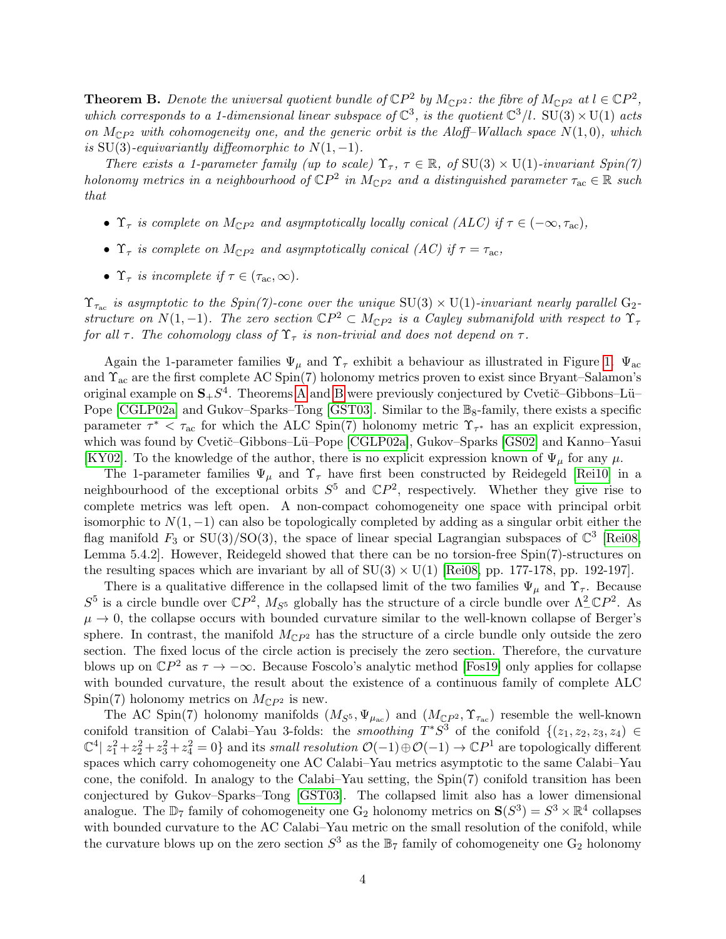<span id="page-3-0"></span>**Theorem B.** Denote the universal quotient bundle of  $\mathbb{C}P^2$  by  $M_{\mathbb{C}P^2}$ : the fibre of  $M_{\mathbb{C}P^2}$  at  $l \in \mathbb{C}P^2$ , which corresponds to a 1-dimensional linear subspace of  $\mathbb{C}^3$ , is the quotient  $\mathbb{C}^3/l$ . SU(3)  $\times$  U(1) acts on  $M_{\mathbb{C}P^2}$  with cohomogeneity one, and the generic orbit is the Aloff–Wallach space  $N(1,0)$ , which is SU(3)-equivariantly diffeomorphic to  $N(1, -1)$ .

There exists a 1-parameter family (up to scale)  $\Upsilon_{\tau}$ ,  $\tau \in \mathbb{R}$ , of SU(3)  $\times$  U(1)-invariant Spin(7) holonomy metrics in a neighbourhood of  $\mathbb{C}P^2$  in  $M_{\mathbb{C}P^2}$  and a distinguished parameter  $\tau_{ac} \in \mathbb{R}$  such that

- $\Upsilon_{\tau}$  is complete on  $M_{\mathbb{C}P^2}$  and asymptotically locally conical (ALC) if  $\tau \in (-\infty, \tau_{\text{ac}})$ ,
- $\Upsilon_{\tau}$  is complete on  $M_{\mathbb{C}P^2}$  and asymptotically conical (AC) if  $\tau = \tau_{\text{ac}}$ ,
- $\Upsilon_{\tau}$  is incomplete if  $\tau \in (\tau_{ac}, \infty)$ .

 $\Upsilon_{\tau_{\rm ac}}$  is asymptotic to the Spin(7)-cone over the unique SU(3)  $\times$  U(1)-invariant nearly parallel G<sub>2</sub>structure on  $N(1,-1)$ . The zero section  $\mathbb{C}P^2 \subset M_{\mathbb{C}P^2}$  is a Cayley submanifold with respect to  $\Upsilon_{\tau}$ for all  $\tau$ . The cohomology class of  $\Upsilon_{\tau}$  is non-trivial and does not depend on  $\tau$ .

Again the 1-parameter families  $\Psi_{\mu}$  and  $\Upsilon_{\tau}$  exhibit a behaviour as illustrated in Figure [1.](#page-1-1)  $\Psi_{\alpha c}$ and  $\Upsilon_{ac}$  are the first complete AC Spin(7) holonomy metrics proven to exist since Bryant–Salamon's original example on  $S_{+}S^{4}$ . Theorems [A](#page-2-0) and [B](#page-3-0) were previously conjectured by Cvetič–Gibbons–Lü– Pope [\[CGLP02a\]](#page-42-4) and Gukov–Sparks–Tong [\[GST03\]](#page-42-10). Similar to the  $\mathbb{B}_8$ -family, there exists a specific parameter  $\tau^* < \tau_{ac}$  for which the ALC Spin(7) holonomy metric  $\Upsilon_{\tau^*}$  has an explicit expression, which was found by Cvetič-Gibbons-Lü-Pope [\[CGLP02a\]](#page-42-4), Gukov-Sparks [\[GS02\]](#page-42-11) and Kanno-Yasui [\[KY02\]](#page-43-0). To the knowledge of the author, there is no explicit expression known of  $\Psi_{\mu}$  for any  $\mu$ .

The 1-parameter families  $\Psi_{\mu}$  and  $\Upsilon_{\tau}$  have first been constructed by Reidegeld [\[Rei10\]](#page-43-1) in a neighbourhood of the exceptional orbits  $S^5$  and  $\mathbb{C}P^2$ , respectively. Whether they give rise to complete metrics was left open. A non-compact cohomogeneity one space with principal orbit isomorphic to  $N(1, -1)$  can also be topologically completed by adding as a singular orbit either the flag manifold  $F_3$  or  $SU(3)/SO(3)$ , the space of linear special Lagrangian subspaces of  $\mathbb{C}^3$  [\[Rei08,](#page-43-2) Lemma 5.4.2]. However, Reidegeld showed that there can be no torsion-free Spin(7)-structures on the resulting spaces which are invariant by all of  $SU(3) \times U(1)$  [\[Rei08,](#page-43-2) pp. 177-178, pp. 192-197].

There is a qualitative difference in the collapsed limit of the two families  $\Psi_{\mu}$  and  $\Upsilon_{\tau}$ . Because  $S^5$  is a circle bundle over  $\mathbb{C}P^2$ ,  $M_{S^5}$  globally has the structure of a circle bundle over  $\Lambda^2_{-}\mathbb{C}P^2$ . As  $\mu \rightarrow 0$ , the collapse occurs with bounded curvature similar to the well-known collapse of Berger's sphere. In contrast, the manifold  $M_{\mathbb{C}P^2}$  has the structure of a circle bundle only outside the zero section. The fixed locus of the circle action is precisely the zero section. Therefore, the curvature blows up on  $\mathbb{C}P^2$  as  $\tau \to -\infty$ . Because Foscolo's analytic method [\[Fos19\]](#page-42-9) only applies for collapse with bounded curvature, the result about the existence of a continuous family of complete ALC Spin(7) holonomy metrics on  $M_{\mathbb{C}P^2}$  is new.

The AC Spin(7) holonomy manifolds  $(M_{S^5}, \Psi_{\mu_{ac}})$  and  $(M_{\mathbb{C}P^2}, \Upsilon_{\tau_{ac}})$  resemble the well-known conifold transition of Calabi–Yau 3-folds: the *smoothing*  $T^*S^3$  of the conifold  $\{(z_1, z_2, z_3, z_4) \in$  $\mathbb{C}^4$  |  $z_1^2 + z_2^2 + z_3^2 + z_4^2 = 0$ } and its *small resolution*  $\mathcal{O}(-1) \oplus \mathcal{O}(-1) \to \mathbb{C}P^1$  are topologically different spaces which carry cohomogeneity one AC Calabi–Yau metrics asymptotic to the same Calabi–Yau cone, the conifold. In analogy to the Calabi–Yau setting, the Spin(7) conifold transition has been conjectured by Gukov–Sparks–Tong [\[GST03\]](#page-42-10). The collapsed limit also has a lower dimensional analogue. The  $\mathbb{D}_7$  family of cohomogeneity one  $G_2$  holonomy metrics on  $\mathbf{S}(S^3) = S^3 \times \mathbb{R}^4$  collapses with bounded curvature to the AC Calabi–Yau metric on the small resolution of the conifold, while the curvature blows up on the zero section  $S^3$  as the  $\mathbb{B}_7$  family of cohomogeneity one  $G_2$  holonomy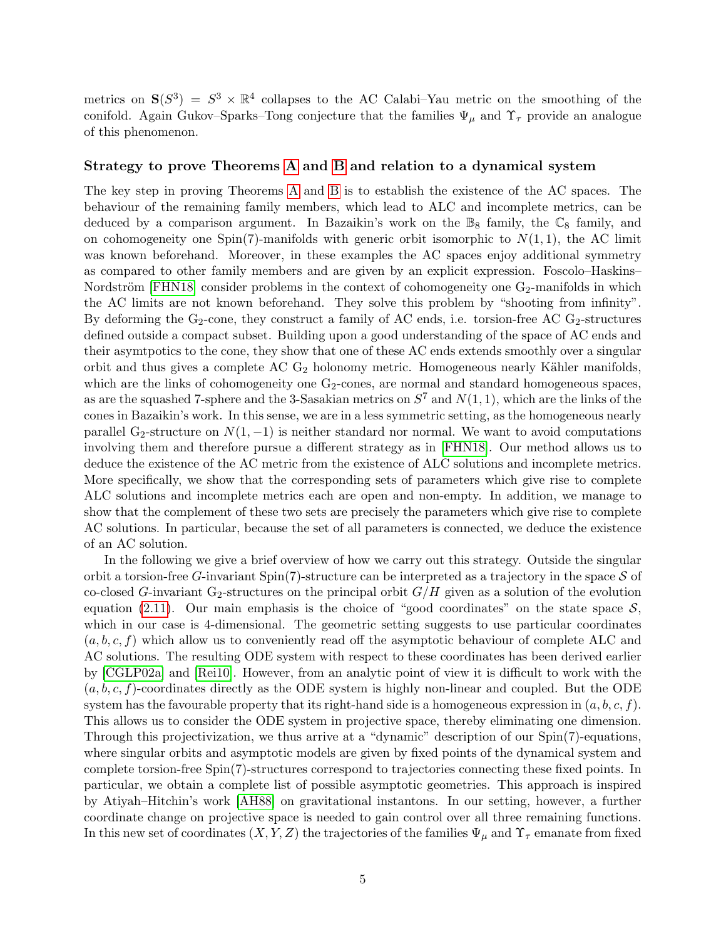metrics on  $S(S^3) = S^3 \times \mathbb{R}^4$  collapses to the AC Calabi–Yau metric on the smoothing of the conifold. Again Gukov–Sparks–Tong conjecture that the families  $\Psi_{\mu}$  and  $\Upsilon_{\tau}$  provide an analogue of this phenomenon.

#### Strategy to prove Theorems [A](#page-2-0) and [B](#page-3-0) and relation to a dynamical system

The key step in proving Theorems [A](#page-2-0) and [B](#page-3-0) is to establish the existence of the AC spaces. The behaviour of the remaining family members, which lead to ALC and incomplete metrics, can be deduced by a comparison argument. In Bazaikin's work on the  $\mathbb{B}_8$  family, the  $\mathbb{C}_8$  family, and on cohomogeneity one Spin(7)-manifolds with generic orbit isomorphic to  $N(1, 1)$ , the AC limit was known beforehand. Moreover, in these examples the AC spaces enjoy additional symmetry as compared to other family members and are given by an explicit expression. Foscolo–Haskins– Nordström [\[FHN18\]](#page-42-12) consider problems in the context of cohomogeneity one  $G_2$ -manifolds in which the AC limits are not known beforehand. They solve this problem by "shooting from infinity". By deforming the  $G_2$ -cone, they construct a family of AC ends, i.e. torsion-free AC  $G_2$ -structures defined outside a compact subset. Building upon a good understanding of the space of AC ends and their asymtpotics to the cone, they show that one of these AC ends extends smoothly over a singular orbit and thus gives a complete  $AC G_2$  holonomy metric. Homogeneous nearly Kähler manifolds, which are the links of cohomogeneity one  $G_2$ -cones, are normal and standard homogeneous spaces, as are the squashed 7-sphere and the 3-Sasakian metrics on  $S^7$  and  $N(1, 1)$ , which are the links of the cones in Bazaikin's work. In this sense, we are in a less symmetric setting, as the homogeneous nearly parallel G<sub>2</sub>-structure on  $N(1, -1)$  is neither standard nor normal. We want to avoid computations involving them and therefore pursue a different strategy as in [\[FHN18\]](#page-42-12). Our method allows us to deduce the existence of the AC metric from the existence of ALC solutions and incomplete metrics. More specifically, we show that the corresponding sets of parameters which give rise to complete ALC solutions and incomplete metrics each are open and non-empty. In addition, we manage to show that the complement of these two sets are precisely the parameters which give rise to complete AC solutions. In particular, because the set of all parameters is connected, we deduce the existence of an AC solution.

In the following we give a brief overview of how we carry out this strategy. Outside the singular orbit a torsion-free G-invariant  $Spin(7)$ -structure can be interpreted as a trajectory in the space S of co-closed G-invariant G<sub>2</sub>-structures on the principal orbit  $G/H$  given as a solution of the evolution equation [\(2.11\)](#page-9-1). Our main emphasis is the choice of "good coordinates" on the state space  $S$ , which in our case is 4-dimensional. The geometric setting suggests to use particular coordinates  $(a, b, c, f)$  which allow us to conveniently read off the asymptotic behaviour of complete ALC and AC solutions. The resulting ODE system with respect to these coordinates has been derived earlier by [\[CGLP02a\]](#page-42-4) and [\[Rei10\]](#page-43-1). However, from an analytic point of view it is difficult to work with the  $(a, b, c, f)$ -coordinates directly as the ODE system is highly non-linear and coupled. But the ODE system has the favourable property that its right-hand side is a homogeneous expression in  $(a, b, c, f)$ . This allows us to consider the ODE system in projective space, thereby eliminating one dimension. Through this projectivization, we thus arrive at a "dynamic" description of our Spin(7)-equations, where singular orbits and asymptotic models are given by fixed points of the dynamical system and complete torsion-free Spin(7)-structures correspond to trajectories connecting these fixed points. In particular, we obtain a complete list of possible asymptotic geometries. This approach is inspired by Atiyah–Hitchin's work [\[AH88\]](#page-42-13) on gravitational instantons. In our setting, however, a further coordinate change on projective space is needed to gain control over all three remaining functions. In this new set of coordinates  $(X, Y, Z)$  the trajectories of the families  $\Psi_{\mu}$  and  $\Upsilon_{\tau}$  emanate from fixed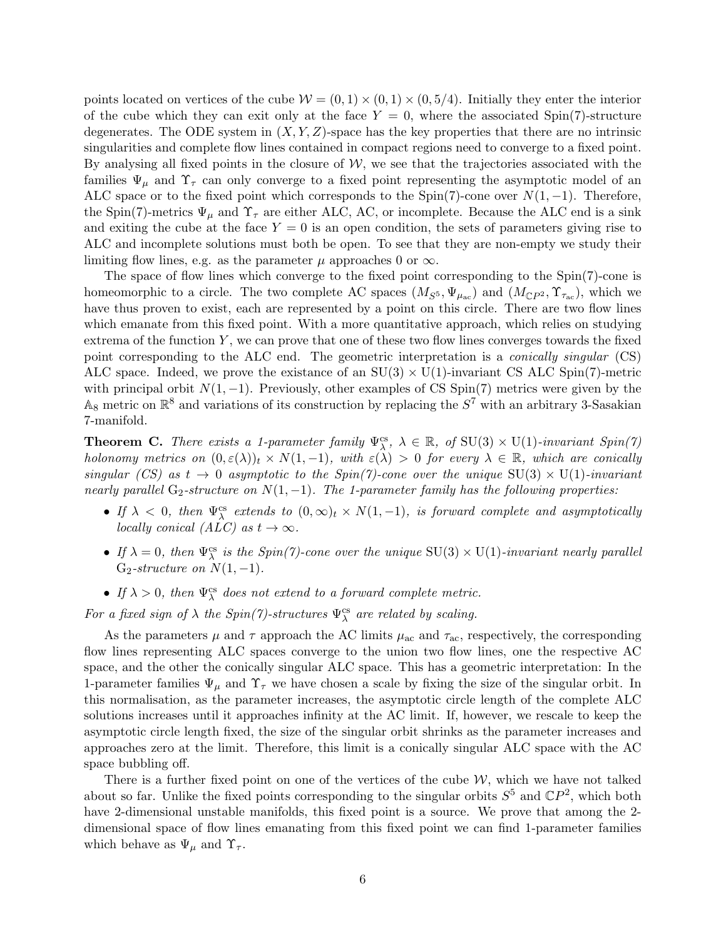points located on vertices of the cube  $W = (0, 1) \times (0, 1) \times (0, 5/4)$ . Initially they enter the interior of the cube which they can exit only at the face  $Y = 0$ , where the associated Spin(7)-structure degenerates. The ODE system in  $(X, Y, Z)$ -space has the key properties that there are no intrinsic singularities and complete flow lines contained in compact regions need to converge to a fixed point. By analysing all fixed points in the closure of  $W$ , we see that the trajectories associated with the families  $\Psi_{\mu}$  and  $\Upsilon_{\tau}$  can only converge to a fixed point representing the asymptotic model of an ALC space or to the fixed point which corresponds to the Spin(7)-cone over  $N(1, -1)$ . Therefore, the Spin(7)-metrics  $\Psi_{\mu}$  and  $\Upsilon_{\tau}$  are either ALC, AC, or incomplete. Because the ALC end is a sink and exiting the cube at the face  $Y = 0$  is an open condition, the sets of parameters giving rise to ALC and incomplete solutions must both be open. To see that they are non-empty we study their limiting flow lines, e.g. as the parameter  $\mu$  approaches 0 or  $\infty$ .

The space of flow lines which converge to the fixed point corresponding to the Spin(7)-cone is homeomorphic to a circle. The two complete AC spaces  $(M_{S^5}, \Psi_{\mu_{ac}})$  and  $(M_{\mathbb{C}P^2}, \Upsilon_{\tau_{ac}})$ , which we have thus proven to exist, each are represented by a point on this circle. There are two flow lines which emanate from this fixed point. With a more quantitative approach, which relies on studying extrema of the function  $Y$ , we can prove that one of these two flow lines converges towards the fixed point corresponding to the ALC end. The geometric interpretation is a conically singular (CS) ALC space. Indeed, we prove the existance of an  $SU(3) \times U(1)$ -invariant CS ALC Spin(7)-metric with principal orbit  $N(1, -1)$ . Previously, other examples of CS Spin(7) metrics were given by the  $\mathbb{A}_8$  metric on  $\mathbb{R}^8$  and variations of its construction by replacing the  $S^7$  with an arbitrary 3-Sasakian 7-manifold.

<span id="page-5-1"></span>**Theorem C.** There exists a 1-parameter family  $\Psi_{\lambda}^{cs}$ ,  $\lambda \in \mathbb{R}$ , of SU(3)  $\times$  U(1)-invariant Spin(7) holonomy metrics on  $(0, \varepsilon(\lambda))_t \times N(1, -1)$ , with  $\varepsilon(\lambda) > 0$  for every  $\lambda \in \mathbb{R}$ , which are conically singular (CS) as  $t \to 0$  asymptotic to the Spin(7)-cone over the unique  $SU(3) \times U(1)$ -invariant nearly parallel  $G_2$ -structure on  $N(1, -1)$ . The 1-parameter family has the following properties:

- If  $\lambda < 0$ , then  $\Psi^{\text{cs}}_{\lambda}$  extends to  $(0, \infty)_t \times N(1, -1)$ , is forward complete and asymptotically locally conical (ALC) as  $t \to \infty$ .
- If  $\lambda = 0$ , then  $\Psi_{\lambda}^{cs}$  is the Spin(7)-cone over the unique SU(3)  $\times$  U(1)-invariant nearly parallel  $G_2\text{-}structure on N(1, -1).$
- If  $\lambda > 0$ , then  $\Psi_{\lambda}^{cs}$  does not extend to a forward complete metric.

For a fixed sign of  $\lambda$  the Spin(7)-structures  $\Psi^{\text{cs}}_{\lambda}$  are related by scaling.

As the parameters  $\mu$  and  $\tau$  approach the AC limits  $\mu_{ac}$  and  $\tau_{ac}$ , respectively, the corresponding flow lines representing ALC spaces converge to the union two flow lines, one the respective AC space, and the other the conically singular ALC space. This has a geometric interpretation: In the 1-parameter families  $\Psi_{\mu}$  and  $\Upsilon_{\tau}$  we have chosen a scale by fixing the size of the singular orbit. In this normalisation, as the parameter increases, the asymptotic circle length of the complete ALC solutions increases until it approaches infinity at the AC limit. If, however, we rescale to keep the asymptotic circle length fixed, the size of the singular orbit shrinks as the parameter increases and approaches zero at the limit. Therefore, this limit is a conically singular ALC space with the AC space bubbling off.

<span id="page-5-0"></span>There is a further fixed point on one of the vertices of the cube  $W$ , which we have not talked about so far. Unlike the fixed points corresponding to the singular orbits  $S^5$  and  $\mathbb{C}P^2$ , which both have 2-dimensional unstable manifolds, this fixed point is a source. We prove that among the 2 dimensional space of flow lines emanating from this fixed point we can find 1-parameter families which behave as  $\Psi_{\mu}$  and  $\Upsilon_{\tau}$ .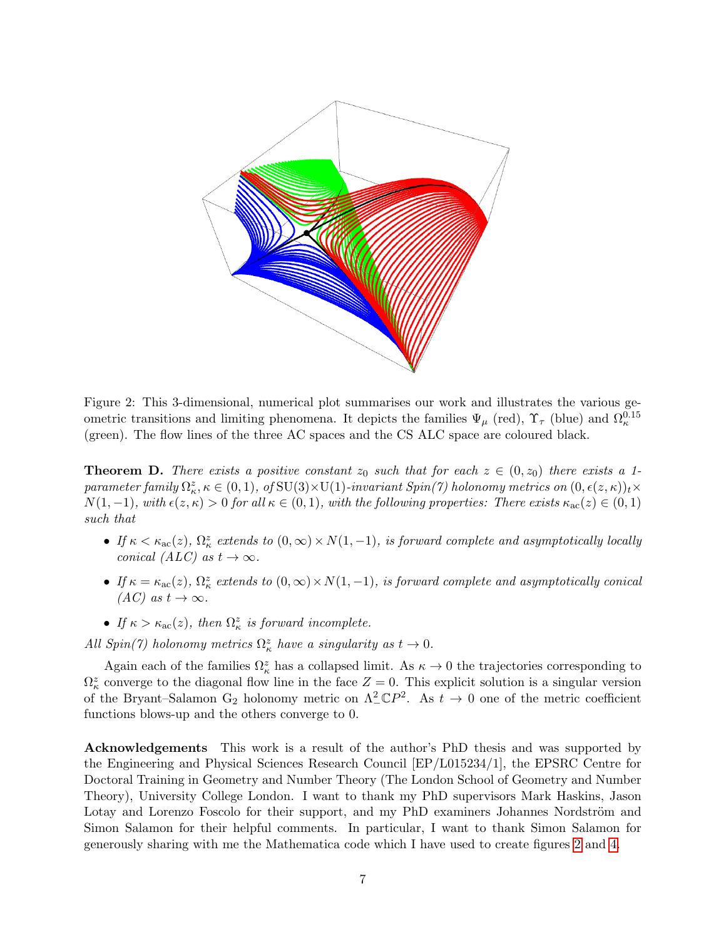

<span id="page-6-0"></span>Figure 2: This 3-dimensional, numerical plot summarises our work and illustrates the various geometric transitions and limiting phenomena. It depicts the families  $\Psi_{\mu}$  (red),  $\Upsilon_{\tau}$  (blue) and  $\Omega_{\kappa}^{0.15}$ (green). The flow lines of the three AC spaces and the CS ALC space are coloured black.

**Theorem D.** There exists a positive constant  $z_0$  such that for each  $z \in (0, z_0)$  there exists a 1 $parameter family \Omega^z_{\kappa}, \kappa \in (0,1), \; of \,\text{SU}(3)\times \text{U}(1)\textrm{-}invariant \; Spin(7) \; holonomy \; metrics \; on \; (0,\epsilon(z,\kappa))_t \times$  $N(1,-1)$ , with  $\epsilon(z,\kappa) > 0$  for all  $\kappa \in (0,1)$ , with the following properties: There exists  $\kappa_{\rm ac}(z) \in (0,1)$ such that

- If  $\kappa < \kappa_{\rm ac}(z)$ ,  $\Omega_{\kappa}^z$  extends to  $(0, \infty) \times N(1, -1)$ , is forward complete and asymptotically locally conical  $(ALC)$  as  $t \to \infty$ .
- If  $\kappa = \kappa_{\rm ac}(z)$ ,  $\Omega_{\kappa}^z$  extends to  $(0, \infty) \times N(1, -1)$ , is forward complete and asymptotically conical  $(AC)$  as  $t \to \infty$ .
- If  $\kappa > \kappa_{\rm ac}(z)$ , then  $\Omega_{\kappa}^z$  is forward incomplete.

All  $Spin(7)$  holonomy metrics  $\Omega_{\kappa}^{z}$  have a singularity as  $t \to 0$ .

Again each of the families  $\Omega_{\kappa}^{z}$  has a collapsed limit. As  $\kappa \to 0$  the trajectories corresponding to  $\Omega_{\kappa}^{z}$  converge to the diagonal flow line in the face  $Z=0$ . This explicit solution is a singular version of the Bryant–Salamon G<sub>2</sub> holonomy metric on  $\Lambda^2_{-} \mathbb{C}P^2$ . As  $t \to 0$  one of the metric coefficient functions blows-up and the others converge to 0.

Acknowledgements This work is a result of the author's PhD thesis and was supported by the Engineering and Physical Sciences Research Council [EP/L015234/1], the EPSRC Centre for Doctoral Training in Geometry and Number Theory (The London School of Geometry and Number Theory), University College London. I want to thank my PhD supervisors Mark Haskins, Jason Lotay and Lorenzo Foscolo for their support, and my PhD examiners Johannes Nordström and Simon Salamon for their helpful comments. In particular, I want to thank Simon Salamon for generously sharing with me the Mathematica code which I have used to create figures [2](#page-6-0) and [4.](#page-41-0)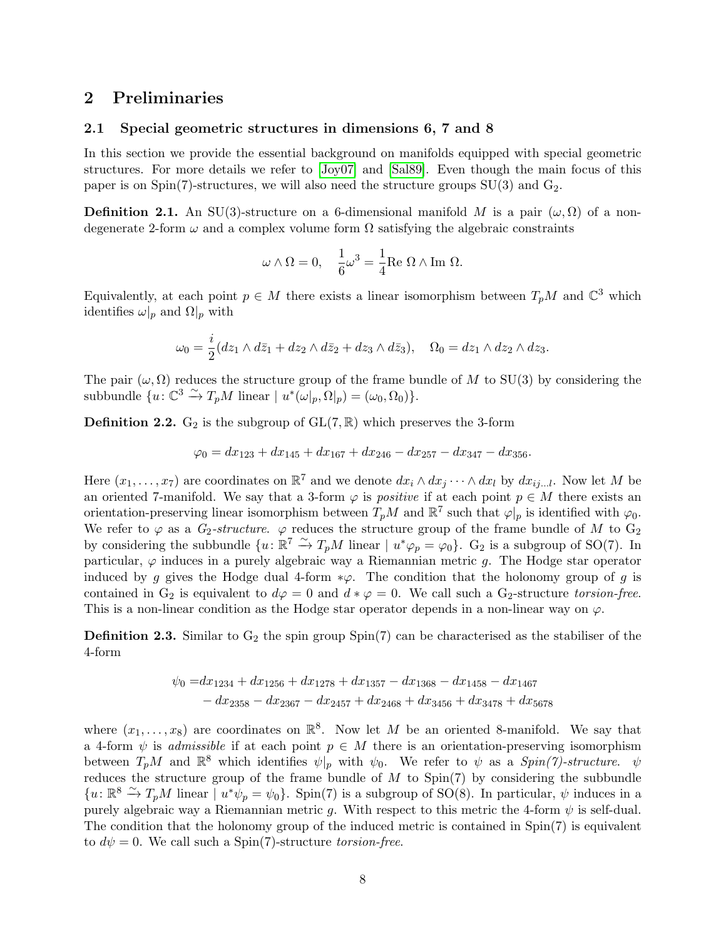## <span id="page-7-0"></span>2 Preliminaries

#### <span id="page-7-1"></span>2.1 Special geometric structures in dimensions 6, 7 and 8

In this section we provide the essential background on manifolds equipped with special geometric structures. For more details we refer to [\[Joy07\]](#page-43-3) and [\[Sal89\]](#page-43-4). Even though the main focus of this paper is on  $Spin(7)$ -structures, we will also need the structure groups  $SU(3)$  and  $G_2$ .

**Definition 2.1.** An SU(3)-structure on a 6-dimensional manifold M is a pair  $(\omega, \Omega)$  of a nondegenerate 2-form  $\omega$  and a complex volume form  $\Omega$  satisfying the algebraic constraints

$$
\omega\wedge\Omega=0,\quad \frac{1}{6}\omega^3=\frac{1}{4}\mathrm{Re}\ \Omega\wedge\mathrm{Im}\ \Omega.
$$

Equivalently, at each point  $p \in M$  there exists a linear isomorphism between  $T_pM$  and  $\mathbb{C}^3$  which identifies  $\omega|_p$  and  $\Omega|_p$  with

$$
\omega_0 = \frac{i}{2}(dz_1 \wedge d\overline{z}_1 + dz_2 \wedge d\overline{z}_2 + dz_3 \wedge d\overline{z}_3), \quad \Omega_0 = dz_1 \wedge dz_2 \wedge dz_3.
$$

The pair  $(\omega, \Omega)$  reduces the structure group of the frame bundle of M to SU(3) by considering the subbundle  $\{u: \mathbb{C}^3 \xrightarrow{\sim} T_pM \text{ linear} \mid u^*(\omega|_p, \Omega|_p) = (\omega_0, \Omega_0)\}.$ 

**Definition 2.2.** G<sub>2</sub> is the subgroup of  $GL(7, \mathbb{R})$  which preserves the 3-form

$$
\varphi_0 = dx_{123} + dx_{145} + dx_{167} + dx_{246} - dx_{257} - dx_{347} - dx_{356}.
$$

Here  $(x_1, \ldots, x_7)$  are coordinates on  $\mathbb{R}^7$  and we denote  $dx_i \wedge dx_j \cdots \wedge dx_l$  by  $dx_{ij...l}$ . Now let M be an oriented 7-manifold. We say that a 3-form  $\varphi$  is *positive* if at each point  $p \in M$  there exists an orientation-preserving linear isomorphism between  $T_pM$  and  $\mathbb{R}^7$  such that  $\varphi|_p$  is identified with  $\varphi_0$ . We refer to  $\varphi$  as a  $G_2$ -structure.  $\varphi$  reduces the structure group of the frame bundle of M to  $G_2$ by considering the subbundle  $\{u: \mathbb{R}^7 \stackrel{\sim}{\to} T_pM$  linear  $|u^*\varphi_p = \varphi_0\}$ .  $G_2$  is a subgroup of SO(7). In particular,  $\varphi$  induces in a purely algebraic way a Riemannian metric g. The Hodge star operator induced by g gives the Hodge dual 4-form  $*\varphi$ . The condition that the holonomy group of g is contained in G<sub>2</sub> is equivalent to  $d\varphi = 0$  and  $d * \varphi = 0$ . We call such a G<sub>2</sub>-structure torsion-free. This is a non-linear condition as the Hodge star operator depends in a non-linear way on  $\varphi$ .

**Definition 2.3.** Similar to  $G_2$  the spin group Spin(7) can be characterised as the stabiliser of the 4-form

$$
\psi_0 = dx_{1234} + dx_{1256} + dx_{1278} + dx_{1357} - dx_{1368} - dx_{1458} - dx_{1467}
$$
  

$$
- dx_{2358} - dx_{2367} - dx_{2457} + dx_{2468} + dx_{3456} + dx_{3478} + dx_{5678}
$$

where  $(x_1, \ldots, x_8)$  are coordinates on  $\mathbb{R}^8$ . Now let M be an oriented 8-manifold. We say that a 4-form  $\psi$  is *admissible* if at each point  $p \in M$  there is an orientation-preserving isomorphism between  $T_pM$  and  $\mathbb{R}^8$  which identifies  $\psi|_p$  with  $\psi_0$ . We refer to  $\psi$  as a  $Spin(7)$ -structure.  $\psi$ reduces the structure group of the frame bundle of  $M$  to  $Spin(7)$  by considering the subbundle  ${u:\mathbb{R}^8 \xrightarrow{\sim} T_pM}$  linear  $\overrightarrow{u^*\psi_p} = \psi_0$ . Spin(7) is a subgroup of SO(8). In particular,  $\psi$  induces in a purely algebraic way a Riemannian metric g. With respect to this metric the 4-form  $\psi$  is self-dual. The condition that the holonomy group of the induced metric is contained in Spin(7) is equivalent to  $d\psi = 0$ . We call such a Spin(7)-structure torsion-free.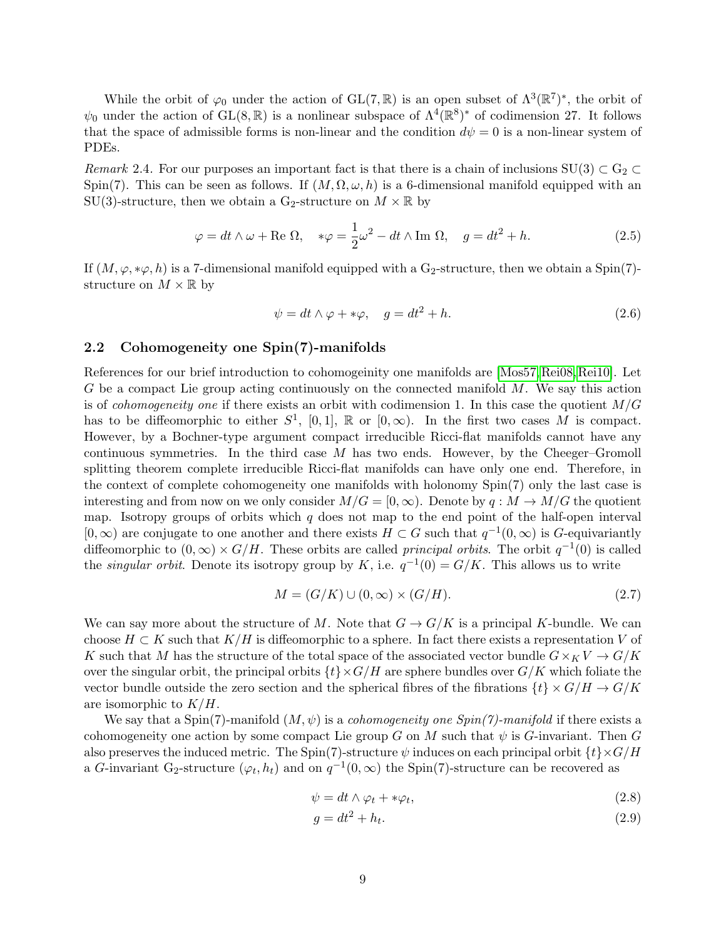While the orbit of  $\varphi_0$  under the action of GL(7, R) is an open subset of  $\Lambda^3(\mathbb{R}^7)^*$ , the orbit of  $\psi_0$  under the action of GL(8, R) is a nonlinear subspace of  $\Lambda^4(\mathbb{R}^8)^*$  of codimension 27. It follows that the space of admissible forms is non-linear and the condition  $d\psi = 0$  is a non-linear system of PDEs.

Remark 2.4. For our purposes an important fact is that there is a chain of inclusions  $SU(3) \subset G_2$ Spin(7). This can be seen as follows. If  $(M, \Omega, \omega, h)$  is a 6-dimensional manifold equipped with an SU(3)-structure, then we obtain a G<sub>2</sub>-structure on  $M \times \mathbb{R}$  by

$$
\varphi = dt \wedge \omega + \text{Re } \Omega, \quad * \varphi = \frac{1}{2} \omega^2 - dt \wedge \text{Im } \Omega, \quad g = dt^2 + h. \tag{2.5}
$$

If  $(M, \varphi, * \varphi, h)$  is a 7-dimensional manifold equipped with a G<sub>2</sub>-structure, then we obtain a Spin(7)structure on  $M \times \mathbb{R}$  by

<span id="page-8-3"></span><span id="page-8-2"></span>
$$
\psi = dt \wedge \varphi + \ast \varphi, \quad g = dt^2 + h. \tag{2.6}
$$

#### <span id="page-8-0"></span>2.2 Cohomogeneity one Spin(7)-manifolds

References for our brief introduction to cohomogeinity one manifolds are [\[Mos57,](#page-43-5)[Rei08,](#page-43-2)[Rei10\]](#page-43-1). Let G be a compact Lie group acting continuously on the connected manifold  $M$ . We say this action is of *cohomogeneity one* if there exists an orbit with codimension 1. In this case the quotient  $M/G$ has to be diffeomorphic to either  $S^1$ ,  $[0, 1]$ ,  $\mathbb R$  or  $[0, \infty)$ . In the first two cases M is compact. However, by a Bochner-type argument compact irreducible Ricci-flat manifolds cannot have any continuous symmetries. In the third case  $M$  has two ends. However, by the Cheeger–Gromoll splitting theorem complete irreducible Ricci-flat manifolds can have only one end. Therefore, in the context of complete cohomogeneity one manifolds with holonomy Spin(7) only the last case is interesting and from now on we only consider  $M/G = [0, \infty)$ . Denote by  $q : M \to M/G$  the quotient map. Isotropy groups of orbits which  $q$  does not map to the end point of the half-open interval  $[0,\infty)$  are conjugate to one another and there exists  $H \subset G$  such that  $q^{-1}(0,\infty)$  is G-equivariantly diffeomorphic to  $(0, \infty) \times G/H$ . These orbits are called *principal orbits*. The orbit  $q^{-1}(0)$  is called the *singular orbit*. Denote its isotropy group by K, i.e.  $q^{-1}(0) = G/K$ . This allows us to write

$$
M = (G/K) \cup (0, \infty) \times (G/H). \tag{2.7}
$$

We can say more about the structure of M. Note that  $G \to G/K$  is a principal K-bundle. We can choose  $H \subset K$  such that  $K/H$  is diffeomorphic to a sphere. In fact there exists a representation V of K such that M has the structure of the total space of the associated vector bundle  $G\times_K V \to G/K$ over the singular orbit, the principal orbits  $\{t\}\times G/H$  are sphere bundles over  $G/K$  which foliate the vector bundle outside the zero section and the spherical fibres of the fibrations  $\{t\} \times G/H \to G/K$ are isomorphic to  $K/H$ .

We say that a Spin(7)-manifold  $(M, \psi)$  is a *cohomogeneity one Spin(7)-manifold* if there exists a cohomogeneity one action by some compact Lie group G on M such that  $\psi$  is G-invariant. Then G also preserves the induced metric. The Spin(7)-structure  $\psi$  induces on each principal orbit  $\{t\}\times G/H$ a G-invariant G<sub>2</sub>-structure  $(\varphi_t, h_t)$  and on  $q^{-1}(0, \infty)$  the Spin(7)-structure can be recovered as

$$
\psi = dt \wedge \varphi_t + * \varphi_t,\tag{2.8}
$$

<span id="page-8-1"></span>
$$
g = dt^2 + h_t. \tag{2.9}
$$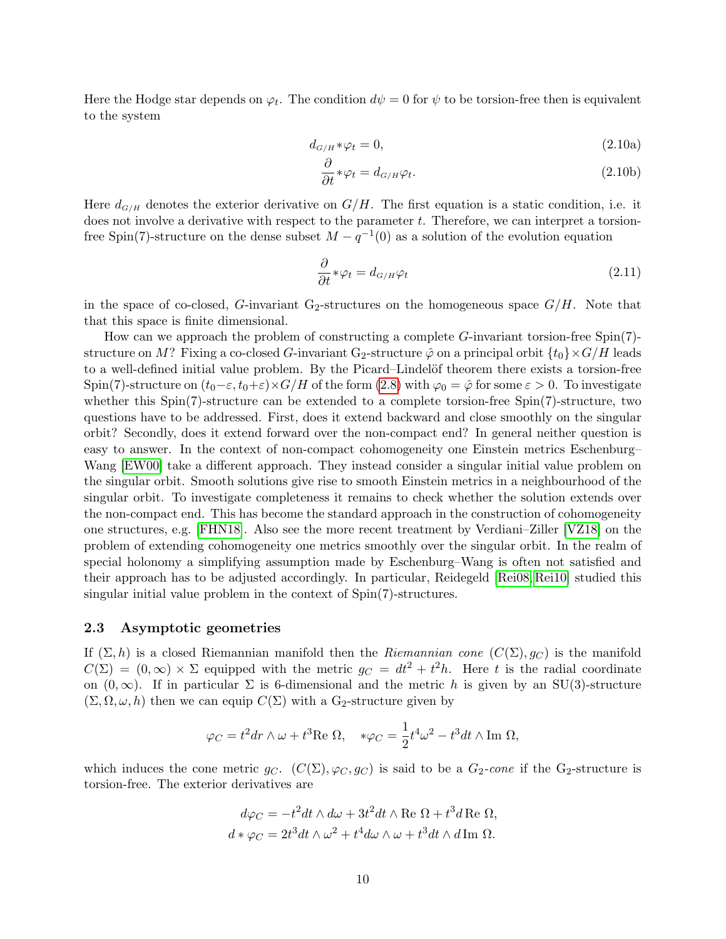<span id="page-9-3"></span>Here the Hodge star depends on  $\varphi_t$ . The condition  $d\psi = 0$  for  $\psi$  to be torsion-free then is equivalent to the system

$$
d_{G/H} * \varphi_t = 0,\t\t(2.10a)
$$

<span id="page-9-4"></span><span id="page-9-2"></span>
$$
\frac{\partial}{\partial t} * \varphi_t = d_{G/H} \varphi_t.
$$
\n(2.10b)

Here  $d_{G/H}$  denotes the exterior derivative on  $G/H$ . The first equation is a static condition, i.e. it does not involve a derivative with respect to the parameter  $t$ . Therefore, we can interpret a torsionfree Spin(7)-structure on the dense subset  $M - q^{-1}(0)$  as a solution of the evolution equation

<span id="page-9-1"></span>
$$
\frac{\partial}{\partial t} * \varphi_t = d_{G/H} \varphi_t \tag{2.11}
$$

in the space of co-closed, G-invariant G<sub>2</sub>-structures on the homogeneous space  $G/H$ . Note that that this space is finite dimensional.

How can we approach the problem of constructing a complete G-invariant torsion-free Spin(7) structure on M? Fixing a co-closed G-invariant G<sub>2</sub>-structure  $\hat{\varphi}$  on a principal orbit  $\{t_0\}\times G/H$  leads to a well-defined initial value problem. By the Picard–Lindelöf theorem there exists a torsion-free Spin(7)-structure on  $(t_0-\varepsilon, t_0+\varepsilon)\times G/H$  of the form [\(2.8\)](#page-8-1) with  $\varphi_0 = \hat{\varphi}$  for some  $\varepsilon > 0$ . To investigate whether this  $Spin(7)$ -structure can be extended to a complete torsion-free  $Spin(7)$ -structure, two questions have to be addressed. First, does it extend backward and close smoothly on the singular orbit? Secondly, does it extend forward over the non-compact end? In general neither question is easy to answer. In the context of non-compact cohomogeneity one Einstein metrics Eschenburg– Wang [\[EW00\]](#page-42-14) take a different approach. They instead consider a singular initial value problem on the singular orbit. Smooth solutions give rise to smooth Einstein metrics in a neighbourhood of the singular orbit. To investigate completeness it remains to check whether the solution extends over the non-compact end. This has become the standard approach in the construction of cohomogeneity one structures, e.g. [\[FHN18\]](#page-42-12). Also see the more recent treatment by Verdiani–Ziller [\[VZ18\]](#page-43-6) on the problem of extending cohomogeneity one metrics smoothly over the singular orbit. In the realm of special holonomy a simplifying assumption made by Eschenburg–Wang is often not satisfied and their approach has to be adjusted accordingly. In particular, Reidegeld [\[Rei08,](#page-43-2) [Rei10\]](#page-43-1) studied this singular initial value problem in the context of Spin(7)-structures.

#### <span id="page-9-0"></span>2.3 Asymptotic geometries

If  $(\Sigma, h)$  is a closed Riemannian manifold then the Riemannian cone  $(C(\Sigma), q_C)$  is the manifold  $C(\Sigma) = (0,\infty) \times \Sigma$  equipped with the metric  $g_C = dt^2 + t^2 h$ . Here t is the radial coordinate on  $(0, \infty)$ . If in particular  $\Sigma$  is 6-dimensional and the metric h is given by an SU(3)-structure  $(\Sigma, \Omega, \omega, h)$  then we can equip  $C(\Sigma)$  with a G<sub>2</sub>-structure given by

$$
\varphi_C = t^2 dr \wedge \omega + t^3 \text{Re } \Omega, \quad *\varphi_C = \frac{1}{2} t^4 \omega^2 - t^3 dt \wedge \text{Im } \Omega,
$$

which induces the cone metric  $g_C$ .  $(C(\Sigma), \varphi_C, g_C)$  is said to be a  $G_2\text{-}cone$  if the  $G_2\text{-}structure$  is torsion-free. The exterior derivatives are

$$
d\varphi_C = -t^2 dt \wedge d\omega + 3t^2 dt \wedge \text{Re }\Omega + t^3 d \text{Re }\Omega,
$$
  

$$
d * \varphi_C = 2t^3 dt \wedge \omega^2 + t^4 d\omega \wedge \omega + t^3 dt \wedge d \text{Im }\Omega.
$$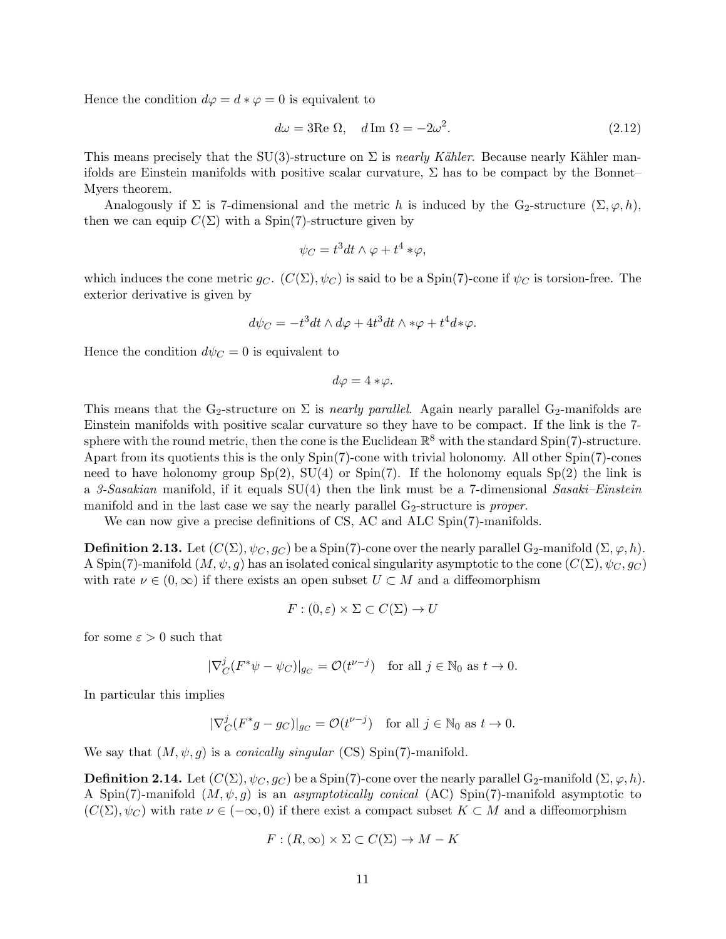Hence the condition  $d\varphi = d * \varphi = 0$  is equivalent to

$$
d\omega = 3\text{Re }\Omega, \quad d\text{Im }\Omega = -2\omega^2. \tag{2.12}
$$

This means precisely that the SU(3)-structure on  $\Sigma$  is nearly Kähler. Because nearly Kähler manifolds are Einstein manifolds with positive scalar curvature,  $\Sigma$  has to be compact by the Bonnet– Myers theorem.

Analogously if  $\Sigma$  is 7-dimensional and the metric h is induced by the G<sub>2</sub>-structure  $(\Sigma, \varphi, h)$ , then we can equip  $C(\Sigma)$  with a Spin(7)-structure given by

<span id="page-10-0"></span>
$$
\psi_C = t^3 dt \wedge \varphi + t^4 * \varphi,
$$

which induces the cone metric  $g_C$ .  $(C(\Sigma), \psi_C)$  is said to be a Spin(7)-cone if  $\psi_C$  is torsion-free. The exterior derivative is given by

$$
d\psi_C = -t^3 dt \wedge d\varphi + 4t^3 dt \wedge \psi + t^4 d\psi.
$$

Hence the condition  $d\psi_C = 0$  is equivalent to

$$
d\varphi = 4 * \varphi.
$$

This means that the G<sub>2</sub>-structure on  $\Sigma$  is *nearly parallel*. Again nearly parallel G<sub>2</sub>-manifolds are Einstein manifolds with positive scalar curvature so they have to be compact. If the link is the 7 sphere with the round metric, then the cone is the Euclidean  $\mathbb{R}^8$  with the standard Spin(7)-structure. Apart from its quotients this is the only Spin(7)-cone with trivial holonomy. All other Spin(7)-cones need to have holonomy group  $Sp(2)$ ,  $SU(4)$  or  $Spin(7)$ . If the holonomy equals  $Sp(2)$  the link is a 3-Sasakian manifold, if it equals  $SU(4)$  then the link must be a 7-dimensional Sasaki–Einstein manifold and in the last case we say the nearly parallel  $G_2$ -structure is proper.

We can now give a precise definitions of CS, AC and ALC Spin(7)-manifolds.

**Definition 2.13.** Let  $(C(\Sigma), \psi_C, g_C)$  be a Spin(7)-cone over the nearly parallel G<sub>2</sub>-manifold  $(\Sigma, \varphi, h)$ . A Spin(7)-manifold  $(M, \psi, g)$  has an isolated conical singularity asymptotic to the cone  $(C(\Sigma), \psi_C, g_C)$ with rate  $\nu \in (0,\infty)$  if there exists an open subset  $U \subset M$  and a diffeomorphism

$$
F:(0,\varepsilon)\times\Sigma\subset C(\Sigma)\to U
$$

for some  $\varepsilon > 0$  such that

$$
|\nabla_C^j (F^*\psi - \psi_C)|_{g_C} = \mathcal{O}(t^{\nu - j}) \quad \text{for all } j \in \mathbb{N}_0 \text{ as } t \to 0.
$$

In particular this implies

$$
|\nabla_C^j (F^*g - g_C)|_{g_C} = \mathcal{O}(t^{\nu - j}) \quad \text{for all } j \in \mathbb{N}_0 \text{ as } t \to 0.
$$

We say that  $(M, \psi, g)$  is a *conically singular* (CS) Spin(7)-manifold.

**Definition 2.14.** Let  $(C(\Sigma), \psi_C, g_C)$  be a Spin(7)-cone over the nearly parallel G<sub>2</sub>-manifold  $(\Sigma, \varphi, h)$ . A Spin(7)-manifold  $(M, \psi, g)$  is an asymptotically conical (AC) Spin(7)-manifold asymptotic to  $(C(\Sigma), \psi_C)$  with rate  $\nu \in (-\infty, 0)$  if there exist a compact subset  $K \subset M$  and a diffeomorphism

$$
F: (R, \infty) \times \Sigma \subset C(\Sigma) \to M - K
$$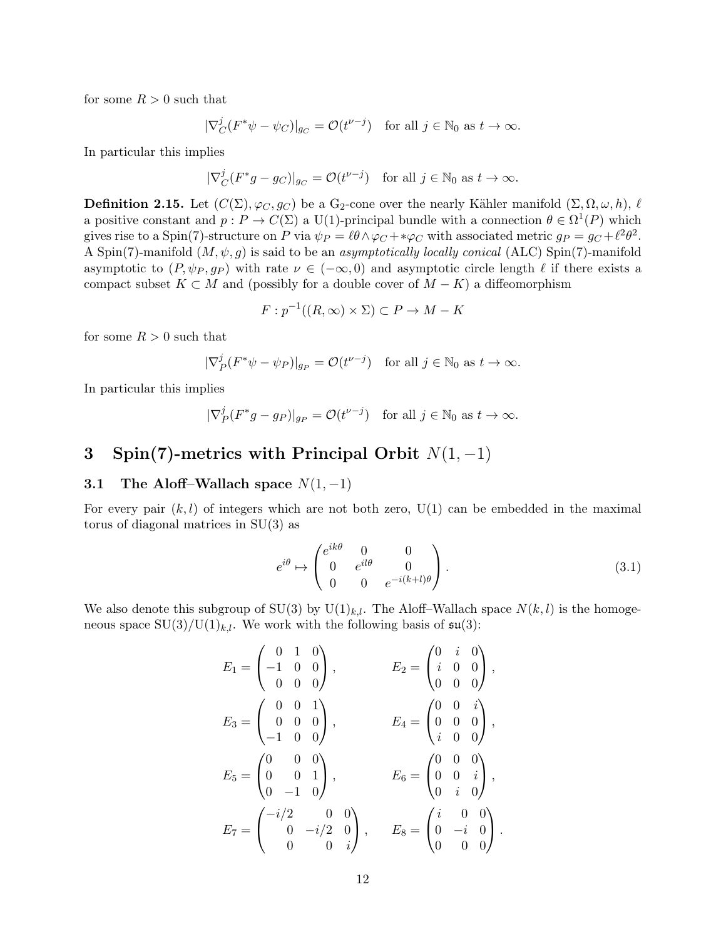for some  $R > 0$  such that

$$
|\nabla_C^j (F^*\psi - \psi_C)|_{g_C} = \mathcal{O}(t^{\nu - j}) \quad \text{for all } j \in \mathbb{N}_0 \text{ as } t \to \infty.
$$

In particular this implies

$$
|\nabla_C^j (F^*g - g_C)|_{g_C} = \mathcal{O}(t^{\nu - j}) \quad \text{for all } j \in \mathbb{N}_0 \text{ as } t \to \infty.
$$

**Definition 2.15.** Let  $(C(\Sigma), \varphi_C, g_C)$  be a G<sub>2</sub>-cone over the nearly Kähler manifold  $(\Sigma, \Omega, \omega, h)$ ,  $\ell$ a positive constant and  $p: P \to C(\Sigma)$  a U(1)-principal bundle with a connection  $\theta \in \Omega^1(P)$  which gives rise to a Spin(7)-structure on P via  $\psi_P = \ell \theta \wedge \varphi_C + *\varphi_C$  with associated metric  $g_P = g_C + \ell^2 \theta^2$ . A Spin(7)-manifold  $(M, \psi, g)$  is said to be an asymptotically locally conical (ALC) Spin(7)-manifold asymptotic to  $(P, \psi_P, g_P)$  with rate  $\nu \in (-\infty, 0)$  and asymptotic circle length  $\ell$  if there exists a compact subset  $K \subset M$  and (possibly for a double cover of  $M - K$ ) a diffeomorphism

$$
F: p^{-1}((R, \infty) \times \Sigma) \subset P \to M - K
$$

for some  $R > 0$  such that

$$
|\nabla_P^j (F^*\psi - \psi_P)|_{g_P} = \mathcal{O}(t^{\nu - j}) \quad \text{for all } j \in \mathbb{N}_0 \text{ as } t \to \infty.
$$

In particular this implies

$$
|\nabla_P^j (F^*g - g_P)|_{g_P} = \mathcal{O}(t^{\nu - j}) \quad \text{for all } j \in \mathbb{N}_0 \text{ as } t \to \infty.
$$

# <span id="page-11-0"></span>3 Spin(7)-metrics with Principal Orbit  $N(1, -1)$

## <span id="page-11-1"></span>3.1 The Aloff–Wallach space  $N(1, -1)$

For every pair  $(k, l)$  of integers which are not both zero, U(1) can be embedded in the maximal torus of diagonal matrices in SU(3) as

<span id="page-11-2"></span>
$$
e^{i\theta} \mapsto \begin{pmatrix} e^{ik\theta} & 0 & 0 \\ 0 & e^{il\theta} & 0 \\ 0 & 0 & e^{-i(k+l)\theta} \end{pmatrix}.
$$
 (3.1)

We also denote this subgroup of  $SU(3)$  by  $U(1)_{k,l}$ . The Aloff–Wallach space  $N(k, l)$  is the homogeneous space  $SU(3)/U(1)_{k,l}$ . We work with the following basis of  $\mathfrak{su}(3)$ :

$$
E_1 = \begin{pmatrix} 0 & 1 & 0 \\ -1 & 0 & 0 \\ 0 & 0 & 0 \end{pmatrix}, \t E_2 = \begin{pmatrix} 0 & i & 0 \\ i & 0 & 0 \\ 0 & 0 & 0 \end{pmatrix},
$$
  
\n
$$
E_3 = \begin{pmatrix} 0 & 0 & 1 \\ 0 & 0 & 0 \\ -1 & 0 & 0 \end{pmatrix}, \t E_4 = \begin{pmatrix} 0 & 0 & i \\ 0 & 0 & 0 \\ i & 0 & 0 \end{pmatrix},
$$
  
\n
$$
E_5 = \begin{pmatrix} 0 & 0 & 0 \\ 0 & 0 & 1 \\ 0 & -1 & 0 \end{pmatrix}, \t E_6 = \begin{pmatrix} 0 & 0 & 0 \\ 0 & 0 & i \\ 0 & i & 0 \end{pmatrix},
$$
  
\n
$$
E_7 = \begin{pmatrix} -i/2 & 0 & 0 \\ 0 & -i/2 & 0 \\ 0 & 0 & i \end{pmatrix}, \t E_8 = \begin{pmatrix} i & 0 & 0 \\ 0 & -i & 0 \\ 0 & 0 & 0 \end{pmatrix}.
$$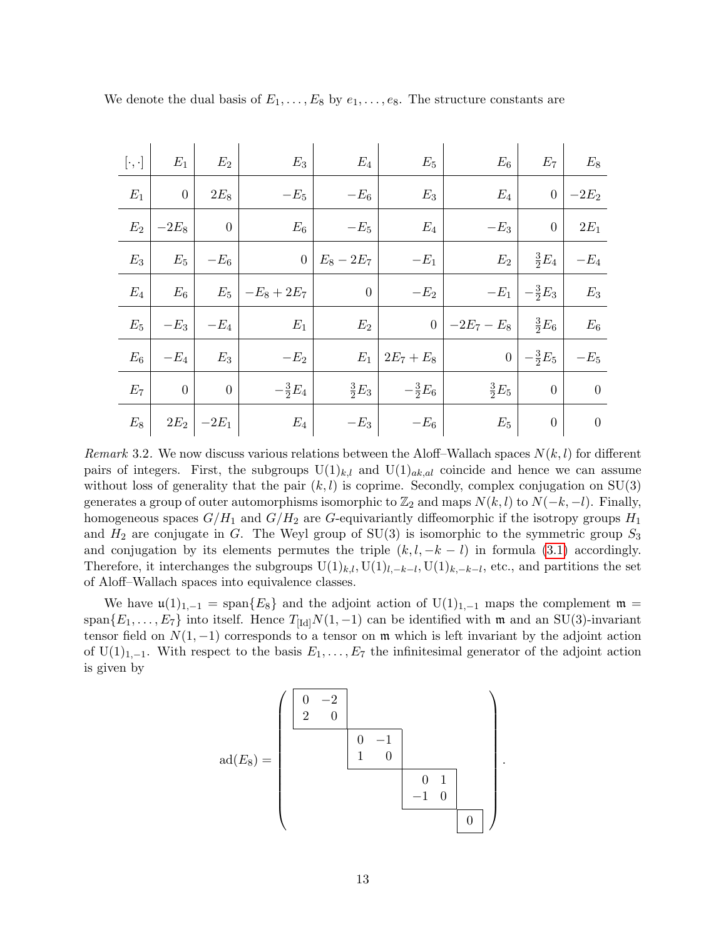| $[\cdot,\cdot]$ | $E_1$            | $E_2$            | $E_3$             | $E_4$            | $E_5$              | $E_6$             | $E_7$                            | $E_8$            |
|-----------------|------------------|------------------|-------------------|------------------|--------------------|-------------------|----------------------------------|------------------|
| $E_1$           | $\overline{0}$   | $2E_8$           | $-E_5$            | $-E_6$           | $E_3$              | $E_4$             | $\overline{0}$                   | $-2E_2$          |
| $E_2$           | $-2E_8$          | $\boldsymbol{0}$ | $E_6$             | $-E_5$           | $E_4$              | $-E_3$            | $\overline{0}$                   | $2E_1$           |
| $E_3$           | $E_5$            | $-E_6$           | $\overline{0}$    | $E_8 - 2E_7$     | $-E_1$             | $E_2$             | $rac{3}{2}E_4$                   | $-E_4$           |
| $E_4$           | $E_6$            | $E_5$            | $ -E_8+2E_7 $     | $\boldsymbol{0}$ | $-E_2$             |                   | $-E_1 \mid -\frac{3}{2}E_3 \mid$ | $E_3$            |
| $E_5$           | $-E_3$           | $-E_4$           | $E_1$             | $E_2$            |                    | 0   $-2E_7 - E_8$ | $rac{3}{2}E_6$                   | $E_6$            |
| $E_{6}$         | $-E_4$           | $E_3$            | $-E_2$            |                  | $E_1   2E_7 + E_8$ | $\overline{0}$    | $-\frac{3}{2}E_5$                | $-E_5$           |
| $E_7$           | $\boldsymbol{0}$ | $\boldsymbol{0}$ | $-\frac{3}{2}E_4$ | $\frac{3}{2}E_3$ | $-\frac{3}{2}E_6$  | $rac{3}{2}E_5$    | $\boldsymbol{0}$                 | $\theta$         |
| $E_{8}$         |                  | $2E_2$ $-2E_1$   | $E_{4}$           | $-E_3$           | $-E_6$             | $E_{5}$           | $\boldsymbol{0}$                 | $\boldsymbol{0}$ |

We denote the dual basis of  $E_1, \ldots, E_8$  by  $e_1, \ldots, e_8$ . The structure constants are

<span id="page-12-0"></span>Remark 3.2. We now discuss various relations between the Aloff–Wallach spaces  $N(k, l)$  for different pairs of integers. First, the subgroups  $U(1)_{k,l}$  and  $U(1)_{ak,al}$  coincide and hence we can assume without loss of generality that the pair  $(k, l)$  is coprime. Secondly, complex conjugation on  $SU(3)$ generates a group of outer automorphisms isomorphic to  $\mathbb{Z}_2$  and maps  $N(k, l)$  to  $N(-k, -l)$ . Finally, homogeneous spaces  $G/H_1$  and  $G/H_2$  are G-equivariantly diffeomorphic if the isotropy groups  $H_1$ and  $H_2$  are conjugate in G. The Weyl group of SU(3) is isomorphic to the symmetric group  $S_3$ and conjugation by its elements permutes the triple  $(k, l, -k - l)$  in formula [\(3.1\)](#page-11-2) accordingly. Therefore, it interchanges the subgroups  $U(1)_{k,l}$ ,  $U(1)_{l,-k-l}$ ,  $U(1)_{k,-k-l}$ , etc., and partitions the set of Aloff–Wallach spaces into equivalence classes.

We have  $\mathfrak{u}(1)_{1,-1} = \text{span}\{E_8\}$  and the adjoint action of  $U(1)_{1,-1}$  maps the complement  $\mathfrak{m} =$ span ${E_1, \ldots, E_7}$  into itself. Hence  $T_{\text{Id}}N(1, -1)$  can be identified with m and an SU(3)-invariant tensor field on  $N(1, -1)$  corresponds to a tensor on  $\mathfrak m$  which is left invariant by the adjoint action of U(1)<sub>1,−1</sub>. With respect to the basis  $E_1, \ldots, E_7$  the infinitesimal generator of the adjoint action is given by

$$
ad(E_8) = \left(\begin{array}{c|cc} 0 & -2 & & & \\ 2 & 0 & & & \\ & & 0 & -1 & \\ & & & 1 & 0 & \\ & & & & & 0 & 1 \\ & & & & & & 0 \\ & & & & & & & 0 \\ \end{array}\right)
$$

.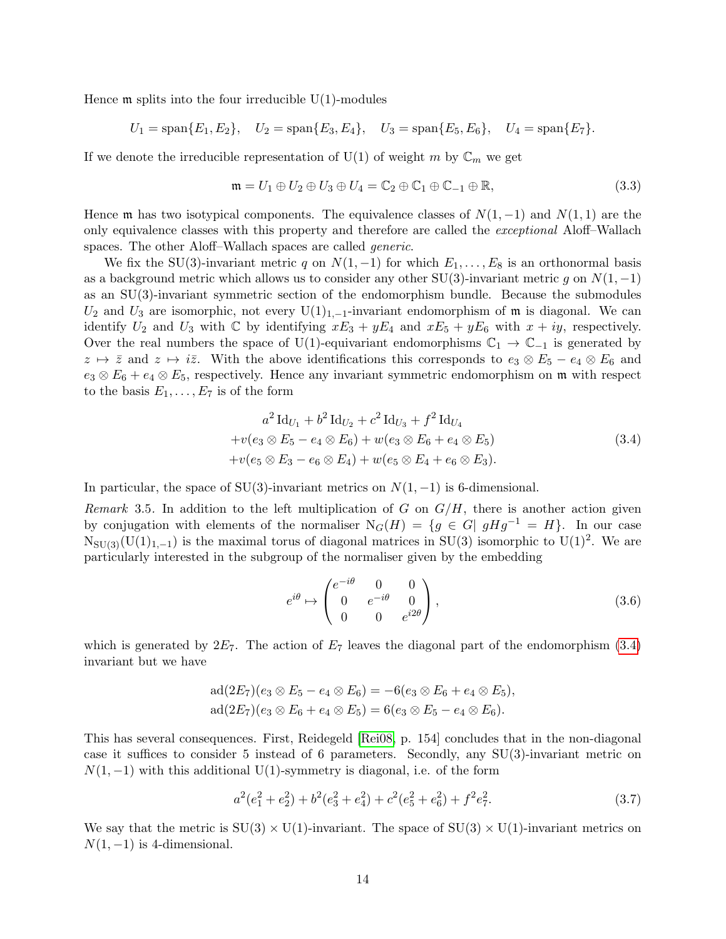Hence  $\mathfrak m$  splits into the four irreducible U(1)-modules

$$
U_1 = \text{span}\{E_1, E_2\}, \quad U_2 = \text{span}\{E_3, E_4\}, \quad U_3 = \text{span}\{E_5, E_6\}, \quad U_4 = \text{span}\{E_7\}.
$$

If we denote the irreducible representation of U(1) of weight m by  $\mathbb{C}_m$  we get

<span id="page-13-4"></span>
$$
\mathfrak{m} = U_1 \oplus U_2 \oplus U_3 \oplus U_4 = \mathbb{C}_2 \oplus \mathbb{C}_1 \oplus \mathbb{C}_{-1} \oplus \mathbb{R},\tag{3.3}
$$

Hence m has two isotypical components. The equivalence classes of  $N(1, -1)$  and  $N(1, 1)$  are the only equivalence classes with this property and therefore are called the exceptional Aloff–Wallach spaces. The other Aloff–Wallach spaces are called *generic*.

We fix the SU(3)-invariant metric q on  $N(1, -1)$  for which  $E_1, \ldots, E_8$  is an orthonormal basis as a background metric which allows us to consider any other SU(3)-invariant metric g on  $N(1, -1)$ as an SU(3)-invariant symmetric section of the endomorphism bundle. Because the submodules  $U_2$  and  $U_3$  are isomorphic, not every  $U(1)_{1,-1}$ -invariant endomorphism of m is diagonal. We can identify  $U_2$  and  $U_3$  with  $\mathbb C$  by identifying  $xE_3 + yE_4$  and  $xE_5 + yE_6$  with  $x + iy$ , respectively. Over the real numbers the space of U(1)-equivariant endomorphisms  $\mathbb{C}_1 \to \mathbb{C}_{-1}$  is generated by  $z \mapsto \overline{z}$  and  $z \mapsto i\overline{z}$ . With the above identifications this corresponds to  $e_3 \otimes E_5 - e_4 \otimes E_6$  and  $e_3 \otimes E_6 + e_4 \otimes E_5$ , respectively. Hence any invariant symmetric endomorphism on m with respect to the basis  $E_1, \ldots, E_7$  is of the form

$$
a^{2} Id_{U_{1}} + b^{2} Id_{U_{2}} + c^{2} Id_{U_{3}} + f^{2} Id_{U_{4}} + v(e_{3} \otimes E_{5} - e_{4} \otimes E_{6}) + w(e_{3} \otimes E_{6} + e_{4} \otimes E_{5}) + v(e_{5} \otimes E_{3} - e_{6} \otimes E_{4}) + w(e_{5} \otimes E_{4} + e_{6} \otimes E_{3}).
$$
\n(3.4)

In particular, the space of SU(3)-invariant metrics on  $N(1, -1)$  is 6-dimensional.

<span id="page-13-2"></span>Remark 3.5. In addition to the left multiplication of G on  $G/H$ , there is another action given by conjugation with elements of the normaliser  $N_G(H) = \{g \in G | gHg^{-1} = H\}$ . In our case  $N_{SU(3)}(U(1)_{1,-1})$  is the maximal torus of diagonal matrices in SU(3) isomorphic to U(1)<sup>2</sup>. We are particularly interested in the subgroup of the normaliser given by the embedding

<span id="page-13-1"></span><span id="page-13-0"></span>
$$
e^{i\theta} \mapsto \begin{pmatrix} e^{-i\theta} & 0 & 0 \\ 0 & e^{-i\theta} & 0 \\ 0 & 0 & e^{i2\theta} \end{pmatrix},
$$
 (3.6)

which is generated by  $2E_7$ . The action of  $E_7$  leaves the diagonal part of the endomorphism [\(3.4\)](#page-13-0) invariant but we have

$$
ad(2E_7)(e_3 \otimes E_5 - e_4 \otimes E_6) = -6(e_3 \otimes E_6 + e_4 \otimes E_5),
$$
  

$$
ad(2E_7)(e_3 \otimes E_6 + e_4 \otimes E_5) = 6(e_3 \otimes E_5 - e_4 \otimes E_6).
$$

This has several consequences. First, Reidegeld [\[Rei08,](#page-43-2) p. 154] concludes that in the non-diagonal case it suffices to consider 5 instead of 6 parameters. Secondly, any SU(3)-invariant metric on  $N(1, -1)$  with this additional U(1)-symmetry is diagonal, i.e. of the form

<span id="page-13-5"></span>
$$
a^2(e_1^2 + e_2^2) + b^2(e_3^2 + e_4^2) + c^2(e_5^2 + e_6^2) + f^2e_7^2.
$$
 (3.7)

<span id="page-13-3"></span>We say that the metric is  $SU(3) \times U(1)$ -invariant. The space of  $SU(3) \times U(1)$ -invariant metrics on  $N(1, -1)$  is 4-dimensional.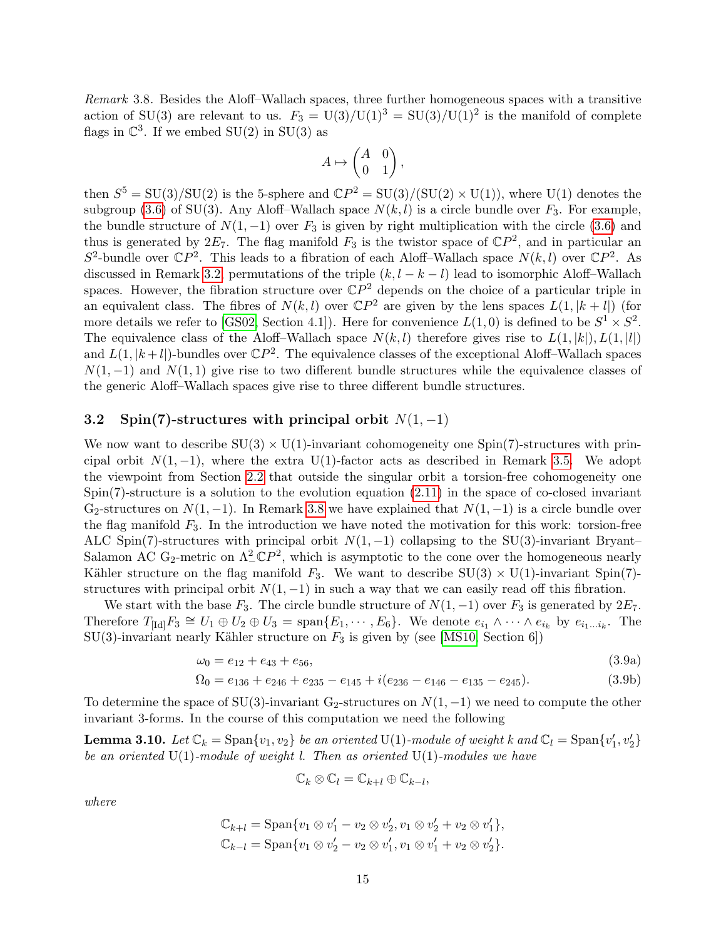Remark 3.8. Besides the Aloff–Wallach spaces, three further homogeneous spaces with a transitive action of SU(3) are relevant to us.  $F_3 = U(3)/U(1)^3 = SU(3)/U(1)^2$  is the manifold of complete flags in  $\mathbb{C}^3$ . If we embed SU(2) in SU(3) as

$$
A \mapsto \begin{pmatrix} A & 0 \\ 0 & 1 \end{pmatrix},
$$

then  $S^5 = SU(3)/SU(2)$  is the 5-sphere and  $\mathbb{C}P^2 = SU(3)/(SU(2) \times U(1))$ , where  $U(1)$  denotes the subgroup [\(3.6\)](#page-13-1) of SU(3). Any Aloff–Wallach space  $N(k, l)$  is a circle bundle over  $F_3$ . For example, the bundle structure of  $N(1, -1)$  over  $F_3$  is given by right multiplication with the circle [\(3.6\)](#page-13-1) and thus is generated by  $2E_7$ . The flag manifold  $F_3$  is the twistor space of  $\mathbb{C}P^2$ , and in particular an  $S^2$ -bundle over  $\mathbb{C}P^2$ . This leads to a fibration of each Aloff–Wallach space  $N(k, l)$  over  $\mathbb{C}P^2$ . As discussed in Remark [3.2,](#page-12-0) permutations of the triple  $(k, l - k - l)$  lead to isomorphic Aloff–Wallach spaces. However, the fibration structure over  $\mathbb{C}P^2$  depends on the choice of a particular triple in an equivalent class. The fibres of  $N(k, l)$  over  $\mathbb{C}P^2$  are given by the lens spaces  $L(1, |k + l|)$  (for more details we refer to [\[GS02,](#page-42-11) Section 4.1]). Here for convenience  $L(1,0)$  is defined to be  $S^1 \times S^2$ . The equivalence class of the Aloff–Wallach space  $N(k, l)$  therefore gives rise to  $L(1, |k|), L(1, |l|)$ and  $L(1, |k+l|)$ -bundles over  $\mathbb{C}P^2$ . The equivalence classes of the exceptional Aloff–Wallach spaces  $N(1, -1)$  and  $N(1, 1)$  give rise to two different bundle structures while the equivalence classes of the generic Aloff–Wallach spaces give rise to three different bundle structures.

## <span id="page-14-0"></span>3.2 Spin(7)-structures with principal orbit  $N(1, -1)$

We now want to describe  $SU(3) \times U(1)$ -invariant cohomogeneity one Spin(7)-structures with principal orbit  $N(1, -1)$ , where the extra U(1)-factor acts as described in Remark [3.5.](#page-13-2) We adopt the viewpoint from Section [2.2](#page-8-0) that outside the singular orbit a torsion-free cohomogeneity one  $Spin(7)$ -structure is a solution to the evolution equation  $(2.11)$  in the space of co-closed invariant G<sub>2</sub>-structures on  $N(1, -1)$ . In Remark [3.8](#page-13-3) we have explained that  $N(1, -1)$  is a circle bundle over the flag manifold  $F_3$ . In the introduction we have noted the motivation for this work: torsion-free ALC Spin(7)-structures with principal orbit  $N(1, -1)$  collapsing to the SU(3)-invariant Bryant– Salamon AC G<sub>2</sub>-metric on  $\Lambda^2_{-} \mathbb{C}P^2$ , which is asymptotic to the cone over the homogeneous nearly Kähler structure on the flag manifold  $F_3$ . We want to describe  $SU(3) \times U(1)$ -invariant Spin(7)structures with principal orbit  $N(1, -1)$  in such a way that we can easily read off this fibration.

We start with the base  $F_3$ . The circle bundle structure of  $N(1, -1)$  over  $F_3$  is generated by  $2E_7$ . Therefore  $T_{\text{Id}}F_3 \cong U_1 \oplus U_2 \oplus U_3 = \text{span}\{E_1, \cdots, E_6\}$ . We denote  $e_{i_1} \wedge \cdots \wedge e_{i_k}$  by  $e_{i_1...i_k}$ . The SU(3)-invariant nearly Kähler structure on  $F_3$  is given by (see [\[MS10,](#page-43-7) Section 6])

$$
\omega_0 = e_{12} + e_{43} + e_{56},\tag{3.9a}
$$

$$
\Omega_0 = e_{136} + e_{246} + e_{235} - e_{145} + i(e_{236} - e_{146} - e_{135} - e_{245}).\tag{3.9b}
$$

To determine the space of SU(3)-invariant G<sub>2</sub>-structures on  $N(1, -1)$  we need to compute the other invariant 3-forms. In the course of this computation we need the following

<span id="page-14-1"></span>**Lemma 3.10.** Let  $\mathbb{C}_k = \text{Span}\{v_1, v_2\}$  be an oriented U(1)-module of weight k and  $\mathbb{C}_l = \text{Span}\{v'_1, v'_2\}$ be an oriented  $U(1)$ -module of weight l. Then as oriented  $U(1)$ -modules we have

<span id="page-14-3"></span>
$$
\mathbb{C}_k \otimes \mathbb{C}_l = \mathbb{C}_{k+l} \oplus \mathbb{C}_{k-l},
$$

<span id="page-14-2"></span>where

$$
\mathbb{C}_{k+l} = \text{Span}\{v_1 \otimes v_1' - v_2 \otimes v_2', v_1 \otimes v_2' + v_2 \otimes v_1'\},
$$
  

$$
\mathbb{C}_{k-l} = \text{Span}\{v_1 \otimes v_2' - v_2 \otimes v_1', v_1 \otimes v_1' + v_2 \otimes v_2'\}.
$$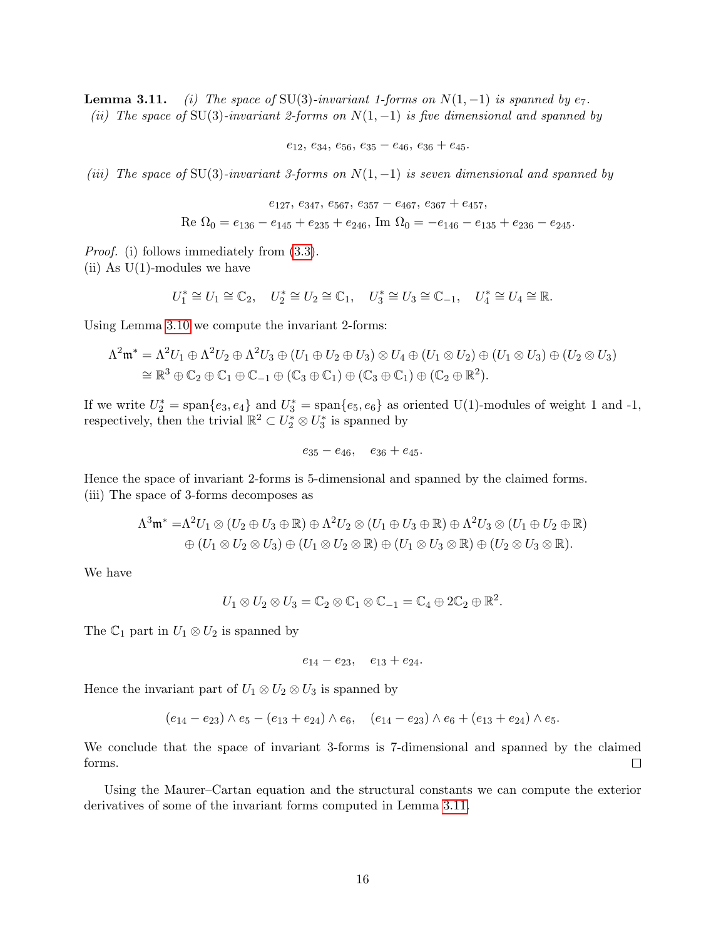**Lemma 3.11.** (i) The space of SU(3)-invariant 1-forms on  $N(1,-1)$  is spanned by  $e_7$ . (ii) The space of SU(3)-invariant 2-forms on  $N(1, -1)$  is five dimensional and spanned by

 $e_{12}, e_{34}, e_{56}, e_{35} - e_{46}, e_{36} + e_{45}.$ 

(iii) The space of SU(3)-invariant 3-forms on  $N(1, -1)$  is seven dimensional and spanned by

 $e_{127}, e_{347}, e_{567}, e_{357} - e_{467}, e_{367} + e_{457}$ 

Re  $\Omega_0 = e_{136} - e_{145} + e_{235} + e_{246}$ , Im  $\Omega_0 = -e_{146} - e_{135} + e_{236} - e_{245}$ .

Proof. (i) follows immediately from [\(3.3\)](#page-13-4).

(ii) As  $U(1)$ -modules we have

$$
U_1^* \cong U_1 \cong \mathbb{C}_2, \quad U_2^* \cong U_2 \cong \mathbb{C}_1, \quad U_3^* \cong U_3 \cong \mathbb{C}_{-1}, \quad U_4^* \cong U_4 \cong \mathbb{R}.
$$

Using Lemma [3.10](#page-14-1) we compute the invariant 2-forms:

$$
\Lambda^2 \mathfrak{m}^* = \Lambda^2 U_1 \oplus \Lambda^2 U_2 \oplus \Lambda^2 U_3 \oplus (U_1 \oplus U_2 \oplus U_3) \otimes U_4 \oplus (U_1 \otimes U_2) \oplus (U_1 \otimes U_3) \oplus (U_2 \otimes U_3)
$$
  
\n
$$
\cong \mathbb{R}^3 \oplus \mathbb{C}_2 \oplus \mathbb{C}_1 \oplus \mathbb{C}_{-1} \oplus (\mathbb{C}_3 \oplus \mathbb{C}_1) \oplus (\mathbb{C}_3 \oplus \mathbb{C}_1) \oplus (\mathbb{C}_2 \oplus \mathbb{R}^2).
$$

If we write  $U_2^* = \text{span}\{e_3, e_4\}$  and  $U_3^* = \text{span}\{e_5, e_6\}$  as oriented U(1)-modules of weight 1 and -1, respectively, then the trivial  $\mathbb{R}^2 \subset U_2^* \otimes U_3^*$  is spanned by

$$
e_{35}-e_{46},\quad e_{36}+e_{45}.
$$

Hence the space of invariant 2-forms is 5-dimensional and spanned by the claimed forms. (iii) The space of 3-forms decomposes as

$$
\Lambda^3 \mathfrak{m}^* = \Lambda^2 U_1 \otimes (U_2 \oplus U_3 \oplus \mathbb{R}) \oplus \Lambda^2 U_2 \otimes (U_1 \oplus U_3 \oplus \mathbb{R}) \oplus \Lambda^2 U_3 \otimes (U_1 \oplus U_2 \oplus \mathbb{R})
$$
  

$$
\oplus (U_1 \otimes U_2 \otimes U_3) \oplus (U_1 \otimes U_2 \otimes \mathbb{R}) \oplus (U_1 \otimes U_3 \otimes \mathbb{R}) \oplus (U_2 \otimes U_3 \otimes \mathbb{R}).
$$

We have

$$
U_1 \otimes U_2 \otimes U_3 = \mathbb{C}_2 \otimes \mathbb{C}_1 \otimes \mathbb{C}_{-1} = \mathbb{C}_4 \oplus 2\mathbb{C}_2 \oplus \mathbb{R}^2.
$$

The  $\mathbb{C}_1$  part in  $U_1 \otimes U_2$  is spanned by

 $e_{14} - e_{23}$ ,  $e_{13} + e_{24}$ .

Hence the invariant part of  $U_1 \otimes U_2 \otimes U_3$  is spanned by

$$
(e_{14}-e_{23}) \wedge e_5 - (e_{13}+e_{24}) \wedge e_6, (e_{14}-e_{23}) \wedge e_6 + (e_{13}+e_{24}) \wedge e_5.
$$

We conclude that the space of invariant 3-forms is 7-dimensional and spanned by the claimed forms.  $\Box$ 

<span id="page-15-0"></span>Using the Maurer–Cartan equation and the structural constants we can compute the exterior derivatives of some of the invariant forms computed in Lemma [3.11.](#page-14-2)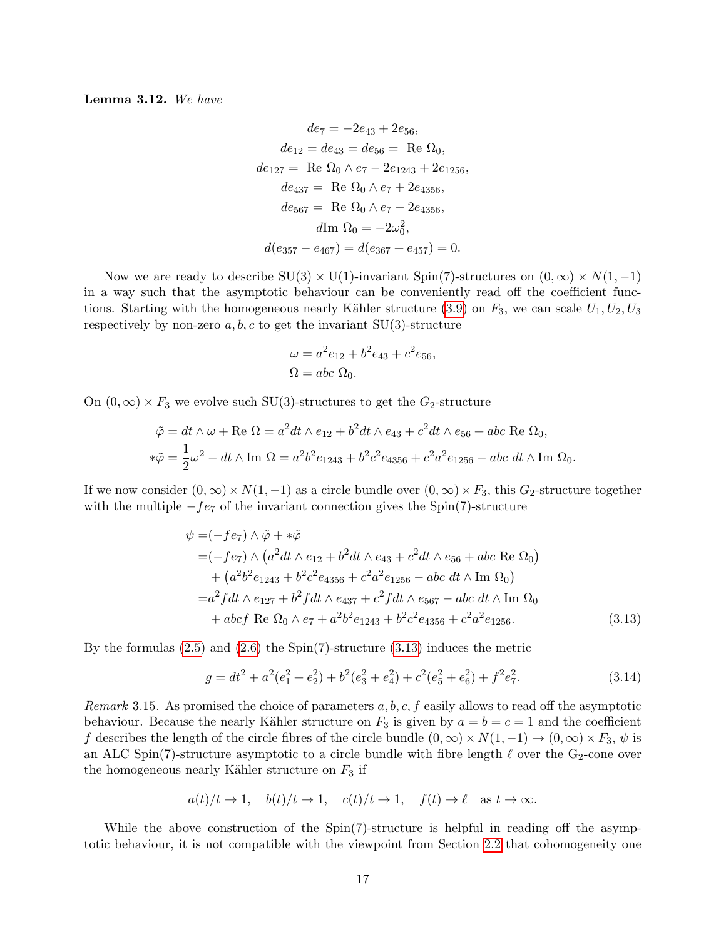Lemma 3.12. We have

$$
de_7 = -2e_{43} + 2e_{56},
$$
  
\n
$$
de_{12} = de_{43} = de_{56} = \text{ Re }\Omega_0,
$$
  
\n
$$
de_{127} = \text{ Re }\Omega_0 \wedge e_7 - 2e_{1243} + 2e_{1256},
$$
  
\n
$$
de_{437} = \text{ Re }\Omega_0 \wedge e_7 + 2e_{4356},
$$
  
\n
$$
de_{567} = \text{ Re }\Omega_0 \wedge e_7 - 2e_{4356},
$$
  
\n
$$
d\text{Im }\Omega_0 = -2\omega_0^2,
$$
  
\n
$$
d(e_{357} - e_{467}) = d(e_{367} + e_{457}) = 0.
$$

Now we are ready to describe  $SU(3) \times U(1)$ -invariant Spin(7)-structures on  $(0, \infty) \times N(1, -1)$ in a way such that the asymptotic behaviour can be conveniently read off the coefficient func-tions. Starting with the homogeneous nearly Kähler structure [\(3.9\)](#page-14-3) on  $F_3$ , we can scale  $U_1, U_2, U_3$ respectively by non-zero  $a, b, c$  to get the invariant SU(3)-structure

$$
\omega = a^2 e_{12} + b^2 e_{43} + c^2 e_{56},
$$
  

$$
\Omega = abc \Omega_0.
$$

On  $(0, \infty) \times F_3$  we evolve such SU(3)-structures to get the  $G_2$ -structure

$$
\tilde{\varphi} = dt \wedge \omega + \text{Re } \Omega = a^2 dt \wedge e_{12} + b^2 dt \wedge e_{43} + c^2 dt \wedge e_{56} + abc \text{ Re } \Omega_0,
$$
  

$$
*\tilde{\varphi} = \frac{1}{2}\omega^2 - dt \wedge \text{Im } \Omega = a^2 b^2 e_{1243} + b^2 c^2 e_{4356} + c^2 a^2 e_{1256} - abc \ dt \wedge \text{Im } \Omega_0.
$$

If we now consider  $(0, \infty) \times N(1, -1)$  as a circle bundle over  $(0, \infty) \times F_3$ , this  $G_2$ -structure together with the multiple  $-fe_7$  of the invariant connection gives the Spin(7)-structure

$$
\psi = (-fe_7) \wedge \tilde{\varphi} + *\tilde{\varphi}
$$
  
= (-fe\_7) \wedge (a<sup>2</sup>dt \wedge e\_{12} + b<sup>2</sup>dt \wedge e\_{43} + c<sup>2</sup>dt \wedge e\_{56} + abc \text{ Re } \Omega\_0)  
+ (a<sup>2</sup>b<sup>2</sup>e\_{1243} + b<sup>2</sup>c<sup>2</sup>e\_{4356} + c<sup>2</sup>a<sup>2</sup>e\_{1256} - abc dt \wedge \text{Im } \Omega\_0)  
= a<sup>2</sup>fdt \wedge e\_{127} + b<sup>2</sup>fdt \wedge e\_{437} + c<sup>2</sup>fdt \wedge e\_{567} - abc dt \wedge \text{Im } \Omega\_0  
+ abcf \text{ Re } \Omega\_0 \wedge e\_7 + a<sup>2</sup>b<sup>2</sup>e\_{1243} + b<sup>2</sup>c<sup>2</sup>e\_{4356} + c<sup>2</sup>a<sup>2</sup>e\_{1256}. (3.13)

By the formulas [\(2.5\)](#page-8-2) and [\(2.6\)](#page-8-3) the Spin(7)-structure [\(3.13\)](#page-16-0) induces the metric

<span id="page-16-1"></span><span id="page-16-0"></span>
$$
g = dt^{2} + a^{2}(e_{1}^{2} + e_{2}^{2}) + b^{2}(e_{3}^{2} + e_{4}^{2}) + c^{2}(e_{5}^{2} + e_{6}^{2}) + f^{2}e_{7}^{2}.
$$
 (3.14)

<span id="page-16-2"></span>Remark 3.15. As promised the choice of parameters  $a, b, c, f$  easily allows to read off the asymptotic behaviour. Because the nearly Kähler structure on  $F_3$  is given by  $a = b = c = 1$  and the coefficient f describes the length of the circle fibres of the circle bundle  $(0, \infty) \times N(1, -1) \to (0, \infty) \times F_3$ ,  $\psi$  is an ALC Spin(7)-structure asymptotic to a circle bundle with fibre length  $\ell$  over the G<sub>2</sub>-cone over the homogeneous nearly Kähler structure on  $F_3$  if

$$
a(t)/t \to 1
$$
,  $b(t)/t \to 1$ ,  $c(t)/t \to 1$ ,  $f(t) \to \ell$  as  $t \to \infty$ .

While the above construction of the  $Spin(7)$ -structure is helpful in reading off the asymptotic behaviour, it is not compatible with the viewpoint from Section [2.2](#page-8-0) that cohomogeneity one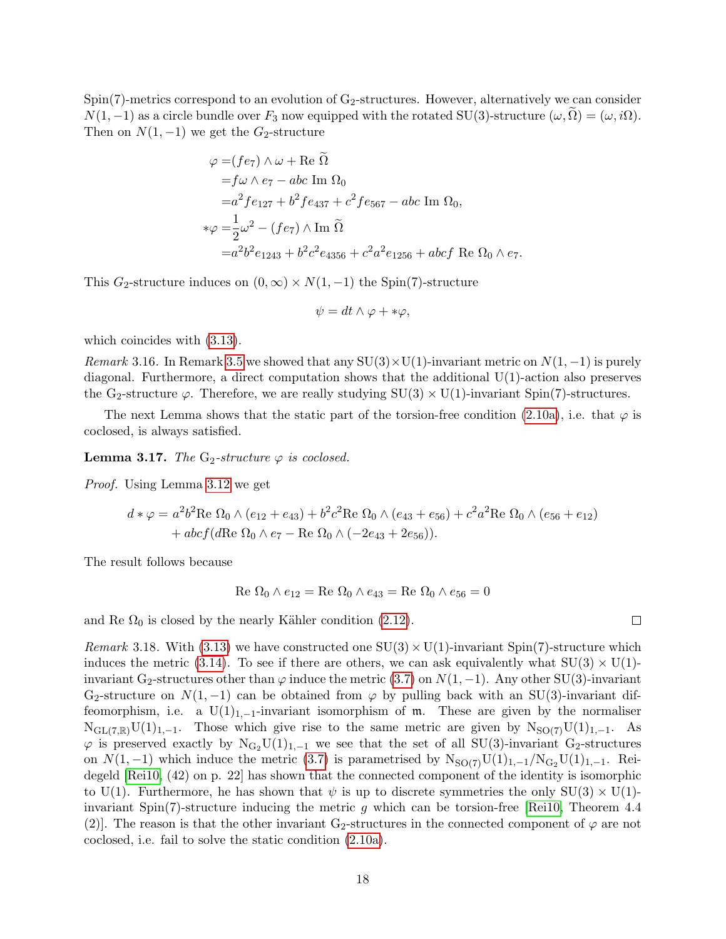$Spin(7)$ -metrics correspond to an evolution of  $G_2$ -structures. However, alternatively we can consider  $N(1,-1)$  as a circle bundle over  $F_3$  now equipped with the rotated SU(3)-structure  $(\omega,\Omega) = (\omega,i\Omega)$ . Then on  $N(1, -1)$  we get the  $G_2$ -structure

$$
\varphi = (fe_7) \wedge \omega + \text{Re } \tilde{\Omega}
$$
  
=  $f\omega \wedge e_7 - abc \text{ Im } \Omega_0$   
=  $a^2 fe_{127} + b^2 fe_{437} + c^2 fe_{567} - abc \text{ Im } \Omega_0$ ,  

$$
*\varphi = \frac{1}{2}\omega^2 - (fe_7) \wedge \text{Im } \tilde{\Omega}
$$
  
=  $a^2b^2e_{1243} + b^2c^2e_{4356} + c^2a^2e_{1256} + abcf \text{ Re } \Omega_0 \wedge e_7$ .

This  $G_2$ -structure induces on  $(0, \infty) \times N(1, -1)$  the Spin(7)-structure

$$
\psi = dt \wedge \varphi + * \varphi,
$$

which coincides with [\(3.13\)](#page-16-0).

Remark 3.16. In Remark [3.5](#page-13-2) we showed that any  $SU(3) \times U(1)$ -invariant metric on  $N(1, -1)$  is purely diagonal. Furthermore, a direct computation shows that the additional  $U(1)$ -action also preserves the G<sub>2</sub>-structure  $\varphi$ . Therefore, we are really studying SU(3)  $\times$  U(1)-invariant Spin(7)-structures.

The next Lemma shows that the static part of the torsion-free condition [\(2.10a\)](#page-9-2), i.e. that  $\varphi$  is coclosed, is always satisfied.

<span id="page-17-0"></span>**Lemma 3.17.** The G<sub>2</sub>-structure  $\varphi$  is coclosed.

Proof. Using Lemma [3.12](#page-15-0) we get

$$
d * \varphi = a^2 b^2 \text{Re } \Omega_0 \wedge (e_{12} + e_{43}) + b^2 c^2 \text{Re } \Omega_0 \wedge (e_{43} + e_{56}) + c^2 a^2 \text{Re } \Omega_0 \wedge (e_{56} + e_{12})
$$
  
+  $abc f (d \text{Re } \Omega_0 \wedge e_7 - \text{Re } \Omega_0 \wedge (-2e_{43} + 2e_{56})).$ 

The result follows because

$$
Re \Omega_0 \wedge e_{12} = Re \Omega_0 \wedge e_{43} = Re \Omega_0 \wedge e_{56} = 0
$$

 $\Box$ 

and Re  $\Omega_0$  is closed by the nearly Kähler condition [\(2.12\)](#page-10-0).

*Remark* 3.18. With [\(3.13\)](#page-16-0) we have constructed one  $SU(3) \times U(1)$ -invariant Spin(7)-structure which induces the metric [\(3.14\)](#page-16-1). To see if there are others, we can ask equivalently what  $SU(3) \times U(1)$ invariant G<sub>2</sub>-structures other than  $\varphi$  induce the metric [\(3.7\)](#page-13-5) on  $N(1, -1)$ . Any other SU(3)-invariant G<sub>2</sub>-structure on  $N(1, -1)$  can be obtained from  $\varphi$  by pulling back with an SU(3)-invariant diffeomorphism, i.e. a U(1)<sub>1,-1</sub>-invariant isomorphism of  $m$ . These are given by the normaliser  $N_{GL(7,\mathbb{R})}U(1)_{1,-1}$ . Those which give rise to the same metric are given by  $N_{SO(7)}U(1)_{1,-1}$ . As  $\varphi$  is preserved exactly by  $N_{G_2}U(1)_{1,-1}$  we see that the set of all SU(3)-invariant G<sub>2</sub>-structures on  $N(1, -1)$  which induce the metric [\(3.7\)](#page-13-5) is parametrised by  $N_{\rm SO(7)}U(1)_{1,-1}/N_{\rm G_2}U(1)_{1,-1}$ . Reidegeld [\[Rei10,](#page-43-1) (42) on p. 22] has shown that the connected component of the identity is isomorphic to U(1). Furthermore, he has shown that  $\psi$  is up to discrete symmetries the only  $SU(3) \times U(1)$ invariant Spin(7)-structure inducing the metric  $g$  which can be torsion-free [\[Rei10,](#page-43-1) Theorem 4.4 (2). The reason is that the other invariant G<sub>2</sub>-structures in the connected component of  $\varphi$  are not coclosed, i.e. fail to solve the static condition [\(2.10a\)](#page-9-2).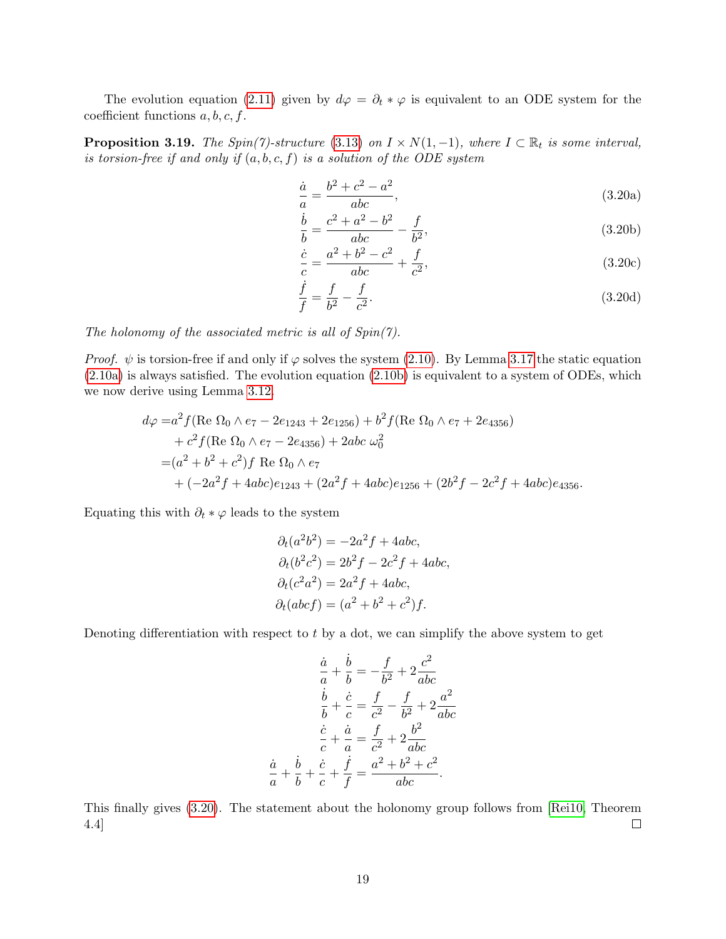The evolution equation [\(2.11\)](#page-9-1) given by  $d\varphi = \partial_t * \varphi$  is equivalent to an ODE system for the coefficient functions  $a, b, c, f$ .

**Proposition 3.19.** The Spin(7)-structure [\(3.13\)](#page-16-0) on  $I \times N(1, -1)$ , where  $I \subset \mathbb{R}_t$  is some interval, is torsion-free if and only if  $(a, b, c, f)$  is a solution of the ODE system

<span id="page-18-1"></span><span id="page-18-0"></span>
$$
\frac{\dot{a}}{a} = \frac{b^2 + c^2 - a^2}{abc},
$$
\n(3.20a)

$$
\frac{\dot{b}}{b} = \frac{c^2 + a^2 - b^2}{abc} - \frac{f}{b^2},
$$
\n(3.20b)

$$
\frac{\dot{c}}{c} = \frac{a^2 + b^2 - c^2}{abc} + \frac{f}{c^2},
$$
\n(3.20c)

$$
\frac{\dot{f}}{f} = \frac{f}{b^2} - \frac{f}{c^2}.
$$
\n(3.20d)

The holonomy of the associated metric is all of  $Spin(7)$ .

*Proof.*  $\psi$  is torsion-free if and only if  $\varphi$  solves the system [\(2.10\)](#page-9-3). By Lemma [3.17](#page-17-0) the static equation [\(2.10a\)](#page-9-2) is always satisfied. The evolution equation [\(2.10b\)](#page-9-4) is equivalent to a system of ODEs, which we now derive using Lemma [3.12.](#page-15-0)

$$
d\varphi = a^2 f(\text{Re }\Omega_0 \wedge e_7 - 2e_{1243} + 2e_{1256}) + b^2 f(\text{Re }\Omega_0 \wedge e_7 + 2e_{4356})
$$
  
+  $c^2 f(\text{Re }\Omega_0 \wedge e_7 - 2e_{4356}) + 2abc \omega_0^2$   
=  $(a^2 + b^2 + c^2)f \text{ Re }\Omega_0 \wedge e_7$   
+  $(-2a^2 f + 4abc)e_{1243} + (2a^2 f + 4abc)e_{1256} + (2b^2 f - 2c^2 f + 4abc)e_{4356}.$ 

Equating this with  $\partial_t * \varphi$  leads to the system

$$
\partial_t(a^2b^2) = -2a^2f + 4abc,
$$
  
\n
$$
\partial_t(b^2c^2) = 2b^2f - 2c^2f + 4abc,
$$
  
\n
$$
\partial_t(c^2a^2) = 2a^2f + 4abc,
$$
  
\n
$$
\partial_t(abcf) = (a^2 + b^2 + c^2)f.
$$

Denoting differentiation with respect to  $t$  by a dot, we can simplify the above system to get

$$
\frac{\dot{a}}{a} + \frac{\dot{b}}{b} = -\frac{f}{b^2} + 2\frac{c^2}{abc}
$$

$$
\frac{\dot{b}}{b} + \frac{\dot{c}}{c} = \frac{f}{c^2} - \frac{f}{b^2} + 2\frac{a^2}{abc}
$$

$$
\frac{\dot{c}}{c} + \frac{\dot{a}}{a} = \frac{f}{c^2} + 2\frac{b^2}{abc}
$$

$$
\frac{\dot{a}}{a} + \frac{\dot{b}}{b} + \frac{\dot{c}}{c} + \frac{\dot{f}}{f} = \frac{a^2 + b^2 + c^2}{abc}.
$$

<span id="page-18-2"></span>This finally gives [\(3.20\)](#page-18-0). The statement about the holonomy group follows from [\[Rei10,](#page-43-1) Theorem 4.4]  $\Box$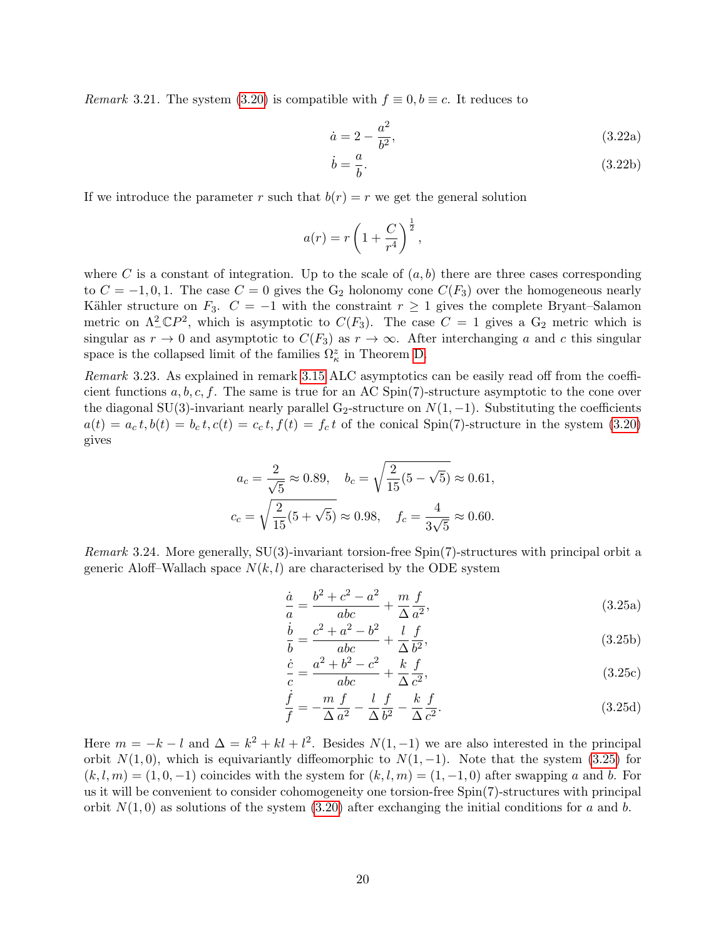*Remark* 3.21. The system [\(3.20\)](#page-18-0) is compatible with  $f \equiv 0, b \equiv c$ . It reduces to

$$
\dot{a} = 2 - \frac{a^2}{b^2},\tag{3.22a}
$$

$$
\dot{b} = \frac{a}{b}.\tag{3.22b}
$$

If we introduce the parameter r such that  $b(r) = r$  we get the general solution

$$
a(r) = r \left( 1 + \frac{C}{r^4} \right)^{\frac{1}{2}},
$$

where C is a constant of integration. Up to the scale of  $(a, b)$  there are three cases corresponding to  $C = -1, 0, 1$ . The case  $C = 0$  gives the G<sub>2</sub> holonomy cone  $C(F_3)$  over the homogeneous nearly Kähler structure on  $F_3$ .  $C = -1$  with the constraint  $r \ge 1$  gives the complete Bryant–Salamon metric on  $\Lambda^2_- \mathbb{C}P^2$ , which is asymptotic to  $C(F_3)$ . The case  $C = 1$  gives a  $G_2$  metric which is singular as  $r \to 0$  and asymptotic to  $C(F_3)$  as  $r \to \infty$ . After interchanging a and c this singular space is the collapsed limit of the families  $\Omega_{\kappa}^{z}$  in Theorem [D.](#page-5-0)

<span id="page-19-1"></span>Remark 3.23. As explained in remark [3.15](#page-16-2) ALC asymptotics can be easily read off from the coefficient functions  $a, b, c, f$ . The same is true for an AC Spin(7)-structure asymptotic to the cone over the diagonal SU(3)-invariant nearly parallel G<sub>2</sub>-structure on  $N(1, -1)$ . Substituting the coefficients  $a(t) = a_c t, b(t) = b_c t, c(t) = c_c t, f(t) = f_c t$  of the conical Spin(7)-structure in the system [\(3.20\)](#page-18-0) gives

$$
a_c = \frac{2}{\sqrt{5}} \approx 0.89, \quad b_c = \sqrt{\frac{2}{15}(5 - \sqrt{5})} \approx 0.61,
$$
  

$$
c_c = \sqrt{\frac{2}{15}(5 + \sqrt{5})} \approx 0.98, \quad f_c = \frac{4}{3\sqrt{5}} \approx 0.60.
$$

<span id="page-19-2"></span>Remark 3.24. More generally, SU(3)-invariant torsion-free Spin(7)-structures with principal orbit a generic Aloff–Wallach space  $N(k, l)$  are characterised by the ODE system

<span id="page-19-0"></span>
$$
\frac{\dot{a}}{a} = \frac{b^2 + c^2 - a^2}{abc} + \frac{m}{\Delta} \frac{f}{a^2},
$$
\n(3.25a)

$$
\frac{\dot{b}}{b} = \frac{c^2 + a^2 - b^2}{abc} + \frac{l}{\Delta} \frac{f}{b^2},
$$
\n(3.25b)

$$
\frac{\dot{c}}{c} = \frac{a^2 + b^2 - c^2}{abc} + \frac{k}{\Delta} \frac{f}{c^2},
$$
\n(3.25c)

$$
\frac{\dot{f}}{f} = -\frac{m}{\Delta} \frac{f}{a^2} - \frac{l}{\Delta} \frac{f}{b^2} - \frac{k}{\Delta} \frac{f}{c^2}.
$$
\n(3.25d)

Here  $m = -k - l$  and  $\Delta = k^2 + kl + l^2$ . Besides  $N(1, -1)$  we are also interested in the principal orbit  $N(1, 0)$ , which is equivariantly diffeomorphic to  $N(1, -1)$ . Note that the system [\(3.25\)](#page-19-0) for  $(k, l, m) = (1, 0, -1)$  coincides with the system for  $(k, l, m) = (1, -1, 0)$  after swapping a and b. For us it will be convenient to consider cohomogeneity one torsion-free Spin(7)-structures with principal orbit  $N(1,0)$  as solutions of the system  $(3.20)$  after exchanging the initial conditions for a and b.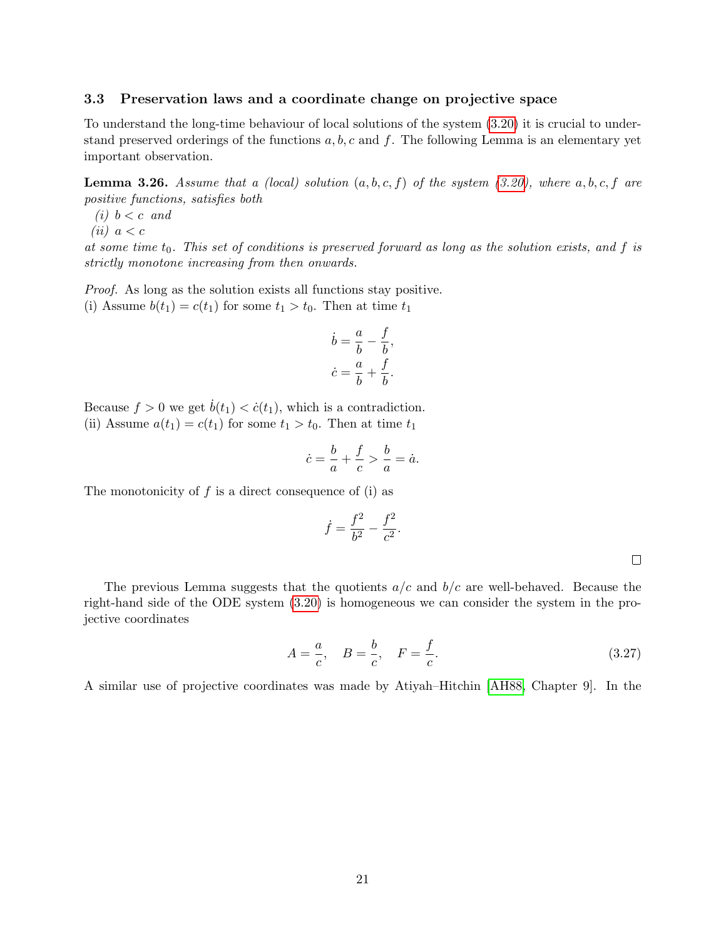#### <span id="page-20-0"></span>3.3 Preservation laws and a coordinate change on projective space

To understand the long-time behaviour of local solutions of the system [\(3.20\)](#page-18-0) it is crucial to understand preserved orderings of the functions  $a, b, c$  and f. The following Lemma is an elementary yet important observation.

<span id="page-20-1"></span>**Lemma 3.26.** Assume that a (local) solution  $(a, b, c, f)$  of the system [\(3.20\)](#page-18-0), where  $a, b, c, f$  are positive functions, satisfies both

(i)  $b < c$  and

$$
(ii) \ a < c
$$

at some time  $t_0$ . This set of conditions is preserved forward as long as the solution exists, and f is strictly monotone increasing from then onwards.

Proof. As long as the solution exists all functions stay positive. (i) Assume  $b(t_1) = c(t_1)$  for some  $t_1 > t_0$ . Then at time  $t_1$ 

$$
\dot{b} = \frac{a}{b} - \frac{f}{b},
$$
  

$$
\dot{c} = \frac{a}{b} + \frac{f}{b}.
$$

Because  $f > 0$  we get  $\dot{b}(t_1) < \dot{c}(t_1)$ , which is a contradiction. (ii) Assume  $a(t_1) = c(t_1)$  for some  $t_1 > t_0$ . Then at time  $t_1$ 

$$
\dot{c} = \frac{b}{a} + \frac{f}{c} > \frac{b}{a} = \dot{a}.
$$

 $\dot{f}$ 

The monotonicity of  $f$  is a direct consequence of (i) as

$$
= \frac{f^2}{b^2} - \frac{f^2}{c^2}.
$$

The previous Lemma suggests that the quotients  $a/c$  and  $b/c$  are well-behaved. Because the right-hand side of the ODE system [\(3.20\)](#page-18-0) is homogeneous we can consider the system in the projective coordinates

$$
A = \frac{a}{c}, \quad B = \frac{b}{c}, \quad F = \frac{f}{c}.
$$
 (3.27)

A similar use of projective coordinates was made by Atiyah–Hitchin [\[AH88,](#page-42-13) Chapter 9]. In the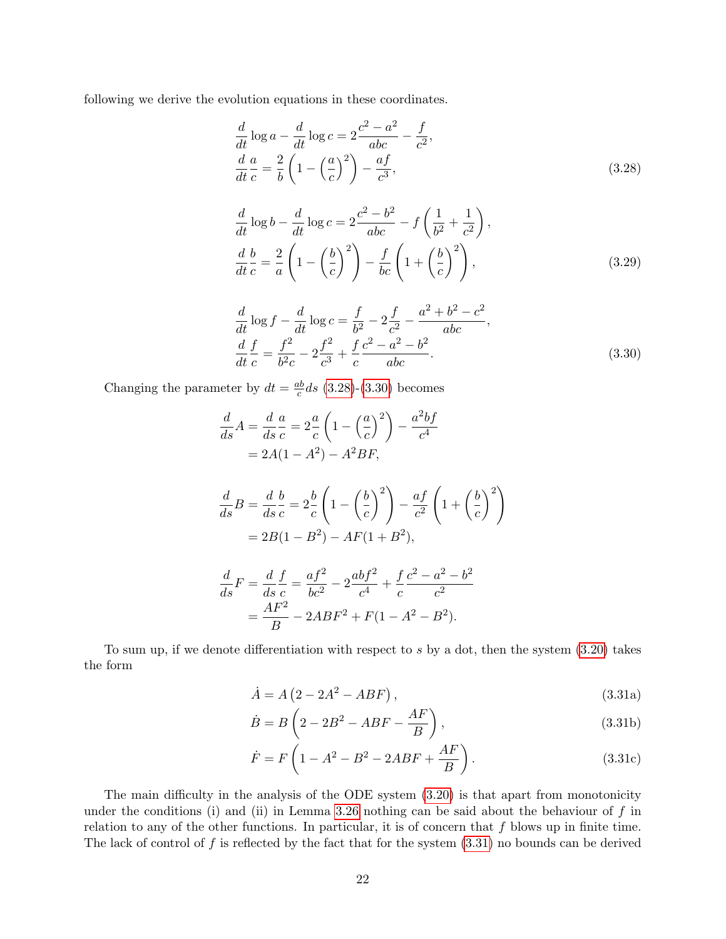following we derive the evolution equations in these coordinates.

<span id="page-21-0"></span>
$$
\frac{d}{dt}\log a - \frac{d}{dt}\log c = 2\frac{c^2 - a^2}{abc} - \frac{f}{c^2},
$$
\n
$$
\frac{d}{dt}\frac{a}{c} = \frac{2}{b}\left(1 - \left(\frac{a}{c}\right)^2\right) - \frac{af}{c^3},
$$
\n(3.28)

$$
\frac{d}{dt}\log b - \frac{d}{dt}\log c = 2\frac{c^2 - b^2}{abc} - f\left(\frac{1}{b^2} + \frac{1}{c^2}\right),
$$
\n
$$
\frac{d}{dt}\frac{b}{c} = \frac{2}{a}\left(1 - \left(\frac{b}{c}\right)^2\right) - \frac{f}{bc}\left(1 + \left(\frac{b}{c}\right)^2\right),
$$
\n(3.29)

<span id="page-21-1"></span>
$$
\frac{d}{dt}\log f - \frac{d}{dt}\log c = \frac{f}{b^2} - 2\frac{f}{c^2} - \frac{a^2 + b^2 - c^2}{abc},
$$
\n
$$
\frac{d}{dt}\frac{f}{c} = \frac{f^2}{b^2c} - 2\frac{f^2}{c^3} + \frac{f}{c}\frac{c^2 - a^2 - b^2}{abc}.
$$
\n(3.30)

Changing the parameter by  $dt = \frac{ab}{c}$  $\frac{ab}{c}$ ds [\(3.28\)](#page-21-0)-[\(3.30\)](#page-21-1) becomes

$$
\frac{d}{ds}A = \frac{d}{ds}\frac{a}{c} = 2\frac{a}{c}\left(1 - \left(\frac{a}{c}\right)^2\right) - \frac{a^2bf}{c^4}
$$
  
\n
$$
= 2A(1 - A^2) - A^2BF,
$$
  
\n
$$
\frac{d}{ds}B = \frac{d}{ds}\frac{b}{c} = 2\frac{b}{c}\left(1 - \left(\frac{b}{c}\right)^2\right) - \frac{af}{c^2}\left(1 + \left(\frac{b}{c}\right)^2\right)
$$
  
\n
$$
= 2B(1 - B^2) - AF(1 + B^2),
$$
  
\n
$$
\frac{d}{ds}F = \frac{d}{ds}\frac{f}{c} = \frac{af^2}{bc^2} - 2\frac{abf^2}{c^4} + \frac{f}{c}\frac{c^2 - a^2 - b^2}{c^2}
$$
  
\n
$$
= \frac{AF^2}{B} - 2ABF^2 + F(1 - A^2 - B^2).
$$

<span id="page-21-2"></span>To sum up, if we denote differentiation with respect to 
$$
s
$$
 by a dot, then the system (3.20) takes the form

 $\frac{dF}{B} - 2ABF^2 + F(1 - A^2 - B^2).$ 

$$
\dot{A} = A \left(2 - 2A^2 - ABF\right),\tag{3.31a}
$$

$$
\dot{B} = B\left(2 - 2B^2 - ABF - \frac{AF}{B}\right),\tag{3.31b}
$$

$$
\dot{F} = F\left(1 - A^2 - B^2 - 2ABF + \frac{AF}{B}\right).
$$
 (3.31c)

The main difficulty in the analysis of the ODE system [\(3.20\)](#page-18-0) is that apart from monotonicity under the conditions (i) and (ii) in Lemma [3.26](#page-20-1) nothing can be said about the behaviour of  $f$  in relation to any of the other functions. In particular, it is of concern that  $f$  blows up in finite time. The lack of control of f is reflected by the fact that for the system  $(3.31)$  no bounds can be derived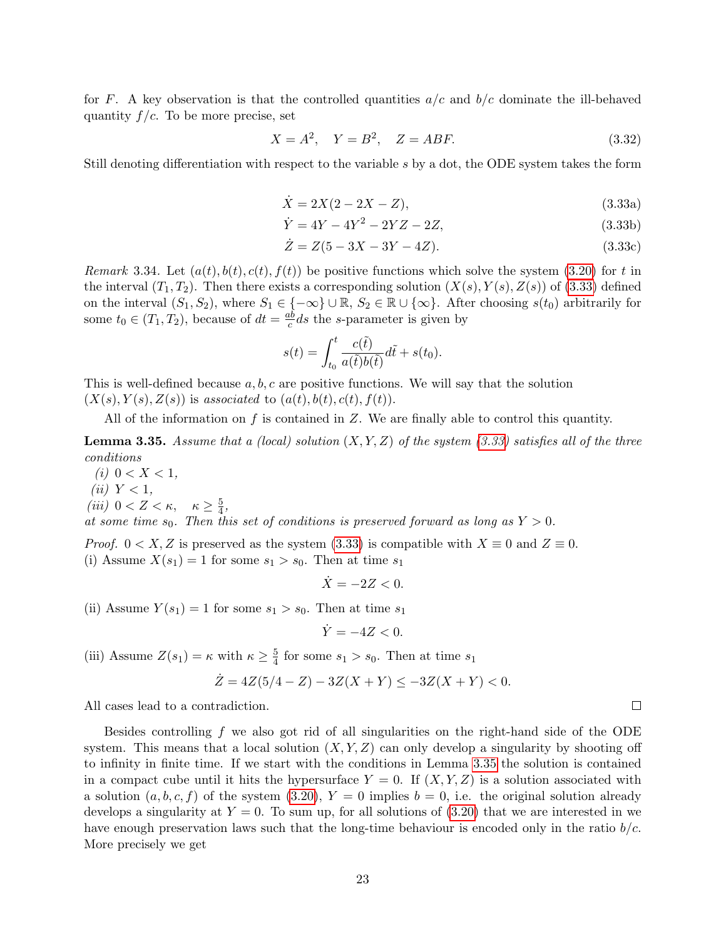for F. A key observation is that the controlled quantities  $a/c$  and  $b/c$  dominate the ill-behaved quantity  $f/c$ . To be more precise, set

$$
X = A^2, \quad Y = B^2, \quad Z = ABF.
$$
\n(3.32)

<span id="page-22-0"></span>Still denoting differentiation with respect to the variable s by a dot, the ODE system takes the form

$$
\dot{X} = 2X(2 - 2X - Z),\tag{3.33a}
$$

$$
\dot{Y} = 4Y - 4Y^2 - 2YZ - 2Z,\tag{3.33b}
$$

$$
\dot{Z} = Z(5 - 3X - 3Y - 4Z). \tag{3.33c}
$$

<span id="page-22-2"></span>Remark 3.34. Let  $(a(t), b(t), c(t), f(t))$  be positive functions which solve the system [\(3.20\)](#page-18-0) for t in the interval  $(T_1, T_2)$ . Then there exists a corresponding solution  $(X(s), Y(s), Z(s))$  of [\(3.33\)](#page-22-0) defined on the interval  $(S_1, S_2)$ , where  $S_1 \in \{-\infty\} \cup \mathbb{R}, S_2 \in \mathbb{R} \cup \{\infty\}$ . After choosing  $s(t_0)$  arbitrarily for some  $t_0 \in (T_1, T_2)$ , because of  $dt = \frac{ab}{c}$  $\frac{ab}{c}ds$  the *s*-parameter is given by

$$
s(t) = \int_{t_0}^t \frac{c(\tilde{t})}{a(\tilde{t})b(\tilde{t})} d\tilde{t} + s(t_0).
$$

This is well-defined because  $a, b, c$  are positive functions. We will say that the solution  $(X(s), Y(s), Z(s))$  is associated to  $(a(t), b(t), c(t), f(t))$ .

All of the information on f is contained in  $Z$ . We are finally able to control this quantity.

<span id="page-22-1"></span>**Lemma 3.35.** Assume that a (local) solution  $(X, Y, Z)$  of the system [\(3.33\)](#page-22-0) satisfies all of the three conditions

(*i*)  $0 < X < 1$ , (ii)  $Y < 1$ , (iii)  $0 < Z < \kappa$ ,  $\kappa \geq \frac{5}{4}$  $\frac{5}{4}$ ,

at some time  $s_0$ . Then this set of conditions is preserved forward as long as  $Y > 0$ .

*Proof.*  $0 < X, Z$  is preserved as the system [\(3.33\)](#page-22-0) is compatible with  $X \equiv 0$  and  $Z \equiv 0$ . (i) Assume  $X(s_1) = 1$  for some  $s_1 > s_0$ . Then at time  $s_1$ 

 $\dot{X} = -2Z < 0.$ 

(ii) Assume  $Y(s_1) = 1$  for some  $s_1 > s_0$ . Then at time  $s_1$ 

$$
\dot{Y} = -4Z < 0.
$$

(iii) Assume  $Z(s_1) = \kappa$  with  $\kappa \geq \frac{5}{4}$  $\frac{5}{4}$  for some  $s_1 > s_0$ . Then at time  $s_1$ 

$$
\dot{Z} = 4Z(5/4 - Z) - 3Z(X + Y) \le -3Z(X + Y) < 0.
$$

All cases lead to a contradiction.

<span id="page-22-3"></span>Besides controlling f we also got rid of all singularities on the right-hand side of the ODE system. This means that a local solution  $(X, Y, Z)$  can only develop a singularity by shooting off to infinity in finite time. If we start with the conditions in Lemma [3.35](#page-22-1) the solution is contained in a compact cube until it hits the hypersurface  $Y = 0$ . If  $(X, Y, Z)$  is a solution associated with a solution  $(a, b, c, f)$  of the system [\(3.20\)](#page-18-0),  $Y = 0$  implies  $b = 0$ , i.e. the original solution already develops a singularity at  $Y = 0$ . To sum up, for all solutions of (3.[20\)](#page-18-0) that we are interested in we have enough preservation laws such that the long-time behaviour is encoded only in the ratio  $b/c$ . More precisely we get

 $\Box$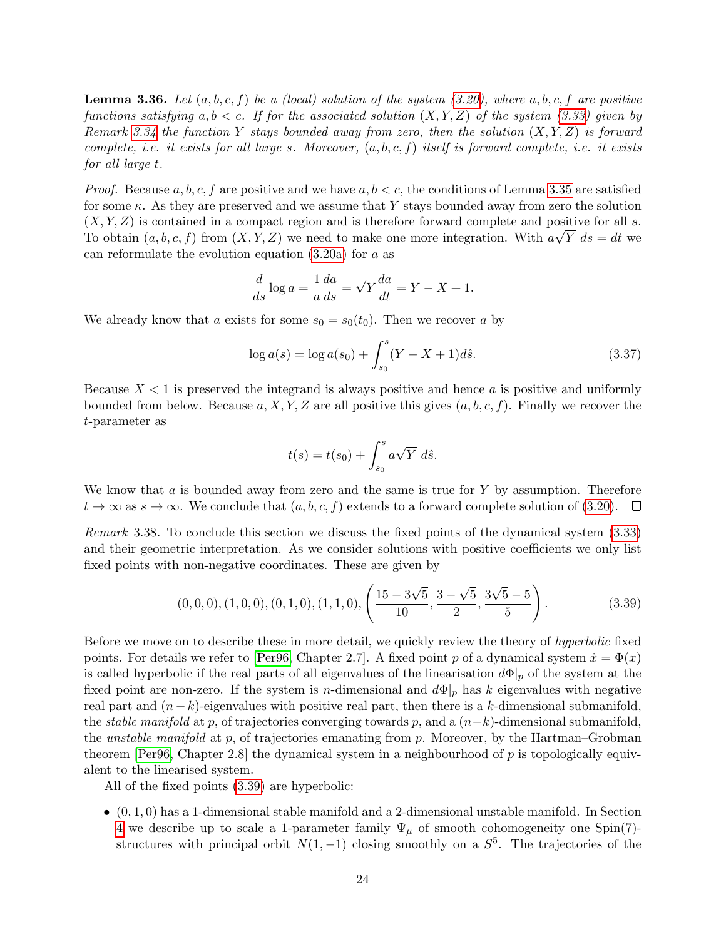**Lemma 3.36.** Let  $(a, b, c, f)$  be a (local) solution of the system [\(3.20\)](#page-18-0), where  $a, b, c, f$  are positive functions satisfying a,  $b < c$ . If for the associated solution  $(X, Y, Z)$  of the system [\(3.33\)](#page-22-0) given by Remark [3.34](#page-22-2) the function Y stays bounded away from zero, then the solution  $(X, Y, Z)$  is forward complete, i.e. it exists for all large s. Moreover,  $(a, b, c, f)$  itself is forward complete, i.e. it exists for all large t.

*Proof.* Because a, b, c, f are positive and we have  $a, b < c$ , the conditions of Lemma [3.35](#page-22-1) are satisfied for some  $\kappa$ . As they are preserved and we assume that Y stays bounded away from zero the solution  $(X, Y, Z)$  is contained in a compact region and is therefore forward complete and positive for all s. To obtain  $(a, b, c, f)$  from  $(X, Y, Z)$  we need to make one more integration. With  $a\sqrt{Y}$   $ds = dt$  we can reformulate the evolution equation  $(3.20a)$  for a as

$$
\frac{d}{ds}\log a = \frac{1}{a}\frac{da}{ds} = \sqrt{Y}\frac{da}{dt} = Y - X + 1.
$$

We already know that a exists for some  $s_0 = s_0(t_0)$ . Then we recover a by

$$
\log a(s) = \log a(s_0) + \int_{s_0}^{s} (Y - X + 1)d\hat{s}.\tag{3.37}
$$

Because  $X < 1$  is preserved the integrand is always positive and hence a is positive and uniformly bounded from below. Because  $a, X, Y, Z$  are all positive this gives  $(a, b, c, f)$ . Finally we recover the t-parameter as

<span id="page-23-0"></span>
$$
t(s) = t(s_0) + \int_{s_0}^s a\sqrt{Y} \ d\hat{s}.
$$

We know that a is bounded away from zero and the same is true for  $Y$  by assumption. Therefore  $t \to \infty$  as  $s \to \infty$ . We conclude that  $(a, b, c, f)$  extends to a forward complete solution of (3.[20\)](#page-18-0).

<span id="page-23-1"></span>Remark 3.38. To conclude this section we discuss the fixed points of the dynamical system [\(3.33\)](#page-22-0) and their geometric interpretation. As we consider solutions with positive coefficients we only list fixed points with non-negative coordinates. These are given by

$$
(0,0,0), (1,0,0), (0,1,0), (1,1,0), \left(\frac{15-3\sqrt{5}}{10}, \frac{3-\sqrt{5}}{2}, \frac{3\sqrt{5}-5}{5}\right). \tag{3.39}
$$

Before we move on to describe these in more detail, we quickly review the theory of *hyperbolic* fixed points. For details we refer to [\[Per96,](#page-43-8) Chapter 2.7]. A fixed point p of a dynamical system  $\dot{x} = \Phi(x)$ is called hyperbolic if the real parts of all eigenvalues of the linearisation  $d\Phi|_p$  of the system at the fixed point are non-zero. If the system is n-dimensional and  $d\Phi|_p$  has k eigenvalues with negative real part and  $(n-k)$ -eigenvalues with positive real part, then there is a k-dimensional submanifold, the *stable manifold* at p, of trajectories converging towards p, and a  $(n-k)$ -dimensional submanifold, the *unstable manifold* at p, of trajectories emanating from p. Moreover, by the Hartman–Grobman theorem [\[Per96,](#page-43-8) Chapter 2.8] the dynamical system in a neighbourhood of  $p$  is topologically equivalent to the linearised system.

All of the fixed points [\(3.39\)](#page-23-0) are hyperbolic:

 $\bullet$   $(0, 1, 0)$  has a 1-dimensional stable manifold and a 2-dimensional unstable manifold. In Section [4](#page-25-0) we describe up to scale a 1-parameter family  $\Psi_{\mu}$  of smooth cohomogeneity one Spin(7)structures with principal orbit  $N(1, -1)$  closing smoothly on a  $S^5$ . The trajectories of the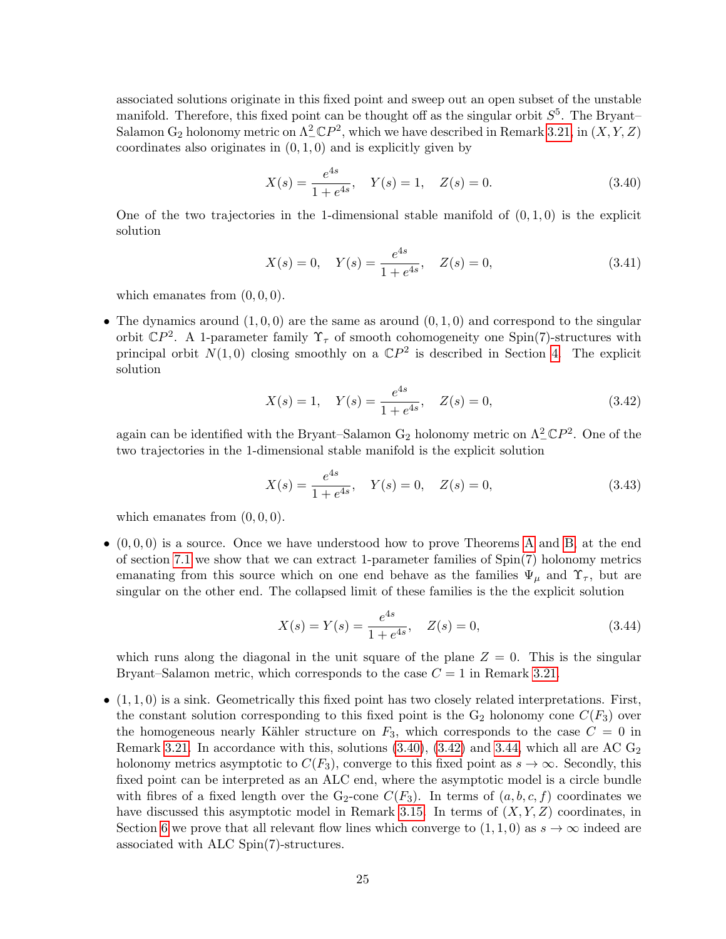associated solutions originate in this fixed point and sweep out an open subset of the unstable manifold. Therefore, this fixed point can be thought off as the singular orbit  $S^5$ . The Bryant-Salamon  $G_2$  holonomy metric on  $\Lambda^2_- \mathbb{C}P^2$ , which we have described in Remark [3.21,](#page-18-2) in  $(X, Y, Z)$ coordinates also originates in  $(0, 1, 0)$  and is explicitly given by

<span id="page-24-0"></span>
$$
X(s) = \frac{e^{4s}}{1 + e^{4s}}, \quad Y(s) = 1, \quad Z(s) = 0.
$$
\n(3.40)

One of the two trajectories in the 1-dimensional stable manifold of  $(0, 1, 0)$  is the explicit solution

<span id="page-24-3"></span>
$$
X(s) = 0, \quad Y(s) = \frac{e^{4s}}{1 + e^{4s}}, \quad Z(s) = 0,
$$
\n(3.41)

which emanates from  $(0, 0, 0)$ .

• The dynamics around  $(1, 0, 0)$  are the same as around  $(0, 1, 0)$  and correspond to the singular orbit  $\mathbb{C}P^2$ . A 1-parameter family  $\Upsilon_{\tau}$  of smooth cohomogeneity one Spin(7)-structures with principal orbit  $N(1,0)$  closing smoothly on a  $\mathbb{C}P^2$  is described in Section [4.](#page-25-0) The explicit solution

<span id="page-24-1"></span>
$$
X(s) = 1, \quad Y(s) = \frac{e^{4s}}{1 + e^{4s}}, \quad Z(s) = 0,
$$
\n(3.42)

again can be identified with the Bryant–Salamon  $G_2$  holonomy metric on  $\Lambda^2_- \mathbb{C}P^2$ . One of the two trajectories in the 1-dimensional stable manifold is the explicit solution

<span id="page-24-4"></span>
$$
X(s) = \frac{e^{4s}}{1 + e^{4s}}, \quad Y(s) = 0, \quad Z(s) = 0,
$$
\n(3.43)

which emanates from  $(0, 0, 0)$ .

 $\bullet$   $(0,0,0)$  is a source. Once we have understood how to prove Theorems [A](#page-2-0) and [B,](#page-3-0) at the end of section [7.1](#page-36-0) we show that we can extract 1-parameter families of Spin(7) holonomy metrics emanating from this source which on one end behave as the families  $\Psi_{\mu}$  and  $\Upsilon_{\tau}$ , but are singular on the other end. The collapsed limit of these families is the the explicit solution

<span id="page-24-2"></span>
$$
X(s) = Y(s) = \frac{e^{4s}}{1 + e^{4s}}, \quad Z(s) = 0,
$$
\n(3.44)

which runs along the diagonal in the unit square of the plane  $Z = 0$ . This is the singular Bryant–Salamon metric, which corresponds to the case  $C = 1$  in Remark [3.21.](#page-18-2)

 $\bullet$   $(1,1,0)$  is a sink. Geometrically this fixed point has two closely related interpretations. First, the constant solution corresponding to this fixed point is the  $G_2$  holonomy cone  $C(F_3)$  over the homogeneous nearly Kähler structure on  $F_3$ , which corresponds to the case  $C = 0$  in Remark [3.21.](#page-18-2) In accordance with this, solutions  $(3.40)$ ,  $(3.42)$  and [3.44,](#page-24-2) which all are AC  $G_2$ holonomy metrics asymptotic to  $C(F_3)$ , converge to this fixed point as  $s \to \infty$ . Secondly, this fixed point can be interpreted as an ALC end, where the asymptotic model is a circle bundle with fibres of a fixed length over the G<sub>2</sub>-cone  $C(F_3)$ . In terms of  $(a, b, c, f)$  coordinates we have discussed this asymptotic model in Remark [3.15.](#page-16-2) In terms of  $(X, Y, Z)$  coordinates, in Section [6](#page-31-0) we prove that all relevant flow lines which converge to  $(1,1,0)$  as  $s \to \infty$  indeed are associated with ALC Spin(7)-structures.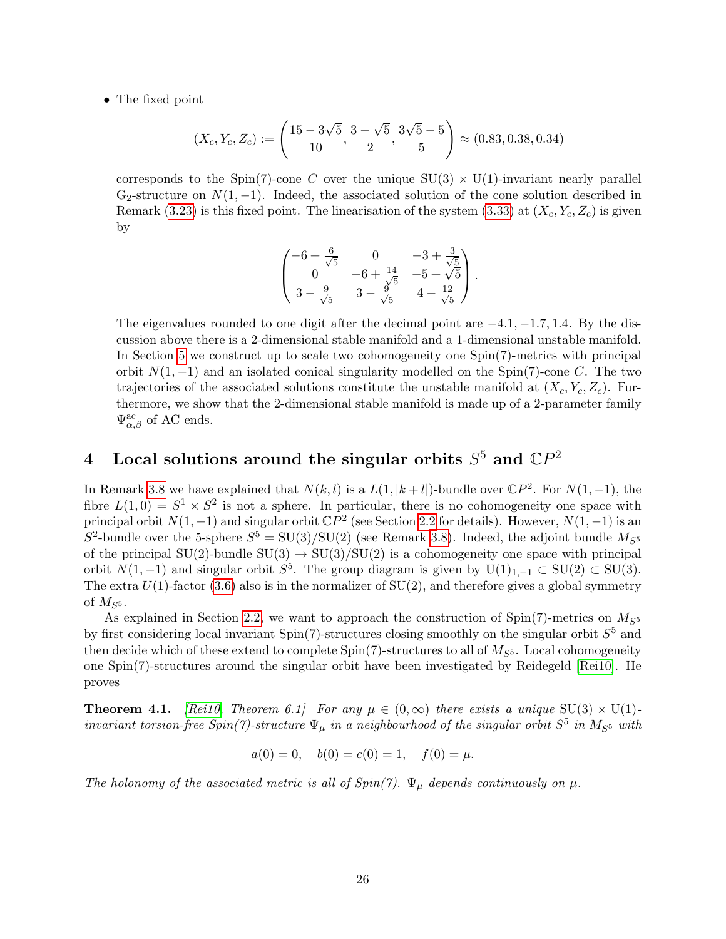• The fixed point

$$
(X_c, Y_c, Z_c) := \left(\frac{15 - 3\sqrt{5}}{10}, \frac{3 - \sqrt{5}}{2}, \frac{3\sqrt{5} - 5}{5}\right) \approx (0.83, 0.38, 0.34)
$$

corresponds to the Spin(7)-cone C over the unique  $SU(3) \times U(1)$ -invariant nearly parallel G<sub>2</sub>-structure on  $N(1, -1)$ . Indeed, the associated solution of the cone solution described in Remark [\(3.23\)](#page-19-1) is this fixed point. The linearisation of the system [\(3.33\)](#page-22-0) at  $(X_c, Y_c, Z_c)$  is given by

$$
\begin{pmatrix}\n-6 + \frac{6}{\sqrt{5}} & 0 & -3 + \frac{3}{\sqrt{5}} \\
0 & -6 + \frac{14}{\sqrt{5}} & -5 + \sqrt{5} \\
3 - \frac{9}{\sqrt{5}} & 3 - \frac{9}{\sqrt{5}} & 4 - \frac{12}{\sqrt{5}}\n\end{pmatrix}.
$$

The eigenvalues rounded to one digit after the decimal point are  $-4.1, -1.7, 1.4$ . By the discussion above there is a 2-dimensional stable manifold and a 1-dimensional unstable manifold. In Section [5](#page-27-0) we construct up to scale two cohomogeneity one Spin(7)-metrics with principal orbit  $N(1, -1)$  and an isolated conical singularity modelled on the Spin(7)-cone C. The two trajectories of the associated solutions constitute the unstable manifold at  $(X_c, Y_c, Z_c)$ . Furthermore, we show that the 2-dimensional stable manifold is made up of a 2-parameter family  $\Psi_{\alpha,\beta}^{\text{ac}}$  of AC ends.

# <span id="page-25-0"></span>4 Local solutions around the singular orbits  $S^5$  and  $\mathbb{C}P^2$

In Remark [3.8](#page-13-3) we have explained that  $N(k, l)$  is a  $L(1, |k + l|)$ -bundle over  $\mathbb{C}P^2$ . For  $N(1, -1)$ , the fibre  $L(1,0) = S^1 \times S^2$  is not a sphere. In particular, there is no cohomogeneity one space with principal orbit  $N(1, -1)$  and singular orbit  $\mathbb{C}P^2$  (see Section [2.2](#page-8-0) for details). However,  $N(1, -1)$  is an  $S^2$ -bundle over the 5-sphere  $S^5 = SU(3)/SU(2)$  (see Remark [3.8\)](#page-13-3). Indeed, the adjoint bundle  $M_{S^5}$ of the principal  $SU(2)$ -bundle  $SU(3) \rightarrow SU(3)/SU(2)$  is a cohomogeneity one space with principal orbit  $N(1, -1)$  and singular orbit  $S^5$ . The group diagram is given by  $U(1)_{1,-1} \subset SU(2) \subset SU(3)$ . The extra  $U(1)$ -factor [\(3.6\)](#page-13-1) also is in the normalizer of  $SU(2)$ , and therefore gives a global symmetry of  $M_{S^5}$ .

As explained in Section [2.2,](#page-8-0) we want to approach the construction of Spin(7)-metrics on  $M_{S^5}$ by first considering local invariant  $Spin(7)$ -structures closing smoothly on the singular orbit  $S^5$  and then decide which of these extend to complete  $Spin(7)$ -structures to all of  $M_{S^5}$ . Local cohomogeneity one Spin(7)-structures around the singular orbit have been investigated by Reidegeld [\[Rei10\]](#page-43-1). He proves

<span id="page-25-1"></span>**Theorem 4.1.** [\[Rei10,](#page-43-1) Theorem 6.1] For any  $\mu \in (0,\infty)$  there exists a unique  $SU(3) \times U(1)$ invariant torsion-free  $Spin(7)$ -structure  $\Psi_{\mu}$  in a neighbourhood of the singular orbit  $S^5$  in  $M_{S^5}$  with

$$
a(0) = 0
$$
,  $b(0) = c(0) = 1$ ,  $f(0) = \mu$ .

The holonomy of the associated metric is all of  $Spin(7)$ .  $\Psi_{\mu}$  depends continuously on  $\mu$ .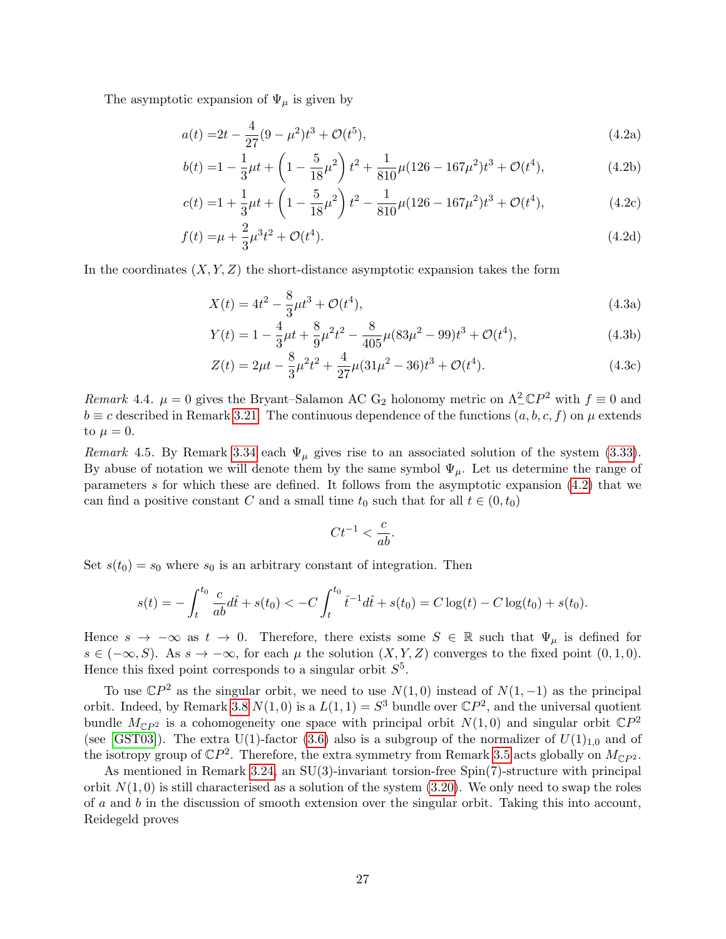The asymptotic expansion of  $\Psi_{\mu}$  is given by

<span id="page-26-0"></span>
$$
a(t) = 2t - \frac{4}{27}(9 - \mu^2)t^3 + \mathcal{O}(t^5),\tag{4.2a}
$$

$$
b(t) = 1 - \frac{1}{3}\mu t + \left(1 - \frac{5}{18}\mu^2\right)t^2 + \frac{1}{810}\mu(126 - 167\mu^2)t^3 + \mathcal{O}(t^4),\tag{4.2b}
$$

$$
c(t) = 1 + \frac{1}{3}\mu t + \left(1 - \frac{5}{18}\mu^2\right)t^2 - \frac{1}{810}\mu(126 - 167\mu^2)t^3 + \mathcal{O}(t^4),\tag{4.2c}
$$

$$
f(t) = \mu + \frac{2}{3}\mu^3 t^2 + \mathcal{O}(t^4). \tag{4.2d}
$$

In the coordinates  $(X, Y, Z)$  the short-distance asymptotic expansion takes the form

$$
X(t) = 4t^2 - \frac{8}{3}\mu t^3 + \mathcal{O}(t^4),\tag{4.3a}
$$

$$
Y(t) = 1 - \frac{4}{3}\mu t + \frac{8}{9}\mu^2 t^2 - \frac{8}{405}\mu (83\mu^2 - 99)t^3 + \mathcal{O}(t^4),\tag{4.3b}
$$

$$
Z(t) = 2\mu t - \frac{8}{3}\mu^2 t^2 + \frac{4}{27}\mu(31\mu^2 - 36)t^3 + \mathcal{O}(t^4). \tag{4.3c}
$$

Remark 4.4.  $\mu = 0$  gives the Bryant–Salamon AC G<sub>2</sub> holonomy metric on  $\Lambda^2_- \mathbb{C}P^2$  with  $f \equiv 0$  and  $b \equiv c$  described in Remark [3.21.](#page-18-2) The continuous dependence of the functions  $(a, b, c, f)$  on  $\mu$  extends to  $\mu = 0$ .

<span id="page-26-1"></span>Remark 4.5. By Remark [3.34](#page-22-2) each  $\Psi_{\mu}$  gives rise to an associated solution of the system [\(3.33\)](#page-22-0). By abuse of notation we will denote them by the same symbol  $\Psi_{\mu}$ . Let us determine the range of parameters s for which these are defined. It follows from the asymptotic expansion [\(4.2\)](#page-26-0) that we can find a positive constant C and a small time  $t_0$  such that for all  $t \in (0, t_0)$ 

<span id="page-26-3"></span>
$$
Ct^{-1} < \frac{c}{ab}.
$$

Set  $s(t_0) = s_0$  where  $s_0$  is an arbitrary constant of integration. Then

$$
s(t) = -\int_{t}^{t_0} \frac{c}{ab} d\hat{t} + s(t_0) < -C \int_{t}^{t_0} \hat{t}^{-1} d\hat{t} + s(t_0) = C \log(t) - C \log(t_0) + s(t_0).
$$

Hence  $s \to -\infty$  as  $t \to 0$ . Therefore, there exists some  $S \in \mathbb{R}$  such that  $\Psi_{\mu}$  is defined for  $s \in (-\infty, S)$ . As  $s \to -\infty$ , for each  $\mu$  the solution  $(X, Y, Z)$  converges to the fixed point  $(0, 1, 0)$ . Hence this fixed point corresponds to a singular orbit  $S<sup>5</sup>$ .

To use  $\mathbb{C}P^2$  as the singular orbit, we need to use  $N(1,0)$  instead of  $N(1,-1)$  as the principal orbit. Indeed, by Remark [3.8](#page-13-3)  $N(1,0)$  is a  $L(1,1) = S<sup>3</sup>$  bundle over  $\mathbb{C}P<sup>2</sup>$ , and the universal quotient bundle  $M_{\mathbb{C}P^2}$  is a cohomogeneity one space with principal orbit  $N(1,0)$  and singular orbit  $\mathbb{C}P^2$ (see [\[GST03\]](#page-42-10)). The extra U(1)-factor [\(3.6\)](#page-13-1) also is a subgroup of the normalizer of  $U(1)_{1,0}$  and of the isotropy group of  $\mathbb{C}P^2$ . Therefore, the extra symmetry from Remark [3.5](#page-13-2) acts globally on  $M_{\mathbb{C}P^2}$ .

<span id="page-26-2"></span>As mentioned in Remark [3.24,](#page-19-2) an  $SU(3)$ -invariant torsion-free  $Spin(7)$ -structure with principal orbit  $N(1,0)$  is still characterised as a solution of the system  $(3.20)$ . We only need to swap the roles of a and b in the discussion of smooth extension over the singular orbit. Taking this into account, Reidegeld proves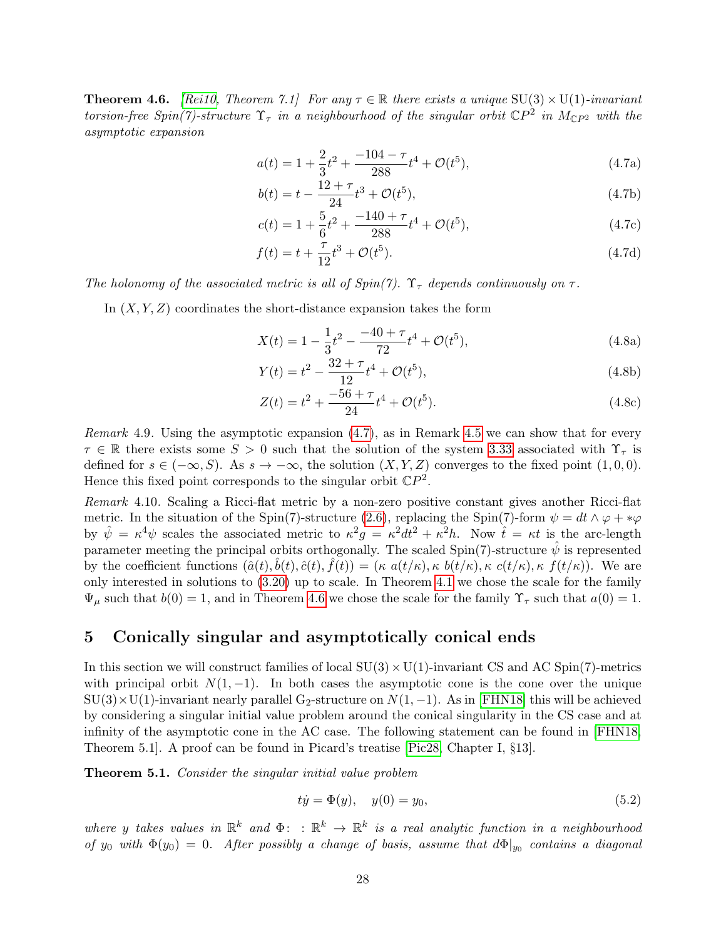**Theorem 4.6.** [\[Rei10,](#page-43-1) Theorem 7.1] For any  $\tau \in \mathbb{R}$  there exists a unique SU(3)  $\times$  U(1)-invariant torsion-free Spin(7)-structure  $\Upsilon_{\tau}$  in a neighbourhood of the singular orbit  $\mathbb{C}P^2$  in  $M_{\mathbb{C}P^2}$  with the asymptotic expansion

<span id="page-27-1"></span>
$$
a(t) = 1 + \frac{2}{3}t^2 + \frac{-104 - \tau}{288}t^4 + \mathcal{O}(t^5),
$$
\n(4.7a)

$$
b(t) = t - \frac{12 + \tau}{24}t^3 + \mathcal{O}(t^5),\tag{4.7b}
$$

$$
c(t) = 1 + \frac{5}{6}t^2 + \frac{-140 + \tau}{288}t^4 + \mathcal{O}(t^5),\tag{4.7c}
$$

$$
f(t) = t + \frac{\tau}{12}t^3 + \mathcal{O}(t^5).
$$
 (4.7d)

The holonomy of the associated metric is all of  $Spin(7)$ .  $\Upsilon_{\tau}$  depends continuously on  $\tau$ .

In  $(X, Y, Z)$  coordinates the short-distance expansion takes the form

<span id="page-27-6"></span>
$$
X(t) = 1 - \frac{1}{3}t^2 - \frac{-40 + \tau}{72}t^4 + \mathcal{O}(t^5),\tag{4.8a}
$$

$$
Y(t) = t^2 - \frac{32 + \tau}{12}t^4 + \mathcal{O}(t^5),\tag{4.8b}
$$

$$
Z(t) = t^2 + \frac{-56 + \tau}{24}t^4 + \mathcal{O}(t^5). \tag{4.8c}
$$

<span id="page-27-5"></span>*Remark* 4.9. Using the asymptotic expansion  $(4.7)$ , as in Remark [4.5](#page-26-1) we can show that for every  $\tau \in \mathbb{R}$  there exists some  $S > 0$  such that the solution of the system [3.33](#page-22-0) associated with  $\Upsilon_{\tau}$  is defined for  $s \in (-\infty, S)$ . As  $s \to -\infty$ , the solution  $(X, Y, Z)$  converges to the fixed point  $(1, 0, 0)$ . Hence this fixed point corresponds to the singular orbit  $\mathbb{C}P^2$ .

<span id="page-27-4"></span>Remark 4.10. Scaling a Ricci-flat metric by a non-zero positive constant gives another Ricci-flat metric. In the situation of the Spin(7)-structure [\(2.6\)](#page-8-3), replacing the Spin(7)-form  $\psi = dt \wedge \varphi + *\varphi$ by  $\hat{\psi} = \kappa^4 \psi$  scales the associated metric to  $\kappa^2 g = \kappa^2 dt^2 + \kappa^2 h$ . Now  $\hat{t} = \kappa t$  is the arc-length parameter meeting the principal orbits orthogonally. The scaled Spin(7)-structure  $\hat{\psi}$  is represented by the coefficient functions  $(\hat{a}(t), \hat{b}(t), \hat{c}(t), \hat{f}(t)) = (\kappa a(t/\kappa), \kappa b(t/\kappa), \kappa c(t/\kappa), \kappa f(t/\kappa))$ . We are only interested in solutions to [\(3.20\)](#page-18-0) up to scale. In Theorem [4.1](#page-25-1) we chose the scale for the family  $\Psi_{\mu}$  such that  $b(0) = 1$ , and in Theorem [4.6](#page-26-2) we chose the scale for the family  $\Upsilon_{\tau}$  such that  $a(0) = 1$ .

## <span id="page-27-0"></span>5 Conically singular and asymptotically conical ends

In this section we will construct families of local  $SU(3) \times U(1)$ -invariant CS and AC Spin(7)-metrics with principal orbit  $N(1, -1)$ . In both cases the asymptotic cone is the cone over the unique  $SU(3)\times U(1)$ -invariant nearly parallel G<sub>2</sub>-structure on  $N(1, -1)$ . As in [\[FHN18\]](#page-42-12) this will be achieved by considering a singular initial value problem around the conical singularity in the CS case and at infinity of the asymptotic cone in the AC case. The following statement can be found in [\[FHN18,](#page-42-12) Theorem 5.1]. A proof can be found in Picard's treatise [\[Pic28,](#page-43-9) Chapter I, §13].

<span id="page-27-3"></span>**Theorem 5.1.** Consider the singular initial value problem

<span id="page-27-2"></span>
$$
t\dot{y} = \Phi(y), \quad y(0) = y_0,\tag{5.2}
$$

where y takes values in  $\mathbb{R}^k$  and  $\Phi: \mathbb{R}^k \to \mathbb{R}^k$  is a real analytic function in a neighbourhood of y<sub>0</sub> with  $\Phi(y_0) = 0$ . After possibly a change of basis, assume that  $d\Phi|_{y_0}$  contains a diagonal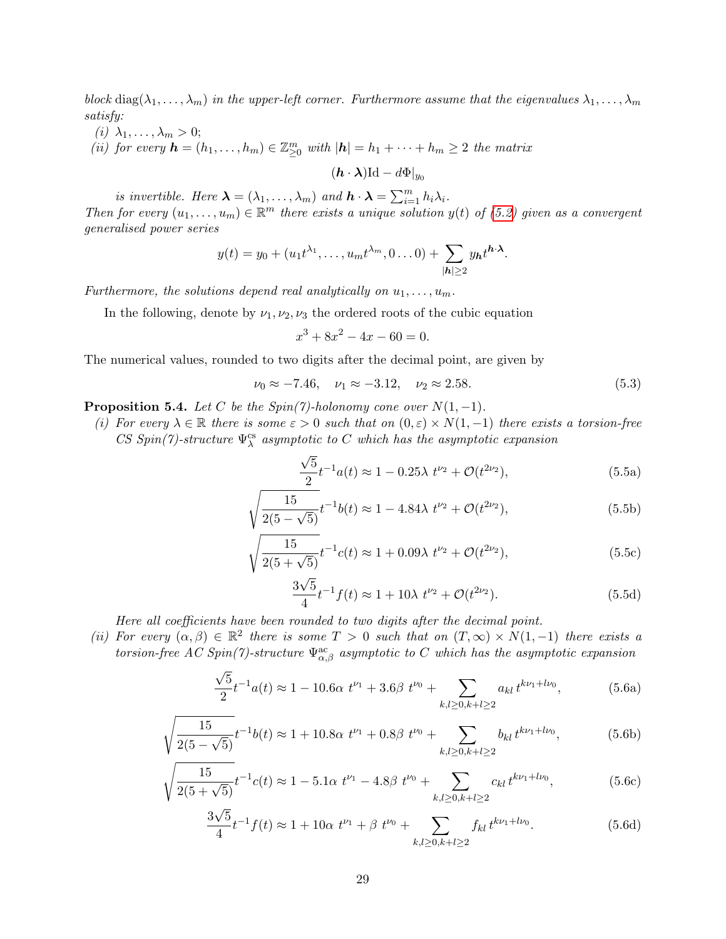block diag( $\lambda_1, \ldots, \lambda_m$ ) in the upper-left corner. Furthermore assume that the eigenvalues  $\lambda_1, \ldots, \lambda_m$ satisfy:

- (i)  $\lambda_1, \ldots, \lambda_m > 0;$
- <span id="page-28-1"></span>(ii) for every  $\mathbf{h} = (h_1, \ldots, h_m) \in \mathbb{Z}_{\geq 0}^m$  with  $|\mathbf{h}| = h_1 + \cdots + h_m \geq 2$  the matrix

 $(\mathbf{h} \cdot \boldsymbol{\lambda})$ Id −  $d\Phi|_{y_0}$ 

is invertible. Here  $\boldsymbol{\lambda} = (\lambda_1, \dots, \lambda_m)$  and  $\boldsymbol{h} \cdot \boldsymbol{\lambda} = \sum_{i=1}^m h_i \lambda_i$ .

Then for every  $(u_1, \ldots, u_m) \in \mathbb{R}^m$  there exists a unique solution  $y(t)$  of [\(5.2\)](#page-27-2) given as a convergent generalised power series

$$
y(t) = y_0 + (u_1 t^{\lambda_1}, \dots, u_m t^{\lambda_m}, 0 \dots 0) + \sum_{|\mathbf{h}| \geq 2} y_{\mathbf{h}} t^{\mathbf{h} \cdot \boldsymbol{\lambda}}.
$$

Furthermore, the solutions depend real analytically on  $u_1, \ldots, u_m$ .

In the following, denote by  $\nu_1, \nu_2, \nu_3$  the ordered roots of the cubic equation

<span id="page-28-0"></span>
$$
x^3 + 8x^2 - 4x - 60 = 0.
$$

The numerical values, rounded to two digits after the decimal point, are given by

$$
\nu_0 \approx -7.46, \quad \nu_1 \approx -3.12, \quad \nu_2 \approx 2.58. \tag{5.3}
$$

<span id="page-28-3"></span>**Proposition 5.4.** Let C be the  $Spin(7)$ -holonomy cone over  $N(1, -1)$ .

(i) For every  $\lambda \in \mathbb{R}$  there is some  $\varepsilon > 0$  such that on  $(0, \varepsilon) \times N(1, -1)$  there exists a torsion-free CS Spin(7)-structure  $\Psi^{\text{cs}}_{\lambda}$  asymptotic to C which has the asymptotic expansion

<span id="page-28-2"></span>
$$
\frac{\sqrt{5}}{2}t^{-1}a(t) \approx 1 - 0.25\lambda \ t^{\nu_2} + \mathcal{O}(t^{2\nu_2}),\tag{5.5a}
$$

$$
\sqrt{\frac{15}{2(5-\sqrt{5})}}t^{-1}b(t) \approx 1 - 4.84\lambda \ t^{\nu_2} + \mathcal{O}(t^{2\nu_2}),\tag{5.5b}
$$

$$
\sqrt{\frac{15}{2(5+\sqrt{5})}}t^{-1}c(t) \approx 1 + 0.09\lambda \ t^{\nu_2} + \mathcal{O}(t^{2\nu_2}),\tag{5.5c}
$$

<span id="page-28-4"></span>
$$
\frac{3\sqrt{5}}{4}t^{-1}f(t) \approx 1 + 10\lambda \ t^{\nu_2} + \mathcal{O}(t^{2\nu_2}).\tag{5.5d}
$$

Here all coefficients have been rounded to two digits after the decimal point.

(ii) For every  $(\alpha, \beta) \in \mathbb{R}^2$  there is some  $T > 0$  such that on  $(T, \infty) \times N(1, -1)$  there exists a torsion-free AC Spin(7)-structure  $\Psi_{\alpha,\beta}^{\rm ac}$  asymptotic to C which has the asymptotic expansion

$$
\frac{\sqrt{5}}{2}t^{-1}a(t) \approx 1 - 10.6\alpha \ t^{\nu_1} + 3.6\beta \ t^{\nu_0} + \sum_{k,l \ge 0, k+l \ge 2} a_{kl} t^{k\nu_1 + l\nu_0},\tag{5.6a}
$$

$$
\sqrt{\frac{15}{2(5-\sqrt{5})}}t^{-1}b(t) \approx 1 + 10.8\alpha \ t^{\nu_1} + 0.8\beta \ t^{\nu_0} + \sum_{k,l\geq 0, k+l\geq 2} b_{kl} t^{k\nu_1+l\nu_0},\tag{5.6b}
$$

$$
\sqrt{\frac{15}{2(5+\sqrt{5})}}t^{-1}c(t) \approx 1 - 5.1\alpha \ t^{\nu_1} - 4.8\beta \ t^{\nu_0} + \sum_{k,l\geq 0, k+l\geq 2} c_{kl} \ t^{k\nu_1+l\nu_0},\tag{5.6c}
$$

$$
\frac{3\sqrt{5}}{4}t^{-1}f(t) \approx 1 + 10\alpha \ t^{\nu_1} + \beta \ t^{\nu_0} + \sum_{k,l \ge 0, k+l \ge 2} f_{kl} \ t^{k\nu_1 + l\nu_0}.
$$
 (5.6d)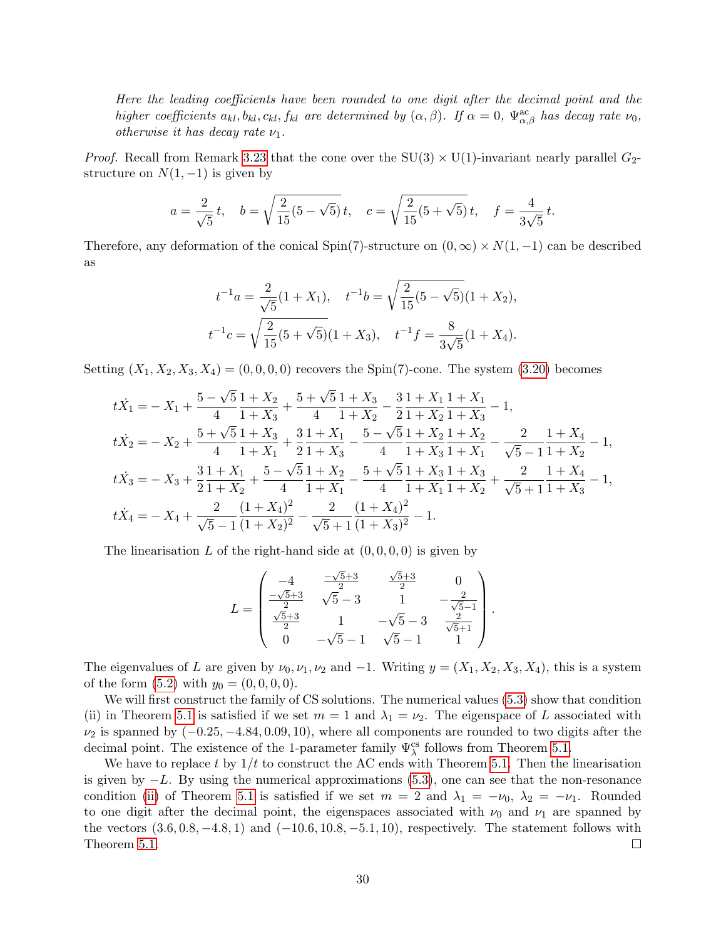Here the leading coefficients have been rounded to one digit after the decimal point and the higher coefficients  $a_{kl}$ ,  $b_{kl}$ ,  $c_{kl}$ ,  $f_{kl}$  are determined by  $(\alpha, \beta)$ . If  $\alpha = 0$ ,  $\Psi_{\alpha,\beta}^{ac}$  has decay rate  $\nu_0$ , otherwise it has decay rate  $\nu_1$ .

*Proof.* Recall from Remark [3.23](#page-19-1) that the cone over the  $SU(3) \times U(1)$ -invariant nearly parallel  $G_2$ structure on  $N(1, -1)$  is given by

$$
a = \frac{2}{\sqrt{5}}t
$$
,  $b = \sqrt{\frac{2}{15}(5 - \sqrt{5})t}$ ,  $c = \sqrt{\frac{2}{15}(5 + \sqrt{5})t}$ ,  $f = \frac{4}{3\sqrt{5}}t$ .

Therefore, any deformation of the conical Spin(7)-structure on  $(0, \infty) \times N(1, -1)$  can be described as

$$
t^{-1}a = \frac{2}{\sqrt{5}}(1+X_1), \quad t^{-1}b = \sqrt{\frac{2}{15}(5-\sqrt{5})}(1+X_2),
$$
  

$$
t^{-1}c = \sqrt{\frac{2}{15}(5+\sqrt{5})}(1+X_3), \quad t^{-1}f = \frac{8}{3\sqrt{5}}(1+X_4).
$$

Setting  $(X_1, X_2, X_3, X_4) = (0, 0, 0, 0)$  recovers the Spin(7)-cone. The system [\(3.20\)](#page-18-0) becomes

$$
t\dot{X}_1 = -X_1 + \frac{5 - \sqrt{5}}{4} \frac{1 + X_2}{1 + X_3} + \frac{5 + \sqrt{5}}{4} \frac{1 + X_3}{1 + X_2} - \frac{3}{2} \frac{1 + X_1}{1 + X_2} \frac{1 + X_1}{1 + X_3} - 1,
$$
  
\n
$$
t\dot{X}_2 = -X_2 + \frac{5 + \sqrt{5}}{4} \frac{1 + X_3}{1 + X_1} + \frac{3}{2} \frac{1 + X_1}{1 + X_3} - \frac{5 - \sqrt{5}}{4} \frac{1 + X_2}{1 + X_3} \frac{1 + X_2}{1 + X_1} - \frac{2}{\sqrt{5} - 1} \frac{1 + X_4}{1 + X_2} - 1,
$$
  
\n
$$
t\dot{X}_3 = -X_3 + \frac{3}{2} \frac{1 + X_1}{1 + X_2} + \frac{5 - \sqrt{5}}{4} \frac{1 + X_2}{1 + X_1} - \frac{5 + \sqrt{5}}{4} \frac{1 + X_3}{1 + X_1} \frac{1 + X_3}{1 + X_2} + \frac{2}{\sqrt{5} + 1} \frac{1 + X_4}{1 + X_3} - 1,
$$
  
\n
$$
t\dot{X}_4 = -X_4 + \frac{2}{\sqrt{5} - 1} \frac{(1 + X_4)^2}{(1 + X_2)^2} - \frac{2}{\sqrt{5} + 1} \frac{(1 + X_4)^2}{(1 + X_3)^2} - 1.
$$

The linearisation L of the right-hand side at  $(0, 0, 0, 0)$  is given by

$$
L = \begin{pmatrix} -4 & \frac{-\sqrt{5}+3}{2} & \frac{\sqrt{5}+3}{2} & 0\\ \frac{-\sqrt{5}+3}{2} & \sqrt{5}-3 & 1 & -\frac{2}{\sqrt{5}-1}\\ \frac{\sqrt{5}+3}{2} & 1 & -\sqrt{5}-3 & \frac{2}{\sqrt{5}+1}\\ 0 & -\sqrt{5}-1 & \sqrt{5}-1 & 1 \end{pmatrix}.
$$

The eigenvalues of L are given by  $\nu_0, \nu_1, \nu_2$  and  $-1$ . Writing  $y = (X_1, X_2, X_3, X_4)$ , this is a system of the form  $(5.2)$  with  $y_0 = (0, 0, 0, 0)$ .

We will first construct the family of CS solutions. The numerical values [\(5.3\)](#page-28-0) show that condition (ii) in Theorem [5.1](#page-27-3) is satisfied if we set  $m = 1$  and  $\lambda_1 = \nu_2$ . The eigenspace of L associated with  $\nu_2$  is spanned by  $(-0.25, -4.84, 0.09, 10)$ , where all components are rounded to two digits after the decimal point. The existence of the 1-parameter family  $\Psi_{\lambda}^{\text{cs}}$  follows from Theorem [5.1.](#page-27-3)

We have to replace t by  $1/t$  to construct the AC ends with Theorem [5.1.](#page-27-3) Then the linearisation is given by  $-L$ . By using the numerical approximations [\(5.3\)](#page-28-0), one can see that the non-resonance condition [\(ii\)](#page-28-1) of Theorem [5.1](#page-27-3) is satisfied if we set  $m = 2$  and  $\lambda_1 = -\nu_0$ ,  $\lambda_2 = -\nu_1$ . Rounded to one digit after the decimal point, the eigenspaces associated with  $\nu_0$  and  $\nu_1$  are spanned by the vectors  $(3.6, 0.8, -4.8, 1)$  and  $(-10.6, 10.8, -5.1, 10)$ , respectively. The statement follows with Theorem [5.1.](#page-27-3)  $\Box$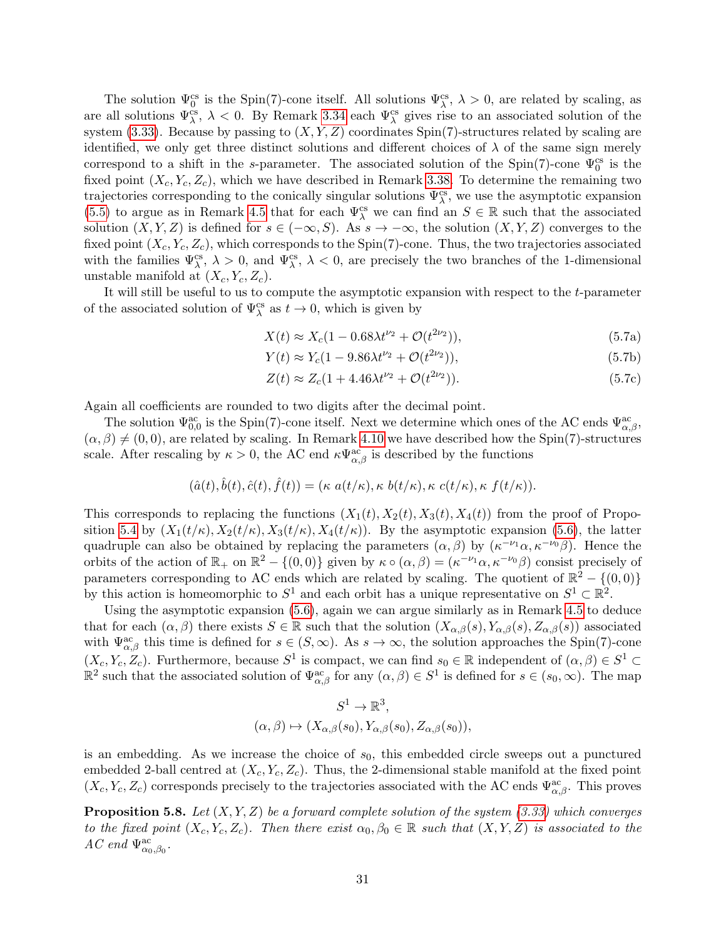The solution  $\Psi_0^{\text{cs}}$  is the Spin(7)-cone itself. All solutions  $\Psi_\lambda^{\text{cs}}$ ,  $\lambda > 0$ , are related by scaling, as are all solutions  $\Psi_{\lambda}^{cs}$ ,  $\lambda < 0$ . By Remark [3.34](#page-22-2) each  $\Psi_{\lambda}^{cs}$  gives rise to an associated solution of the system [\(3.33\)](#page-22-0). Because by passing to  $(X, Y, Z)$  coordinates Spin(7)-structures related by scaling are identified, we only get three distinct solutions and different choices of  $\lambda$  of the same sign merely correspond to a shift in the s-parameter. The associated solution of the Spin(7)-cone  $\Psi_0^{\text{cs}}$  is the fixed point  $(X_c, Y_c, Z_c)$ , which we have described in Remark [3.38.](#page-23-1) To determine the remaining two trajectories corresponding to the conically singular solutions  $\Psi_{\lambda}^{\text{cs}}$ , we use the asymptotic expansion [\(5.5\)](#page-28-2) to argue as in Remark [4.5](#page-26-1) that for each  $\Psi^{\text{cs}}_{\lambda}$  we can find an  $S \in \mathbb{R}$  such that the associated solution  $(X, Y, Z)$  is defined for  $s \in (-\infty, S)$ . As  $s \to -\infty$ , the solution  $(X, Y, Z)$  converges to the fixed point  $(X_c, Y_c, Z_c)$ , which corresponds to the Spin(7)-cone. Thus, the two trajectories associated with the families  $\Psi^{\text{cs}}_{\lambda}, \lambda > 0$ , and  $\Psi^{\text{cs}}_{\lambda}, \lambda < 0$ , are precisely the two branches of the 1-dimensional unstable manifold at  $(X_c, Y_c, Z_c)$ .

It will still be useful to us to compute the asymptotic expansion with respect to the t-parameter of the associated solution of  $\Psi_{\lambda}^{\text{cs}}$  as  $t \to 0$ , which is given by

<span id="page-30-1"></span>
$$
X(t) \approx X_c(1 - 0.68\lambda t^{\nu_2} + \mathcal{O}(t^{2\nu_2})),\tag{5.7a}
$$

$$
Y(t) \approx Y_c(1 - 9.86\lambda t^{\nu_2} + \mathcal{O}(t^{2\nu_2})),\tag{5.7b}
$$

$$
Z(t) \approx Z_c(1 + 4.46\lambda t^{\nu_2} + \mathcal{O}(t^{2\nu_2})).
$$
\n(5.7c)

Again all coefficients are rounded to two digits after the decimal point.

The solution  $\Psi_{0,0}^{\text{ac}}$  is the Spin(7)-cone itself. Next we determine which ones of the AC ends  $\Psi_{\alpha,\beta}^{\text{ac}}$ ,  $(\alpha, \beta) \neq (0, 0)$ , are related by scaling. In Remark [4.10](#page-27-4) we have described how the Spin(7)-structures scale. After rescaling by  $\kappa > 0$ , the AC end  $\kappa \Psi_{\alpha,\beta}^{ac}$  is described by the functions

$$
(\hat{a}(t),\hat{b}(t),\hat{c}(t),\hat{f}(t)) = (\kappa \ a(t/\kappa),\kappa \ b(t/\kappa),\kappa \ c(t/\kappa),\kappa \ f(t/\kappa)).
$$

This corresponds to replacing the functions  $(X_1(t), X_2(t), X_3(t), X_4(t))$  from the proof of Propo-sition [5.4](#page-28-3) by  $(X_1(t/\kappa), X_2(t/\kappa), X_3(t/\kappa), X_4(t/\kappa))$ . By the asymptotic expansion [\(5.6\)](#page-28-4), the latter quadruple can also be obtained by replacing the parameters  $(\alpha, \beta)$  by  $(\kappa^{-\nu_1} \alpha, \kappa^{-\nu_0} \beta)$ . Hence the orbits of the action of  $\mathbb{R}_+$  on  $\mathbb{R}^2 - \{(0,0)\}\$  given by  $\kappa \circ (\alpha, \beta) = (\kappa^{-\nu_1}\alpha, \kappa^{-\nu_0}\beta)$  consist precisely of parameters corresponding to AC ends which are related by scaling. The quotient of  $\mathbb{R}^2 - \{(0,0)\}\$ by this action is homeomorphic to  $S^1$  and each orbit has a unique representative on  $S^1 \subset \mathbb{R}^2$ .

Using the asymptotic expansion [\(5.6\)](#page-28-4), again we can argue similarly as in Remark [4.5](#page-26-1) to deduce that for each  $(\alpha, \beta)$  there exists  $S \in \mathbb{R}$  such that the solution  $(X_{\alpha,\beta}(s), Y_{\alpha,\beta}(s), Z_{\alpha,\beta}(s))$  associated with  $\Psi_{\alpha,\beta}^{ac}$  this time is defined for  $s \in (S,\infty)$ . As  $s \to \infty$ , the solution approaches the Spin(7)-cone  $(X_c, Y_c, Z_c)$ . Furthermore, because  $S^1$  is compact, we can find  $s_0 \in \mathbb{R}$  independent of  $(\alpha, \beta) \in S^1$  $\mathbb{R}^2$  such that the associated solution of  $\Psi_{\alpha,\beta}^{\text{ac}}$  for any  $(\alpha,\beta) \in S^1$  is defined for  $s \in (s_0,\infty)$ . The map

$$
S^1 \to \mathbb{R}^3,
$$
  

$$
(\alpha, \beta) \mapsto (X_{\alpha, \beta}(s_0), Y_{\alpha, \beta}(s_0), Z_{\alpha, \beta}(s_0)),
$$

is an embedding. As we increase the choice of  $s<sub>0</sub>$ , this embedded circle sweeps out a punctured embedded 2-ball centred at  $(X_c, Y_c, Z_c)$ . Thus, the 2-dimensional stable manifold at the fixed point  $(X_c, Y_c, Z_c)$  corresponds precisely to the trajectories associated with the AC ends  $\Psi_{\alpha,\beta}^{ac}$ . This proves

<span id="page-30-0"></span>**Proposition 5.8.** Let  $(X, Y, Z)$  be a forward complete solution of the system [\(3.33\)](#page-22-0) which converges to the fixed point  $(X_c, Y_c, Z_c)$ . Then there exist  $\alpha_0, \beta_0 \in \mathbb{R}$  such that  $(X, Y, Z)$  is associated to the AC end  $\Psi_{\alpha_0,\beta_0}^{\mathrm{ac}}$ .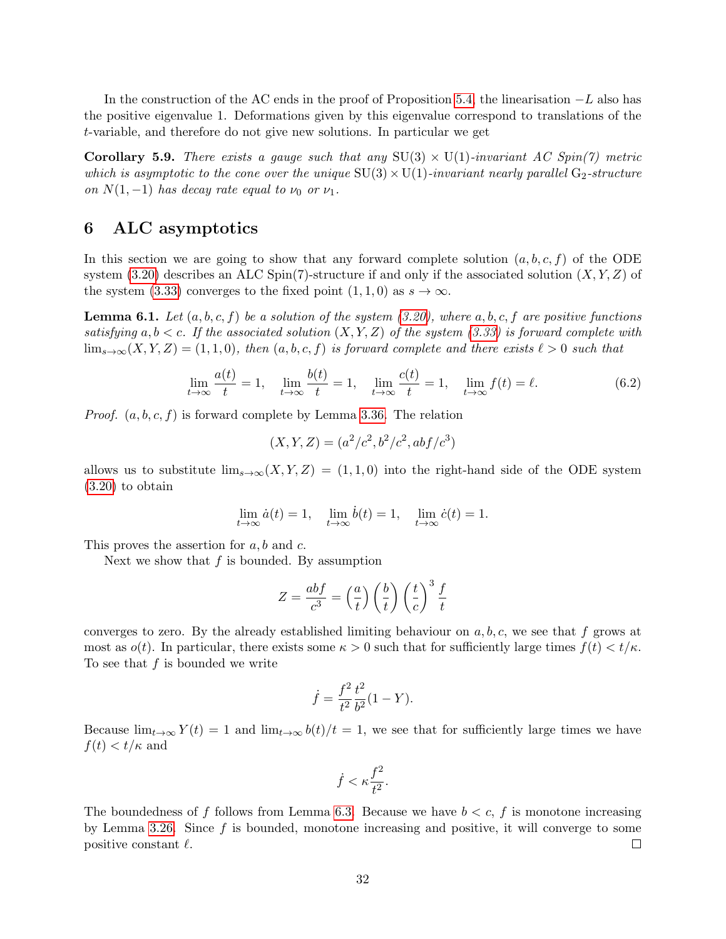In the construction of the AC ends in the proof of Proposition [5.4,](#page-28-3) the linearisation  $-L$  also has the positive eigenvalue 1. Deformations given by this eigenvalue correspond to translations of the t-variable, and therefore do not give new solutions. In particular we get

**Corollary 5.9.** There exists a gauge such that any  $SU(3) \times U(1)$ -invariant AC Spin(7) metric which is asymptotic to the cone over the unique  $SU(3) \times U(1)$ -invariant nearly parallel  $G_2$ -structure on  $N(1, -1)$  has decay rate equal to  $\nu_0$  or  $\nu_1$ .

# <span id="page-31-0"></span>6 ALC asymptotics

In this section we are going to show that any forward complete solution  $(a, b, c, f)$  of the ODE system  $(3.20)$  describes an ALC Spin(7)-structure if and only if the associated solution  $(X, Y, Z)$  of the system [\(3.33\)](#page-22-0) converges to the fixed point  $(1, 1, 0)$  as  $s \to \infty$ .

**Lemma 6.1.** Let  $(a, b, c, f)$  be a solution of the system [\(3.20\)](#page-18-0), where  $a, b, c, f$  are positive functions satisfying  $a, b < c$ . If the associated solution  $(X, Y, Z)$  of the system [\(3.33\)](#page-22-0) is forward complete with  $\lim_{s\to\infty}(X, Y, Z) = (1, 1, 0)$ , then  $(a, b, c, f)$  is forward complete and there exists  $\ell > 0$  such that

$$
\lim_{t \to \infty} \frac{a(t)}{t} = 1, \quad \lim_{t \to \infty} \frac{b(t)}{t} = 1, \quad \lim_{t \to \infty} \frac{c(t)}{t} = 1, \quad \lim_{t \to \infty} f(t) = \ell.
$$
\n(6.2)

*Proof.*  $(a, b, c, f)$  is forward complete by Lemma [3.36.](#page-22-3) The relation

<span id="page-31-1"></span>
$$
(X, Y, Z) = (a^2/c^2, b^2/c^2, abf/c^3)
$$

allows us to substitute  $\lim_{s\to\infty}(X, Y, Z) = (1, 1, 0)$  into the right-hand side of the ODE system [\(3.20\)](#page-18-0) to obtain

$$
\lim_{t \to \infty} \dot{a}(t) = 1, \quad \lim_{t \to \infty} \dot{b}(t) = 1, \quad \lim_{t \to \infty} \dot{c}(t) = 1.
$$

This proves the assertion for  $a, b$  and  $c$ .

Next we show that  $f$  is bounded. By assumption

$$
Z = \frac{abf}{c^3} = \left(\frac{a}{t}\right) \left(\frac{b}{t}\right) \left(\frac{t}{c}\right)^3 \frac{f}{t}
$$

converges to zero. By the already established limiting behaviour on  $a, b, c$ , we see that f grows at most as  $o(t)$ . In particular, there exists some  $\kappa > 0$  such that for sufficiently large times  $f(t) < t/\kappa$ . To see that  $f$  is bounded we write

$$
\dot{f} = \frac{f^2}{t^2} \frac{t^2}{b^2} (1 - Y).
$$

Because  $\lim_{t\to\infty} Y(t) = 1$  and  $\lim_{t\to\infty} b(t)/t = 1$ , we see that for sufficiently large times we have  $f(t) < t/\kappa$  and

$$
\dot{f} < \kappa \frac{f^2}{t^2}.
$$

The boundedness of f follows from Lemma [6.3.](#page-32-0) Because we have  $b < c$ , f is monotone increasing by Lemma [3.26.](#page-20-1) Since  $f$  is bounded, monotone increasing and positive, it will converge to some positive constant  $\ell$ .  $\Box$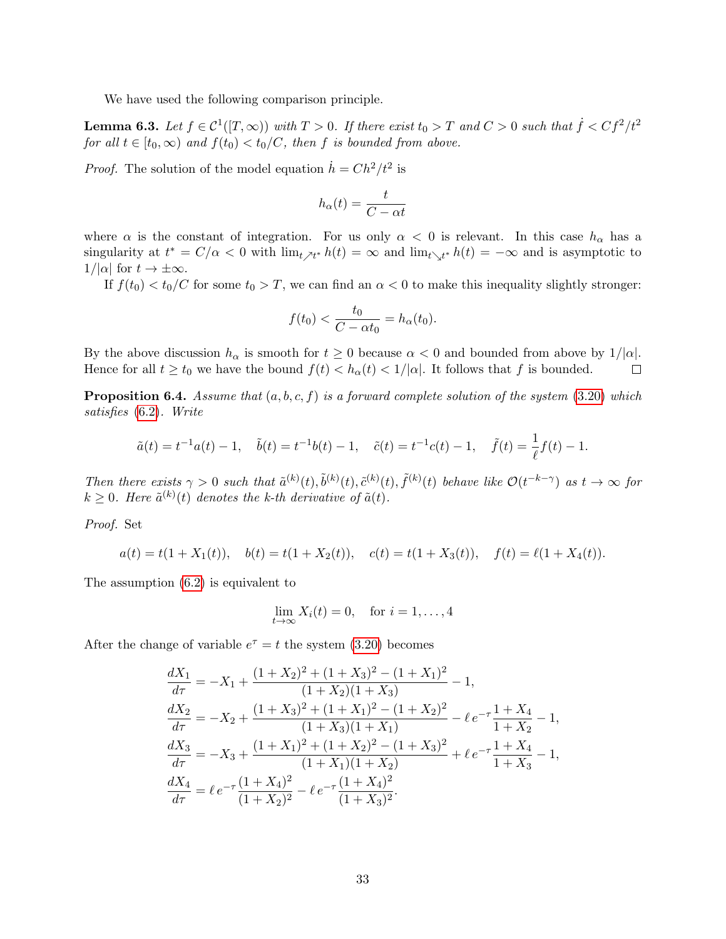We have used the following comparison principle.

<span id="page-32-0"></span>**Lemma 6.3.** Let  $f \in C^1([T,\infty))$  with  $T > 0$ . If there exist  $t_0 > T$  and  $C > 0$  such that  $\dot{f} < Cf^2/t^2$ for all  $t \in [t_0, \infty)$  and  $f(t_0) < t_0/C$ , then f is bounded from above.

*Proof.* The solution of the model equation  $\dot{h} = Ch^2/t^2$  is

$$
h_{\alpha}(t) = \frac{t}{C - \alpha t}
$$

where  $\alpha$  is the constant of integration. For us only  $\alpha < 0$  is relevant. In this case  $h_{\alpha}$  has a singularity at  $t^* = C/\alpha < 0$  with  $\lim_{t \nearrow t^*} h(t) = \infty$  and  $\lim_{t \searrow t^*} h(t) = -\infty$  and is asymptotic to  $1/|\alpha|$  for  $t \to \pm \infty$ .

If  $f(t_0) < t_0/C$  for some  $t_0 > T$ , we can find an  $\alpha < 0$  to make this inequality slightly stronger:

$$
f(t_0) < \frac{t_0}{C - \alpha t_0} = h_\alpha(t_0).
$$

By the above discussion  $h_{\alpha}$  is smooth for  $t \geq 0$  because  $\alpha < 0$  and bounded from above by  $1/|\alpha|$ . Hence for all  $t \ge t_0$  we have the bound  $f(t) < h_\alpha(t) < 1/|\alpha|$ . It follows that f is bounded.  $\Box$ 

**Proposition 6.4.** Assume that  $(a, b, c, f)$  is a forward complete solution of the system [\(3.20\)](#page-18-0) which satisfies [\(6.2\)](#page-31-1). Write

$$
\tilde{a}(t) = t^{-1}a(t) - 1, \quad \tilde{b}(t) = t^{-1}b(t) - 1, \quad \tilde{c}(t) = t^{-1}c(t) - 1, \quad \tilde{f}(t) = \frac{1}{\ell}f(t) - 1.
$$

Then there exists  $\gamma > 0$  such that  $\tilde{a}^{(k)}(t), \tilde{b}^{(k)}(t), \tilde{c}^{(k)}(t), \tilde{f}^{(k)}(t)$  behave like  $\mathcal{O}(t^{-k-\gamma})$  as  $t \to \infty$  for  $k \geq 0$ . Here  $\tilde{a}^{(k)}(t)$  denotes the k-th derivative of  $\tilde{a}(t)$ .

Proof. Set

$$
a(t) = t(1 + X_1(t)),
$$
  $b(t) = t(1 + X_2(t)),$   $c(t) = t(1 + X_3(t)),$   $f(t) = \ell(1 + X_4(t)).$ 

The assumption [\(6.2\)](#page-31-1) is equivalent to

$$
\lim_{t \to \infty} X_i(t) = 0, \quad \text{for } i = 1, \dots, 4
$$

After the change of variable  $e^{\tau} = t$  the system [\(3.20\)](#page-18-0) becomes

$$
\frac{dX_1}{d\tau} = -X_1 + \frac{(1+X_2)^2 + (1+X_3)^2 - (1+X_1)^2}{(1+X_2)(1+X_3)} - 1,
$$
\n
$$
\frac{dX_2}{d\tau} = -X_2 + \frac{(1+X_3)^2 + (1+X_1)^2 - (1+X_2)^2}{(1+X_3)(1+X_1)} - \ell e^{-\tau} \frac{1+X_4}{1+X_2} - 1,
$$
\n
$$
\frac{dX_3}{d\tau} = -X_3 + \frac{(1+X_1)^2 + (1+X_2)^2 - (1+X_3)^2}{(1+X_1)(1+X_2)} + \ell e^{-\tau} \frac{1+X_4}{1+X_3} - 1,
$$
\n
$$
\frac{dX_4}{d\tau} = \ell e^{-\tau} \frac{(1+X_4)^2}{(1+X_2)^2} - \ell e^{-\tau} \frac{(1+X_4)^2}{(1+X_3)^2}.
$$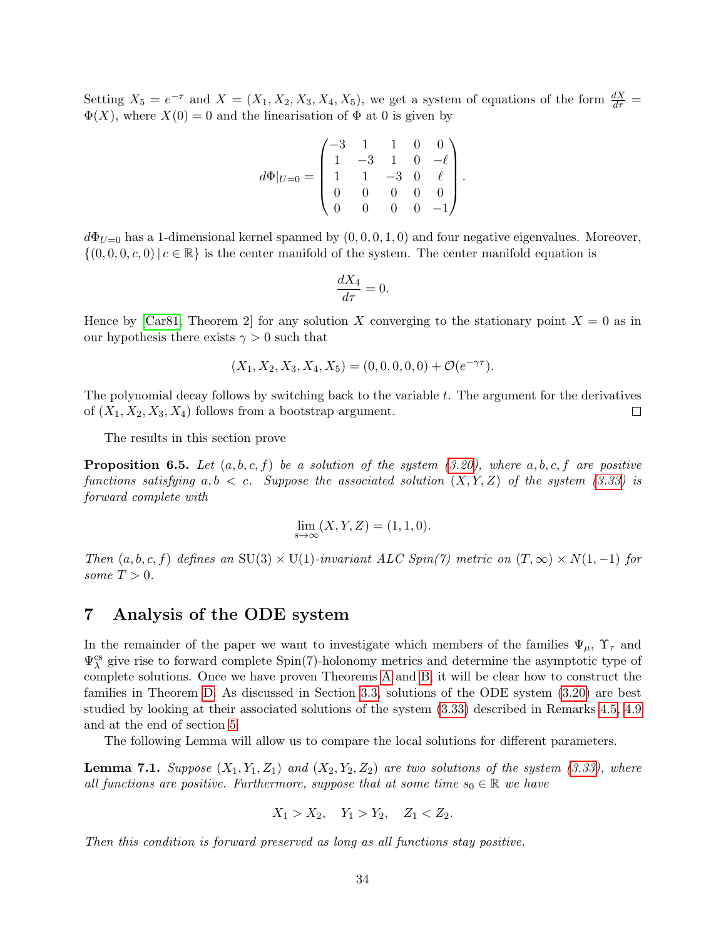Setting  $X_5 = e^{-\tau}$  and  $X = (X_1, X_2, X_3, X_4, X_5)$ , we get a system of equations of the form  $\frac{dX}{d\tau}$  $\Phi(X)$ , where  $X(0) = 0$  and the linearisation of  $\Phi$  at 0 is given by

$$
d\Phi|_{U=0} = \begin{pmatrix} -3 & 1 & 1 & 0 & 0 \\ 1 & -3 & 1 & 0 & -\ell \\ 1 & 1 & -3 & 0 & \ell \\ 0 & 0 & 0 & 0 & 0 \\ 0 & 0 & 0 & 0 & -1 \end{pmatrix}.
$$

 $d\Phi_{U=0}$  has a 1-dimensional kernel spanned by  $(0,0,0,1,0)$  and four negative eigenvalues. Moreover,  $\{(0, 0, 0, c, 0)| c \in \mathbb{R}\}\$  is the center manifold of the system. The center manifold equation is

$$
\frac{dX_4}{d\tau} = 0.
$$

Hence by [\[Car81,](#page-42-15) Theorem 2] for any solution X converging to the stationary point  $X = 0$  as in our hypothesis there exists  $\gamma > 0$  such that

$$
(X_1, X_2, X_3, X_4, X_5) = (0, 0, 0, 0, 0) + \mathcal{O}(e^{-\gamma \tau}).
$$

The polynomial decay follows by switching back to the variable  $t$ . The argument for the derivatives of  $(X_1, X_2, X_3, X_4)$  follows from a bootstrap argument.  $\Box$ 

The results in this section prove

<span id="page-33-2"></span>**Proposition 6.5.** Let  $(a, b, c, f)$  be a solution of the system  $(3.20)$ , where  $a, b, c, f$  are positive functions satisfying  $a, b < c$ . Suppose the associated solution  $(X, Y, Z)$  of the system [\(3.33\)](#page-22-0) is forward complete with

$$
\lim_{s \to \infty} (X, Y, Z) = (1, 1, 0).
$$

Then  $(a, b, c, f)$  defines an SU(3) × U(1)-invariant ALC Spin(7) metric on  $(T, \infty) \times N(1, -1)$  for some  $T > 0$ .

# <span id="page-33-0"></span>7 Analysis of the ODE system

In the remainder of the paper we want to investigate which members of the families  $\Psi_{\mu}$ ,  $\Upsilon_{\tau}$  and  $\Psi^{\text{cs}}_{\lambda}$  give rise to forward complete Spin(7)-holonomy metrics and determine the asymptotic type of complete solutions. Once we have proven Theorems [A](#page-2-0) and [B,](#page-3-0) it will be clear how to construct the families in Theorem [D.](#page-5-0) As discussed in Section [3.3,](#page-20-0) solutions of the ODE system [\(3.20\)](#page-18-0) are best studied by looking at their associated solutions of the system [\(3.33\)](#page-22-0) described in Remarks [4.5,](#page-26-1) [4.9](#page-27-5) and at the end of section [5.](#page-27-0)

The following Lemma will allow us to compare the local solutions for different parameters.

<span id="page-33-1"></span>**Lemma 7.1.** Suppose  $(X_1, Y_1, Z_1)$  and  $(X_2, Y_2, Z_2)$  are two solutions of the system [\(3.33\)](#page-22-0), where all functions are positive. Furthermore, suppose that at some time  $s_0 \in \mathbb{R}$  we have

$$
X_1 > X_2, \quad Y_1 > Y_2, \quad Z_1 < Z_2.
$$

Then this condition is forward preserved as long as all functions stay positive.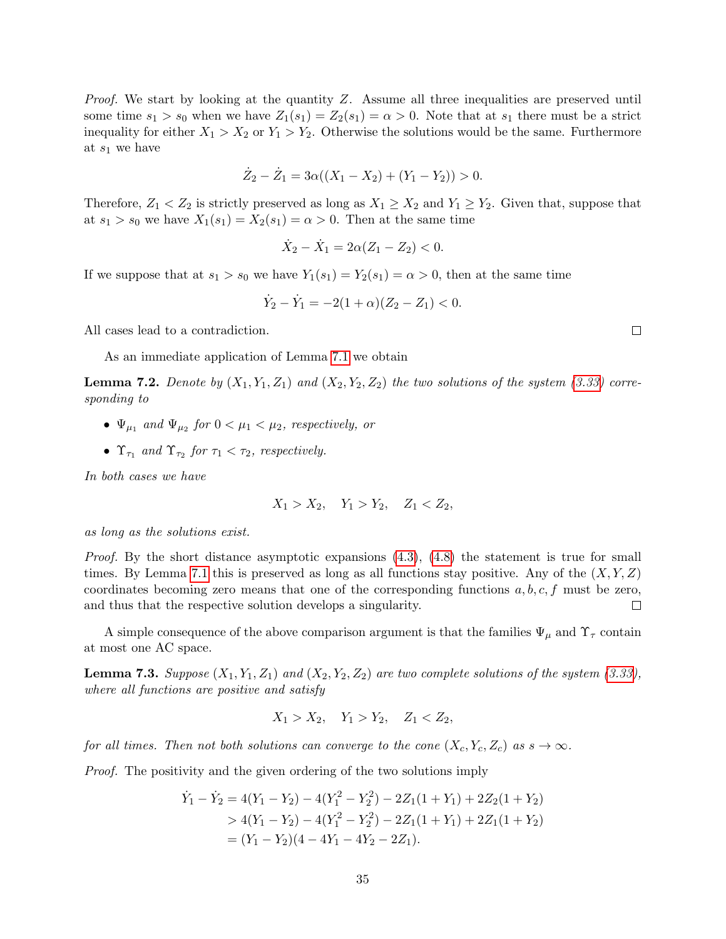Proof. We start by looking at the quantity Z. Assume all three inequalities are preserved until some time  $s_1 > s_0$  when we have  $Z_1(s_1) = Z_2(s_1) = \alpha > 0$ . Note that at  $s_1$  there must be a strict inequality for either  $X_1 > X_2$  or  $Y_1 > Y_2$ . Otherwise the solutions would be the same. Furthermore at  $s_1$  we have

$$
\dot{Z}_2 - \dot{Z}_1 = 3\alpha((X_1 - X_2) + (Y_1 - Y_2)) > 0.
$$

Therefore,  $Z_1 < Z_2$  is strictly preserved as long as  $X_1 \geq X_2$  and  $Y_1 \geq Y_2$ . Given that, suppose that at  $s_1 > s_0$  we have  $X_1(s_1) = X_2(s_1) = \alpha > 0$ . Then at the same time

$$
\dot{X}_2 - \dot{X}_1 = 2\alpha (Z_1 - Z_2) < 0.
$$

If we suppose that at  $s_1 > s_0$  we have  $Y_1(s_1) = Y_2(s_1) = \alpha > 0$ , then at the same time

$$
\dot{Y}_2 - \dot{Y}_1 = -2(1+\alpha)(Z_2 - Z_1) < 0.
$$

All cases lead to a contradiction.

As an immediate application of Lemma [7.1](#page-33-1) we obtain

<span id="page-34-0"></span>**Lemma 7.2.** Denote by  $(X_1, Y_1, Z_1)$  and  $(X_2, Y_2, Z_2)$  the two solutions of the system [\(3.33\)](#page-22-0) corresponding to

- $\Psi_{\mu_1}$  and  $\Psi_{\mu_2}$  for  $0 < \mu_1 < \mu_2$ , respectively, or
- $\Upsilon_{\tau_1}$  and  $\Upsilon_{\tau_2}$  for  $\tau_1 < \tau_2$ , respectively.

In both cases we have

$$
X_1 > X_2, \quad Y_1 > Y_2, \quad Z_1 < Z_2,
$$

as long as the solutions exist.

*Proof.* By the short distance asymptotic expansions  $(4.3)$ ,  $(4.8)$  the statement is true for small times. By Lemma [7.1](#page-33-1) this is preserved as long as all functions stay positive. Any of the  $(X, Y, Z)$ coordinates becoming zero means that one of the corresponding functions  $a, b, c, f$  must be zero,  $\Box$ and thus that the respective solution develops a singularity.

A simple consequence of the above comparison argument is that the families  $\Psi_{\mu}$  and  $\Upsilon_{\tau}$  contain at most one AC space.

<span id="page-34-1"></span>**Lemma 7.3.** Suppose  $(X_1, Y_1, Z_1)$  and  $(X_2, Y_2, Z_2)$  are two complete solutions of the system [\(3.33\)](#page-22-0), where all functions are positive and satisfy

$$
X_1 > X_2, \quad Y_1 > Y_2, \quad Z_1 < Z_2,
$$

for all times. Then not both solutions can converge to the cone  $(X_c, Y_c, Z_c)$  as  $s \to \infty$ .

Proof. The positivity and the given ordering of the two solutions imply

$$
\dot{Y}_1 - \dot{Y}_2 = 4(Y_1 - Y_2) - 4(Y_1^2 - Y_2^2) - 2Z_1(1 + Y_1) + 2Z_2(1 + Y_2)
$$
  
> 4(Y\_1 - Y\_2) - 4(Y\_1^2 - Y\_2^2) - 2Z\_1(1 + Y\_1) + 2Z\_1(1 + Y\_2)  
= (Y\_1 - Y\_2)(4 - 4Y\_1 - 4Y\_2 - 2Z\_1).

 $\Box$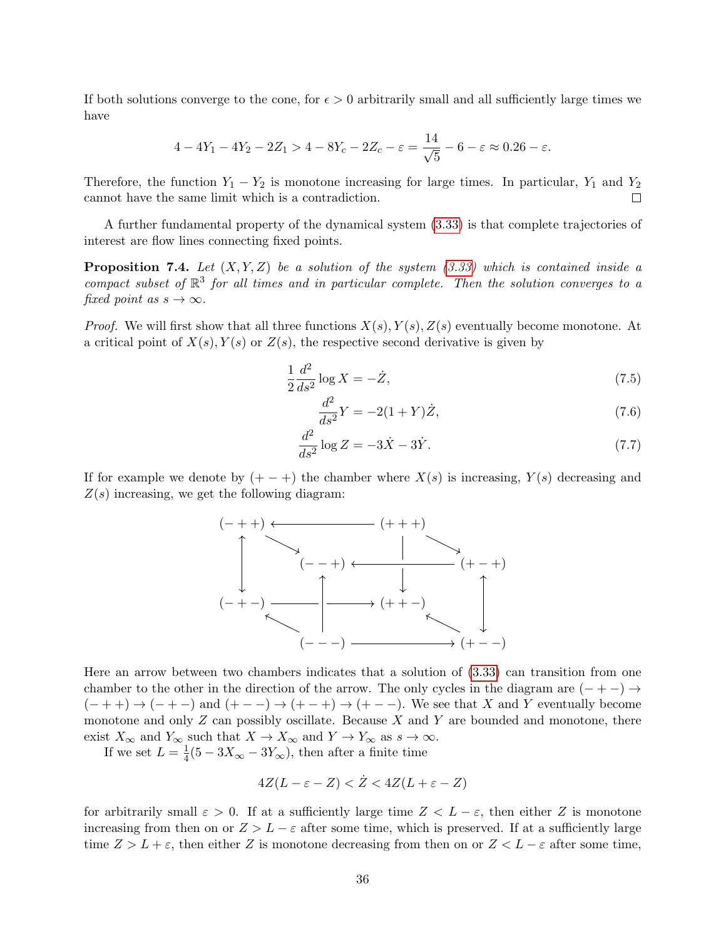If both solutions converge to the cone, for  $\epsilon > 0$  arbitrarily small and all sufficiently large times we have

$$
4 - 4Y_1 - 4Y_2 - 2Z_1 > 4 - 8Y_c - 2Z_c - \varepsilon = \frac{14}{\sqrt{5}} - 6 - \varepsilon \approx 0.26 - \varepsilon.
$$

Therefore, the function  $Y_1 - Y_2$  is monotone increasing for large times. In particular,  $Y_1$  and  $Y_2$ cannot have the same limit which is a contradiction.  $\Box$ 

A further fundamental property of the dynamical system [\(3.33\)](#page-22-0) is that complete trajectories of interest are flow lines connecting fixed points.

<span id="page-35-0"></span>**Proposition 7.4.** Let  $(X, Y, Z)$  be a solution of the system  $(3.33)$  which is contained inside a compact subset of  $\mathbb{R}^3$  for all times and in particular complete. Then the solution converges to a fixed point as  $s \to \infty$ .

*Proof.* We will first show that all three functions  $X(s)$ ,  $Y(s)$ ,  $Z(s)$  eventually become monotone. At a critical point of  $X(s)$ ,  $Y(s)$  or  $Z(s)$ , the respective second derivative is given by

$$
\frac{1}{2}\frac{d^2}{ds^2}\log X = -\dot{Z},\tag{7.5}
$$

$$
\frac{d^2}{ds^2}Y = -2(1+Y)\dot{Z},\tag{7.6}
$$

$$
\frac{d^2}{ds^2} \log Z = -3\dot{X} - 3\dot{Y}.\tag{7.7}
$$

If for example we denote by  $(+-+)$  the chamber where  $X(s)$  is increasing,  $Y(s)$  decreasing and  $Z(s)$  increasing, we get the following diagram:



Here an arrow between two chambers indicates that a solution of [\(3.33\)](#page-22-0) can transition from one chamber to the other in the direction of the arrow. The only cycles in the diagram are  $(- + -) \rightarrow$  $(- + +) \rightarrow (- + -)$  and  $(+ - -) \rightarrow (+ - +) \rightarrow (+ - -)$ . We see that X and Y eventually become monotone and only  $Z$  can possibly oscillate. Because  $X$  and  $Y$  are bounded and monotone, there exist  $X_{\infty}$  and  $Y_{\infty}$  such that  $X \to X_{\infty}$  and  $Y \to Y_{\infty}$  as  $s \to \infty$ .

If we set  $L=\frac{1}{4}$  $\frac{1}{4}(5-3X_{\infty}-3Y_{\infty})$ , then after a finite time

$$
4Z(L-\varepsilon-Z) < \dot{Z} < 4Z(L+\varepsilon-Z)
$$

for arbitrarily small  $\varepsilon > 0$ . If at a sufficiently large time  $Z < L - \varepsilon$ , then either Z is monotone increasing from then on or  $Z > L - \varepsilon$  after some time, which is preserved. If at a sufficiently large time  $Z > L + \varepsilon$ , then either Z is monotone decreasing from then on or  $Z < L - \varepsilon$  after some time,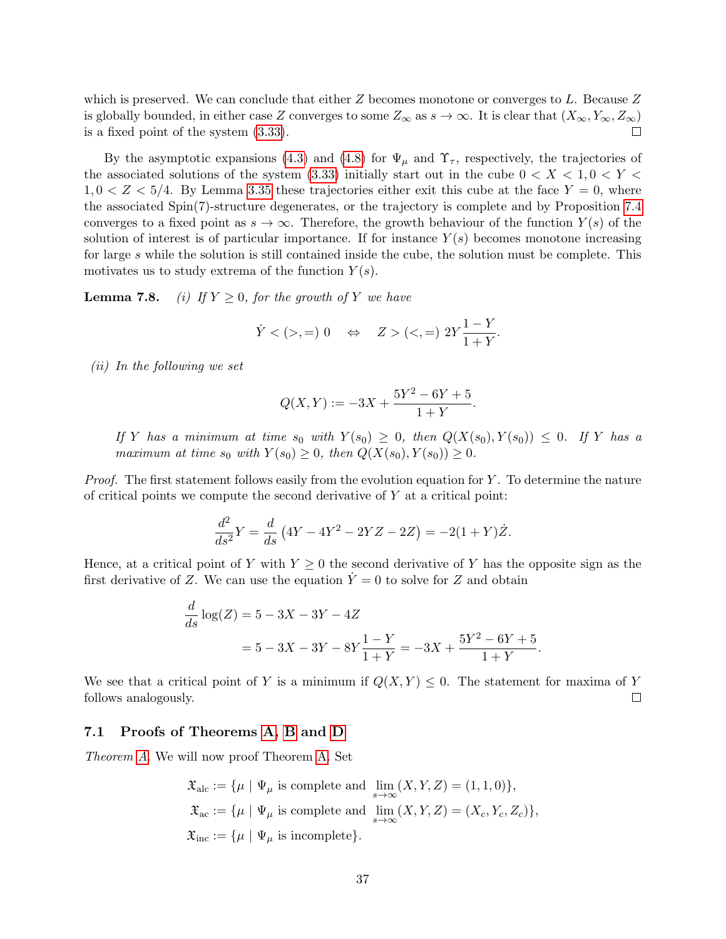which is preserved. We can conclude that either  $Z$  becomes monotone or converges to  $L$ . Because  $Z$ is globally bounded, in either case Z converges to some  $Z_{\infty}$  as  $s \to \infty$ . It is clear that  $(X_{\infty}, Y_{\infty}, Z_{\infty})$ is a fixed point of the system [\(3.33\)](#page-22-0).  $\Box$ 

By the asymptotic expansions [\(4.3\)](#page-26-3) and [\(4.8\)](#page-27-6) for  $\Psi_{\mu}$  and  $\Upsilon_{\tau}$ , respectively, the trajectories of the associated solutions of the system [\(3.33\)](#page-22-0) initially start out in the cube  $0 < X < 1, 0 < Y <$  $1, 0 < Z < 5/4$ . By Lemma [3.35](#page-22-1) these trajectories either exit this cube at the face  $Y = 0$ , where the associated Spin(7)-structure degenerates, or the trajectory is complete and by Proposition [7.4](#page-35-0) converges to a fixed point as  $s \to \infty$ . Therefore, the growth behaviour of the function  $Y(s)$  of the solution of interest is of particular importance. If for instance  $Y(s)$  becomes monotone increasing for large s while the solution is still contained inside the cube, the solution must be complete. This motivates us to study extrema of the function  $Y(s)$ .

<span id="page-36-1"></span>**Lemma 7.8.** (i) If  $Y \geq 0$ , for the growth of Y we have

$$
\dot{Y} < (>,=) 0 \quad \Leftrightarrow \quad Z > (<,=) 2Y \frac{1-Y}{1+Y}.
$$

(ii) In the following we set

$$
Q(X,Y) := -3X + \frac{5Y^2 - 6Y + 5}{1+Y}
$$

.

If Y has a minimum at time  $s_0$  with  $Y(s_0) \geq 0$ , then  $Q(X(s_0), Y(s_0)) \leq 0$ . If Y has a maximum at time  $s_0$  with  $Y(s_0) \geq 0$ , then  $Q(X(s_0), Y(s_0)) \geq 0$ .

Proof. The first statement follows easily from the evolution equation for Y. To determine the nature of critical points we compute the second derivative of  $Y$  at a critical point:

$$
\frac{d^2}{ds^2}Y = \frac{d}{ds}(4Y - 4Y^2 - 2YZ - 2Z) = -2(1+Y)\dot{Z}.
$$

Hence, at a critical point of Y with  $Y \geq 0$  the second derivative of Y has the opposite sign as the first derivative of Z. We can use the equation  $\dot{Y}=0$  to solve for Z and obtain

$$
\frac{d}{ds}\log(Z) = 5 - 3X - 3Y - 4Z
$$
  
= 5 - 3X - 3Y - 8Y $\frac{1 - Y}{1 + Y} = -3X + \frac{5Y^2 - 6Y + 5}{1 + Y}.$ 

We see that a critical point of Y is a minimum if  $Q(X, Y) \leq 0$ . The statement for maxima of Y follows analogously.  $\Box$ 

### <span id="page-36-0"></span>7.1 Proofs of Theorems [A,](#page-2-0) [B](#page-3-0) and [D](#page-5-0)

Theorem [A](#page-2-0). We will now proof Theorem [A.](#page-2-0) Set

$$
\mathfrak{X}_{\text{alc}} := \{ \mu \mid \Psi_{\mu} \text{ is complete and } \lim_{s \to \infty} (X, Y, Z) = (1, 1, 0) \},
$$
  

$$
\mathfrak{X}_{\text{ac}} := \{ \mu \mid \Psi_{\mu} \text{ is complete and } \lim_{s \to \infty} (X, Y, Z) = (X_c, Y_c, Z_c) \},
$$
  

$$
\mathfrak{X}_{\text{inc}} := \{ \mu \mid \Psi_{\mu} \text{ is incomplete} \}.
$$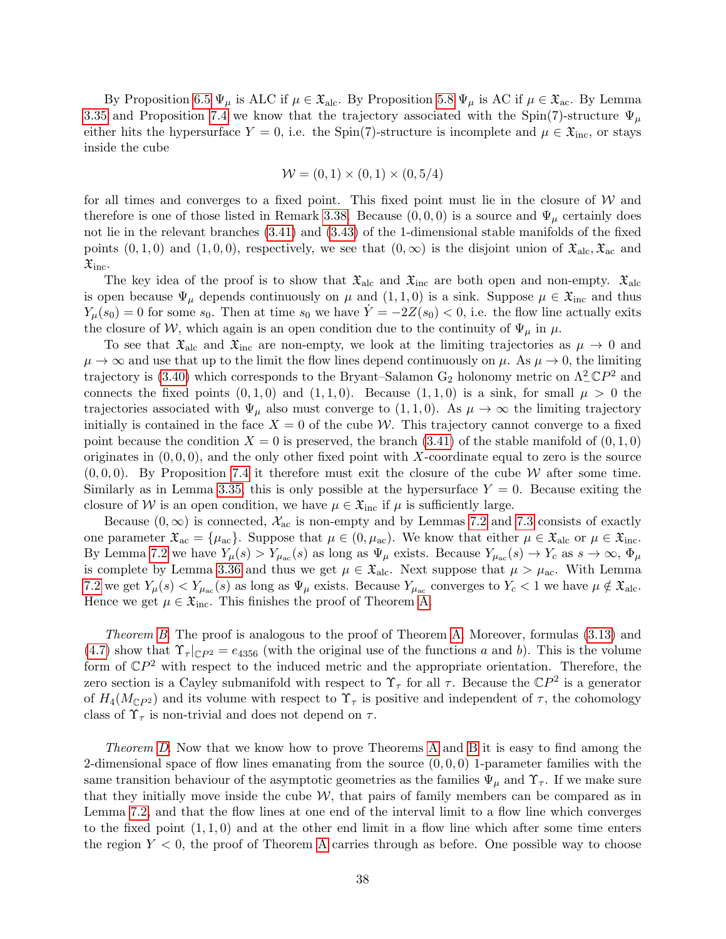By Proposition [6.5](#page-33-2)  $\Psi_{\mu}$  is ALC if  $\mu \in \mathfrak{X}_{\text{alc}}$ . By Proposition [5.8](#page-30-0)  $\Psi_{\mu}$  is AC if  $\mu \in \mathfrak{X}_{\text{ac}}$ . By Lemma [3.35](#page-22-1) and Proposition [7.4](#page-35-0) we know that the trajectory associated with the Spin(7)-structure  $\Psi_{\mu}$ either hits the hypersurface  $Y = 0$ , i.e. the Spin(7)-structure is incomplete and  $\mu \in \mathfrak{X}_{\text{inc}}$ , or stays inside the cube

$$
\mathcal{W} = (0, 1) \times (0, 1) \times (0, 5/4)
$$

for all times and converges to a fixed point. This fixed point must lie in the closure of  $W$  and therefore is one of those listed in Remark [3.38.](#page-23-1) Because  $(0,0,0)$  is a source and  $\Psi_{\mu}$  certainly does not lie in the relevant branches [\(3.41\)](#page-24-3) and [\(3.43\)](#page-24-4) of the 1-dimensional stable manifolds of the fixed points  $(0, 1, 0)$  and  $(1, 0, 0)$ , respectively, we see that  $(0, \infty)$  is the disjoint union of  $\mathfrak{X}_{\text{alc}}, \mathfrak{X}_{\text{ac}}$  and  $\mathfrak{X}_{\text{inc}}$ .

The key idea of the proof is to show that  $\mathfrak{X}_{\text{alc}}$  and  $\mathfrak{X}_{\text{inc}}$  are both open and non-empty.  $\mathfrak{X}_{\text{alc}}$ is open because  $\Psi_{\mu}$  depends continuously on  $\mu$  and  $(1,1,0)$  is a sink. Suppose  $\mu \in \mathfrak{X}_{\text{inc}}$  and thus  $Y_{\mu}(s_0) = 0$  for some  $s_0$ . Then at time  $s_0$  we have  $\dot{Y} = -2Z(s_0) < 0$ , i.e. the flow line actually exits the closure of W, which again is an open condition due to the continuity of  $\Psi_{\mu}$  in  $\mu$ .

To see that  $\mathfrak{X}_{\text{alc}}$  and  $\mathfrak{X}_{\text{inc}}$  are non-empty, we look at the limiting trajectories as  $\mu \to 0$  and  $\mu \to \infty$  and use that up to the limit the flow lines depend continuously on  $\mu$ . As  $\mu \to 0$ , the limiting trajectory is [\(3.40\)](#page-24-0) which corresponds to the Bryant–Salamon  $G_2$  holonomy metric on  $\Lambda^2_- \mathbb{C}P^2$  and connects the fixed points  $(0, 1, 0)$  and  $(1, 1, 0)$ . Because  $(1, 1, 0)$  is a sink, for small  $\mu > 0$  the trajectories associated with  $\Psi_{\mu}$  also must converge to  $(1,1,0)$ . As  $\mu \to \infty$  the limiting trajectory initially is contained in the face  $X = 0$  of the cube W. This trajectory cannot converge to a fixed point because the condition  $X = 0$  is preserved, the branch [\(3.41\)](#page-24-3) of the stable manifold of  $(0, 1, 0)$ originates in  $(0, 0, 0)$ , and the only other fixed point with X-coordinate equal to zero is the source  $(0, 0, 0)$ . By Proposition [7.4](#page-35-0) it therefore must exit the closure of the cube W after some time. Similarly as in Lemma [3.35,](#page-22-1) this is only possible at the hypersurface  $Y = 0$ . Because exiting the closure of W is an open condition, we have  $\mu \in \mathfrak{X}_{\text{inc}}$  if  $\mu$  is sufficiently large.

Because  $(0, \infty)$  is connected,  $\mathcal{X}_{ac}$  is non-empty and by Lemmas [7.2](#page-34-0) and [7.3](#page-34-1) consists of exactly one parameter  $\mathfrak{X}_{ac} = {\mu_{ac}}$ . Suppose that  $\mu \in (0, \mu_{ac})$ . We know that either  $\mu \in \mathfrak{X}_{alc}$  or  $\mu \in \mathfrak{X}_{inc}$ . By Lemma [7.2](#page-34-0) we have  $Y_\mu(s) > Y_{\mu_{ac}}(s)$  as long as  $\Psi_\mu$  exists. Because  $Y_{\mu_{ac}}(s) \to Y_c$  as  $s \to \infty$ ,  $\Phi_\mu$ is complete by Lemma [3.36](#page-22-3) and thus we get  $\mu \in \mathfrak{X}_{\text{alc}}$ . Next suppose that  $\mu > \mu_{\text{ac}}$ . With Lemma [7.2](#page-34-0) we get  $Y_\mu(s) < Y_{\mu_{ac}}(s)$  as long as  $\Psi_\mu$  exists. Because  $Y_{\mu_{ac}}$  converges to  $Y_c < 1$  we have  $\mu \notin \mathfrak{X}_{\text{alc}}$ . Hence we get  $\mu \in \mathfrak{X}_{\text{inc}}$ . This finishes the proof of Theorem [A.](#page-2-0)

Theorem [B](#page-3-0). The proof is analogous to the proof of Theorem [A.](#page-2-0) Moreover, formulas  $(3.13)$  and [\(4.7\)](#page-27-1) show that  $\Upsilon_{\tau}|_{\mathbb{C}P^2} = e_{4356}$  (with the original use of the functions a and b). This is the volume form of  $\mathbb{C}P^2$  with respect to the induced metric and the appropriate orientation. Therefore, the zero section is a Cayley submanifold with respect to  $\Upsilon_{\tau}$  for all  $\tau$ . Because the  $\mathbb{C}P^2$  is a generator of  $H_4(M_{\mathbb{C}P^2})$  and its volume with respect to  $\Upsilon_{\tau}$  is positive and independent of  $\tau$ , the cohomology class of  $\Upsilon_{\tau}$  is non-trivial and does not depend on  $\tau$ .

Theorem [D](#page-5-0). Now that we know how to prove Theorems [A](#page-2-0) and [B](#page-3-0) it is easy to find among the 2-dimensional space of flow lines emanating from the source  $(0, 0, 0)$  1-parameter families with the same transition behaviour of the asymptotic geometries as the families  $\Psi_{\mu}$  and  $\Upsilon_{\tau}$ . If we make sure that they initially move inside the cube  $W$ , that pairs of family members can be compared as in Lemma [7.2,](#page-34-0) and that the flow lines at one end of the interval limit to a flow line which converges to the fixed point  $(1, 1, 0)$  and at the other end limit in a flow line which after some time enters the region  $Y < 0$ , the proof of Theorem [A](#page-2-0) carries through as before. One possible way to choose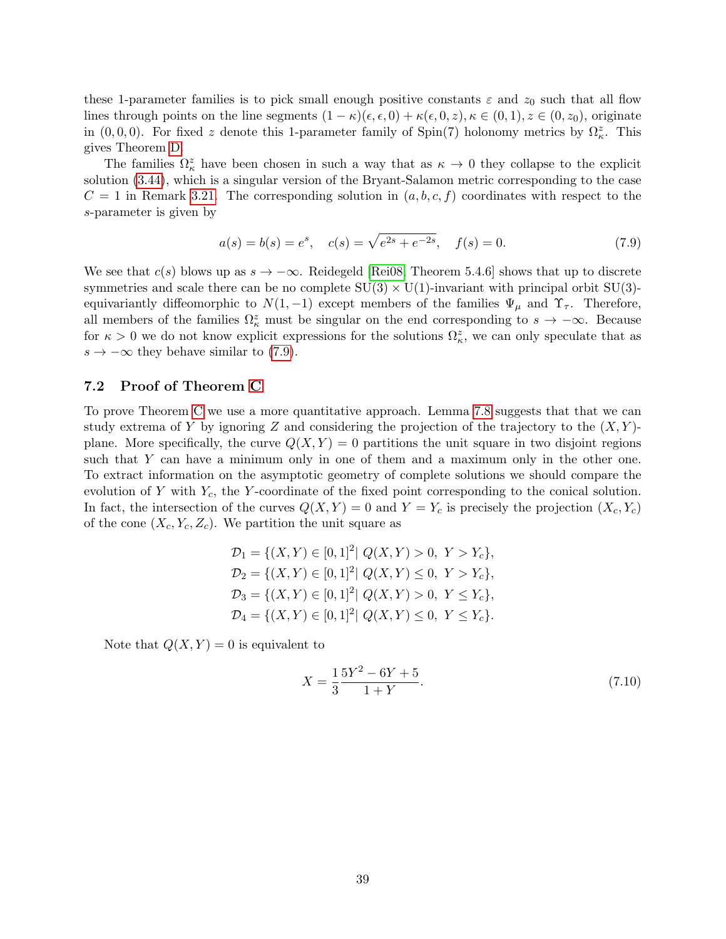these 1-parameter families is to pick small enough positive constants  $\varepsilon$  and  $z_0$  such that all flow lines through points on the line segments  $(1 - \kappa)(\epsilon, \epsilon, 0) + \kappa(\epsilon, 0, z), \kappa \in (0, 1), z \in (0, z_0)$ , originate in  $(0, 0, 0)$ . For fixed z denote this 1-parameter family of Spin(7) holonomy metrics by  $\Omega_{\kappa}^z$ . This gives Theorem [D.](#page-5-0)

The families  $\Omega_{\kappa}^{z}$  have been chosen in such a way that as  $\kappa \to 0$  they collapse to the explicit solution [\(3.44\)](#page-24-2), which is a singular version of the Bryant-Salamon metric corresponding to the case  $C = 1$  in Remark [3.21.](#page-18-2) The corresponding solution in  $(a, b, c, f)$  coordinates with respect to the s-parameter is given by

<span id="page-38-1"></span>
$$
a(s) = b(s) = e^s, \quad c(s) = \sqrt{e^{2s} + e^{-2s}}, \quad f(s) = 0.
$$
\n(7.9)

We see that  $c(s)$  blows up as  $s \to -\infty$ . Reidegeld [\[Rei08,](#page-43-2) Theorem 5.4.6] shows that up to discrete symmetries and scale there can be no complete  $SU(3) \times U(1)$ -invariant with principal orbit  $SU(3)$ equivariantly diffeomorphic to  $N(1, -1)$  except members of the families  $\Psi_{\mu}$  and  $\Upsilon_{\tau}$ . Therefore, all members of the families  $\Omega_{\kappa}^z$  must be singular on the end corresponding to  $s \to -\infty$ . Because for  $\kappa > 0$  we do not know explicit expressions for the solutions  $\Omega_{\kappa}^{z}$ , we can only speculate that as  $s \to -\infty$  they behave similar to [\(7.9\)](#page-38-1).

## <span id="page-38-0"></span>7.2 Proof of Theorem [C](#page-5-1)

To prove Theorem [C](#page-5-1) we use a more quantitative approach. Lemma [7.8](#page-36-1) suggests that that we can study extrema of Y by ignoring Z and considering the projection of the trajectory to the  $(X, Y)$ plane. More specifically, the curve  $Q(X, Y) = 0$  partitions the unit square in two disjoint regions such that Y can have a minimum only in one of them and a maximum only in the other one. To extract information on the asymptotic geometry of complete solutions we should compare the evolution of Y with  $Y_c$ , the Y-coordinate of the fixed point corresponding to the conical solution. In fact, the intersection of the curves  $Q(X, Y) = 0$  and  $Y = Y_c$  is precisely the projection  $(X_c, Y_c)$ of the cone  $(X_c, Y_c, Z_c)$ . We partition the unit square as

$$
\mathcal{D}_1 = \{ (X, Y) \in [0, 1]^2 | Q(X, Y) > 0, Y > Y_c \},
$$
  
\n
$$
\mathcal{D}_2 = \{ (X, Y) \in [0, 1]^2 | Q(X, Y) \le 0, Y > Y_c \},
$$
  
\n
$$
\mathcal{D}_3 = \{ (X, Y) \in [0, 1]^2 | Q(X, Y) > 0, Y \le Y_c \},
$$
  
\n
$$
\mathcal{D}_4 = \{ (X, Y) \in [0, 1]^2 | Q(X, Y) \le 0, Y \le Y_c \}.
$$

Note that  $Q(X, Y) = 0$  is equivalent to

<span id="page-38-2"></span>
$$
X = \frac{1}{3} \frac{5Y^2 - 6Y + 5}{1 + Y}.
$$
\n(7.10)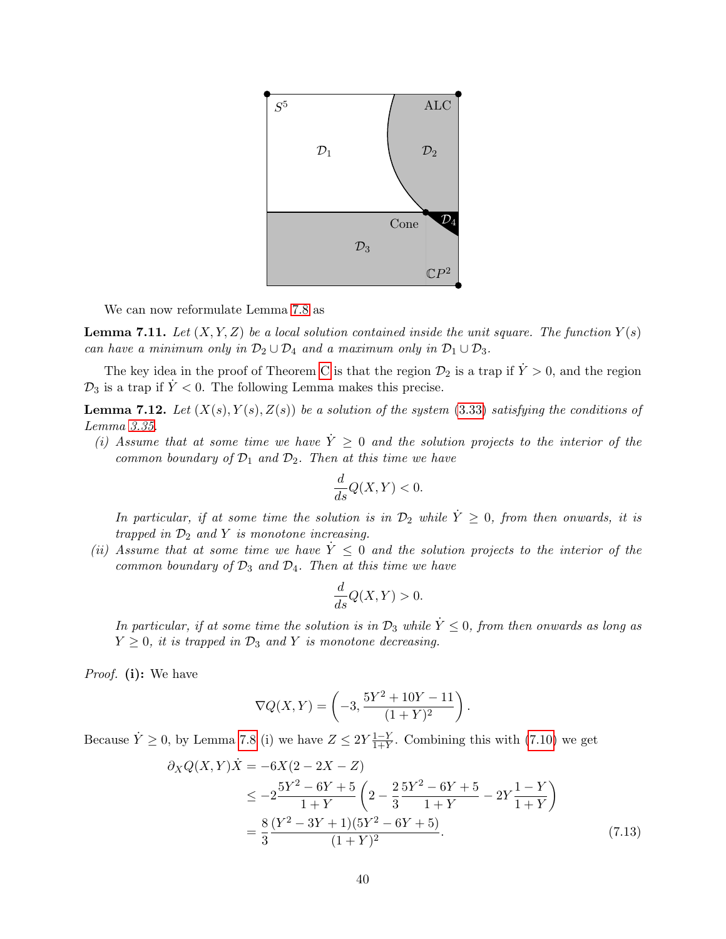

We can now reformulate Lemma [7.8](#page-36-1) as

<span id="page-39-2"></span>**Lemma 7.11.** Let  $(X, Y, Z)$  be a local solution contained inside the unit square. The function  $Y(s)$ can have a minimum only in  $\mathcal{D}_2 \cup \mathcal{D}_4$  and a maximum only in  $\mathcal{D}_1 \cup \mathcal{D}_3$ .

The key idea in the proof of Theorem [C](#page-5-1) is that the region  $\mathcal{D}_2$  is a trap if  $\dot{Y} > 0$ , and the region  $\mathcal{D}_3$  is a trap if  $\dot{Y}$  < 0. The following Lemma makes this precise.

<span id="page-39-0"></span>**Lemma 7.12.** Let  $(X(s), Y(s), Z(s))$  be a solution of the system [\(3.33\)](#page-22-0) satisfying the conditions of Lemma [3.35.](#page-22-1)

(i) Assume that at some time we have  $\dot{Y} \geq 0$  and the solution projects to the interior of the common boundary of  $\mathcal{D}_1$  and  $\mathcal{D}_2$ . Then at this time we have

$$
\frac{d}{ds}Q(X,Y) < 0.
$$

In particular, if at some time the solution is in  $\mathcal{D}_2$  while  $\dot{Y} \geq 0$ , from then onwards, it is trapped in  $\mathcal{D}_2$  and Y is monotone increasing.

(ii) Assume that at some time we have  $\dot{Y} \leq 0$  and the solution projects to the interior of the common boundary of  $\mathcal{D}_3$  and  $\mathcal{D}_4$ . Then at this time we have

<span id="page-39-1"></span>
$$
\frac{d}{ds}Q(X,Y) > 0.
$$

In particular, if at some time the solution is in  $\mathcal{D}_3$  while  $\dot{Y} \leq 0$ , from then onwards as long as  $Y \geq 0$ , it is trapped in  $\mathcal{D}_3$  and Y is monotone decreasing.

Proof. (i): We have

$$
\nabla Q(X,Y) = \left(-3, \frac{5Y^2 + 10Y - 11}{(1+Y)^2}\right).
$$

Because  $\dot{Y} \geq 0$ , by Lemma [7.8](#page-36-1) (i) we have  $Z \leq 2Y \frac{1-Y}{1+Y}$  $\frac{1-Y}{1+Y}$ . Combining this with [\(7.10\)](#page-38-2) we get

$$
\partial_X Q(X,Y)\dot{X} = -6X(2 - 2X - Z)
$$
  
\n
$$
\leq -2\frac{5Y^2 - 6Y + 5}{1 + Y} \left(2 - \frac{2}{3}\frac{5Y^2 - 6Y + 5}{1 + Y} - 2Y\frac{1 - Y}{1 + Y}\right)
$$
  
\n
$$
= \frac{8}{3}\frac{(Y^2 - 3Y + 1)(5Y^2 - 6Y + 5)}{(1 + Y)^2}.
$$
\n(7.13)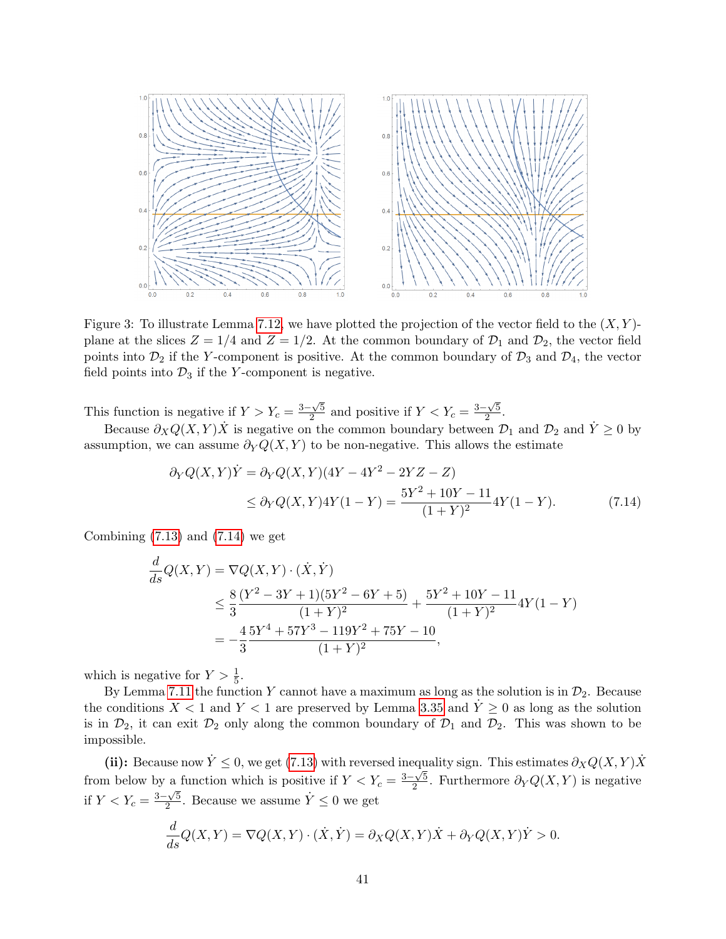

Figure 3: To illustrate Lemma [7.12,](#page-39-0) we have plotted the projection of the vector field to the  $(X, Y)$ plane at the slices  $Z = 1/4$  and  $Z = 1/2$ . At the common boundary of  $\mathcal{D}_1$  and  $\mathcal{D}_2$ , the vector field points into  $\mathcal{D}_2$  if the Y-component is positive. At the common boundary of  $\mathcal{D}_3$  and  $\mathcal{D}_4$ , the vector field points into  $\mathcal{D}_3$  if the Y-component is negative.

This function is negative if  $Y > Y_c = \frac{3-\sqrt{5}}{2}$  $\frac{2\sqrt{5}}{2}$  and positive if  $Y < Y_c = \frac{3-\sqrt{5}}{2}$  $\frac{\sqrt{5}}{2}$ .

Because  $\partial_X Q(X,Y) \dot{X}$  is negative on the common boundary between  $\mathcal{D}_1$  and  $\mathcal{D}_2$  and  $\dot{Y} \geq 0$  by assumption, we can assume  $\partial_Y Q(X, Y)$  to be non-negative. This allows the estimate

<span id="page-40-0"></span>
$$
\partial_Y Q(X,Y)\dot{Y} = \partial_Y Q(X,Y)(4Y - 4Y^2 - 2YZ - Z)
$$
  
\n
$$
\leq \partial_Y Q(X,Y)4Y(1-Y) = \frac{5Y^2 + 10Y - 11}{(1+Y)^2}4Y(1-Y). \tag{7.14}
$$

Combining  $(7.13)$  and  $(7.14)$  we get

$$
\frac{d}{ds}Q(X,Y) = \nabla Q(X,Y) \cdot (\dot{X}, \dot{Y})
$$
\n
$$
\leq \frac{8}{3} \frac{(Y^2 - 3Y + 1)(5Y^2 - 6Y + 5)}{(1+Y)^2} + \frac{5Y^2 + 10Y - 11}{(1+Y)^2} 4Y(1-Y)
$$
\n
$$
= -\frac{4}{3} \frac{5Y^4 + 57Y^3 - 119Y^2 + 75Y - 10}{(1+Y)^2},
$$

which is negative for  $Y > \frac{1}{5}$ .

By Lemma [7.11](#page-39-2) the function Y cannot have a maximum as long as the solution is in  $\mathcal{D}_2$ . Because the conditions  $X < 1$  and  $Y < 1$  are preserved by Lemma [3.35](#page-22-1) and  $\dot{Y} \ge 0$  as long as the solution is in  $\mathcal{D}_2$ , it can exit  $\mathcal{D}_2$  only along the common boundary of  $\mathcal{D}_1$  and  $\mathcal{D}_2$ . This was shown to be impossible.

(ii): Because now  $\dot{Y} \leq 0$ , we get [\(7.13\)](#page-39-1) with reversed inequality sign. This estimates  $\partial_X Q(X, Y) \dot{X}$ from below by a function which is positive if  $Y < Y_c = \frac{3-\sqrt{5}}{2}$  $\frac{2\sqrt{5}}{2}$ . Furthermore  $\partial_Y Q(X,Y)$  is negative if  $Y < Y_c = \frac{3-\sqrt{5}}{2}$  $\frac{\sqrt{5}}{2}$ . Because we assume  $\dot{Y} \leq 0$  we get

$$
\frac{d}{ds}Q(X,Y) = \nabla Q(X,Y) \cdot (\dot{X}, \dot{Y}) = \partial_X Q(X,Y) \dot{X} + \partial_Y Q(X,Y) \dot{Y} > 0.
$$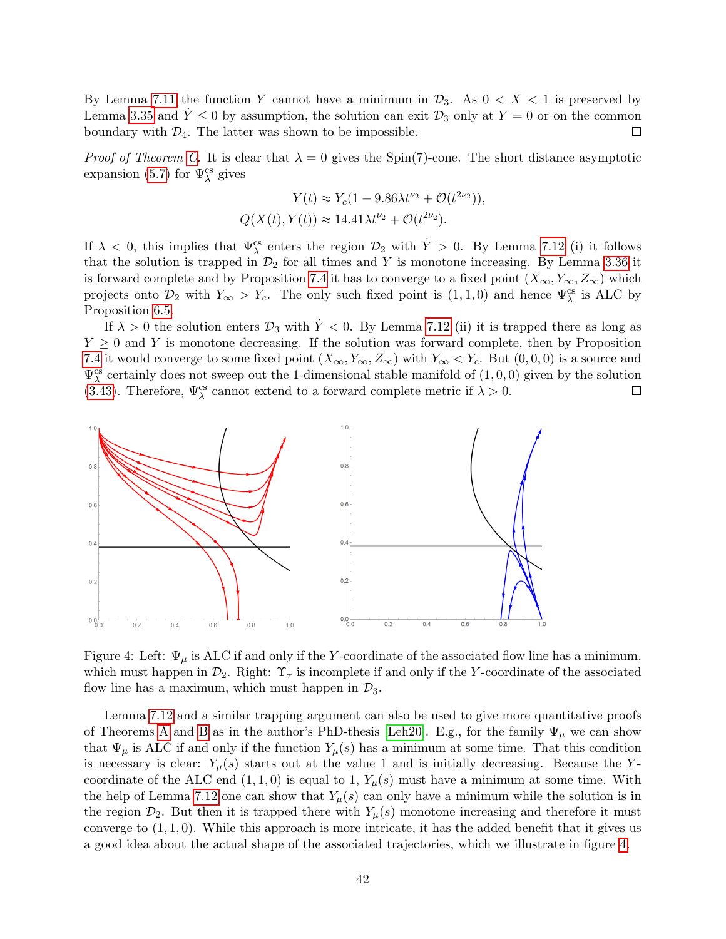By Lemma [7.11](#page-39-2) the function Y cannot have a minimum in  $\mathcal{D}_3$ . As  $0 < X < 1$  is preserved by Lemma [3.35](#page-22-1) and  $Y \leq 0$  by assumption, the solution can exit  $\mathcal{D}_3$  only at  $Y = 0$  or on the common boundary with  $\mathcal{D}_4$ . The latter was shown to be impossible.  $\Box$ 

*Proof of Theorem [C.](#page-5-1)* It is clear that  $\lambda = 0$  gives the Spin(7)-cone. The short distance asymptotic expansion [\(5.7\)](#page-30-1) for  $\Psi_{\lambda}^{\text{cs}}$  gives

$$
Y(t) \approx Y_c(1 - 9.86\lambda t^{\nu_2} + \mathcal{O}(t^{2\nu_2})),
$$
  

$$
Q(X(t), Y(t)) \approx 14.41\lambda t^{\nu_2} + \mathcal{O}(t^{2\nu_2}).
$$

If  $\lambda < 0$ , this implies that  $\Psi^{\text{cs}}_{\lambda}$  enters the region  $\mathcal{D}_2$  with  $\dot{Y} > 0$ . By Lemma [7.12](#page-39-0) (i) it follows that the solution is trapped in  $\mathcal{D}_2$  for all times and Y is monotone increasing. By Lemma [3.36](#page-22-3) it is forward complete and by Proposition [7.4](#page-35-0) it has to converge to a fixed point  $(X_{\infty}, Y_{\infty}, Z_{\infty})$  which projects onto  $\mathcal{D}_2$  with  $Y_{\infty} > Y_c$ . The only such fixed point is  $(1,1,0)$  and hence  $\Psi_{\lambda}^{cs}$  is ALC by Proposition [6.5.](#page-33-2)

If  $\lambda > 0$  the solution enters  $\mathcal{D}_3$  with  $\dot{Y} < 0$ . By Lemma [7.12](#page-39-0) (ii) it is trapped there as long as  $Y \geq 0$  and Y is monotone decreasing. If the solution was forward complete, then by Proposition [7.4](#page-35-0) it would converge to some fixed point  $(X_{\infty}, Y_{\infty}, Z_{\infty})$  with  $Y_{\infty} < Y_c$ . But  $(0, 0, 0)$  is a source and  $\Psi^{\text{cs}}_{\lambda}$  certainly does not sweep out the 1-dimensional stable manifold of  $(1,0,0)$  given by the solution [\(3.43\)](#page-24-4). Therefore,  $\Psi^{\text{cs}}_{\lambda}$  cannot extend to a forward complete metric if  $\lambda > 0$ .  $\Box$ 



<span id="page-41-0"></span>Figure 4: Left:  $\Psi_{\mu}$  is ALC if and only if the Y-coordinate of the associated flow line has a minimum, which must happen in  $\mathcal{D}_2$ . Right:  $\Upsilon_{\tau}$  is incomplete if and only if the Y-coordinate of the associated flow line has a maximum, which must happen in  $\mathcal{D}_3$ .

Lemma [7.12](#page-39-0) and a similar trapping argument can also be used to give more quantitative proofs of Theorems [A](#page-2-0) and [B](#page-3-0) as in the author's PhD-thesis [\[Leh20\]](#page-43-10). E.g., for the family  $\Psi_{\mu}$  we can show that  $\Psi_{\mu}$  is ALC if and only if the function  $Y_{\mu}(s)$  has a minimum at some time. That this condition is necessary is clear:  $Y_\mu(s)$  starts out at the value 1 and is initially decreasing. Because the Ycoordinate of the ALC end  $(1,1,0)$  is equal to 1,  $Y_\mu(s)$  must have a minimum at some time. With the help of Lemma [7.12](#page-39-0) one can show that  $Y_\mu(s)$  can only have a minimum while the solution is in the region  $\mathcal{D}_2$ . But then it is trapped there with  $Y_\mu(s)$  monotone increasing and therefore it must converge to  $(1, 1, 0)$ . While this approach is more intricate, it has the added benefit that it gives us a good idea about the actual shape of the associated trajectories, which we illustrate in figure [4.](#page-41-0)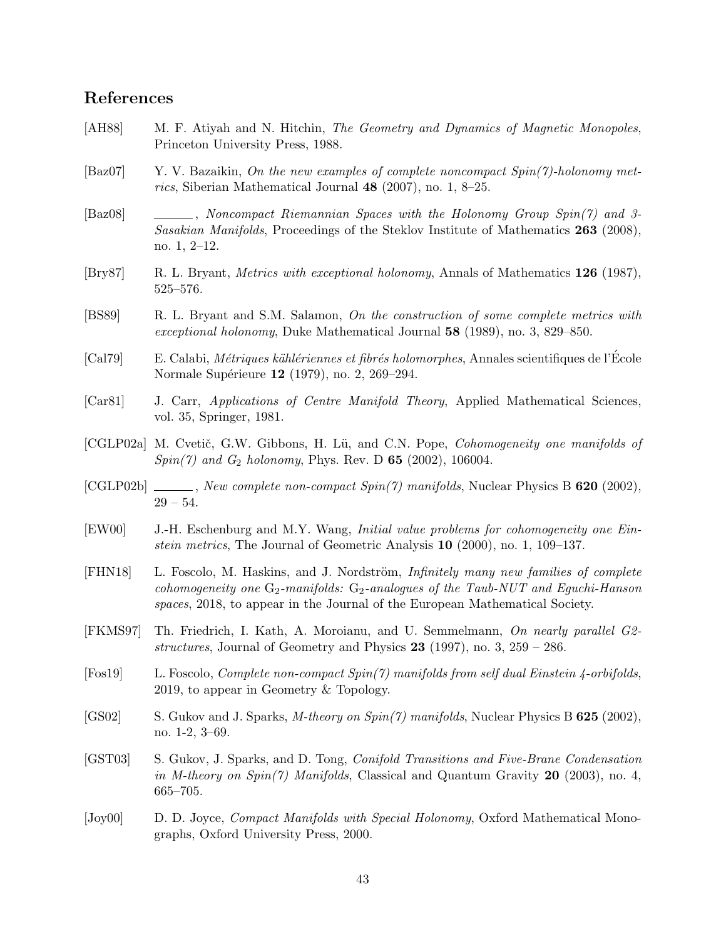# References

- <span id="page-42-13"></span>[AH88] M. F. Atiyah and N. Hitchin, The Geometry and Dynamics of Magnetic Monopoles, Princeton University Press, 1988.
- <span id="page-42-6"></span>[Baz07] Y. V. Bazaikin, On the new examples of complete noncompact  $Spin(7)$ -holonomy metrics, Siberian Mathematical Journal 48 (2007), no. 1, 8–25.
- <span id="page-42-7"></span>[Baz08] , Noncompact Riemannian Spaces with the Holonomy Group Spin(7) and 3- Sasakian Manifolds, Proceedings of the Steklov Institute of Mathematics 263 (2008), no. 1, 2–12.
- <span id="page-42-0"></span>[Bry87] R. L. Bryant, Metrics with exceptional holonomy, Annals of Mathematics 126 (1987), 525–576.
- <span id="page-42-1"></span>[BS89] R. L. Bryant and S.M. Salamon, On the construction of some complete metrics with exceptional holonomy, Duke Mathematical Journal 58 (1989), no. 3, 829–850.
- <span id="page-42-5"></span>[Cal79] E. Calabi, *Métriques kählériennes et fibrés holomorphes*, Annales scientifiques de l'Ecole Normale Supérieure 12 (1979), no. 2, 269–294.
- <span id="page-42-15"></span>[Car81] J. Carr, Applications of Centre Manifold Theory, Applied Mathematical Sciences, vol. 35, Springer, 1981.
- <span id="page-42-4"></span>[CGLP02a] M. Cvetič, G.W. Gibbons, H. Lü, and C.N. Pope, *Cohomogeneity one manifolds of*  $Spin(7)$  and  $G_2$  holonomy, Phys. Rev. D 65 (2002), 106004.
- <span id="page-42-3"></span> $[CGLP02b]$  , New complete non-compact  $Spin(7)$  manifolds, Nuclear Physics B 620 (2002),  $29 - 54.$
- <span id="page-42-14"></span>[EW00] J.-H. Eschenburg and M.Y. Wang, Initial value problems for cohomogeneity one Einstein metrics, The Journal of Geometric Analysis 10 (2000), no. 1, 109–137.
- <span id="page-42-12"></span>[FHN18] L. Foscolo, M. Haskins, and J. Nordström, *Infinitely many new families of complete* cohomogeneity one  $G_2$ -manifolds:  $G_2$ -analogues of the Taub-NUT and Equchi-Hanson spaces, 2018, to appear in the Journal of the European Mathematical Society.
- <span id="page-42-8"></span>[FKMS97] Th. Friedrich, I. Kath, A. Moroianu, and U. Semmelmann, On nearly parallel G2 structures, Journal of Geometry and Physics  $23$  (1997), no. 3,  $259 - 286$ .
- <span id="page-42-9"></span>[Fos19] L. Foscolo, Complete non-compact Spin(7) manifolds from self dual Einstein 4-orbifolds, 2019, to appear in Geometry & Topology.
- <span id="page-42-11"></span>[GS02] S. Gukov and J. Sparks, *M-theory on Spin(7) manifolds*, Nuclear Physics B **625** (2002), no. 1-2, 3–69.
- <span id="page-42-10"></span>[GST03] S. Gukov, J. Sparks, and D. Tong, Conifold Transitions and Five-Brane Condensation in M-theory on  $Spin(7)$  Manifolds, Classical and Quantum Gravity 20 (2003), no. 4, 665–705.
- <span id="page-42-2"></span>[Joy00] D. D. Joyce, *Compact Manifolds with Special Holonomy*, Oxford Mathematical Monographs, Oxford University Press, 2000.